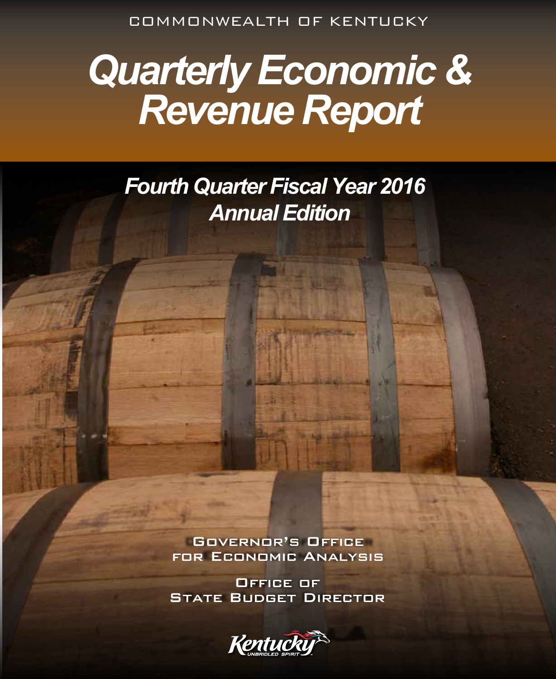COMMONWEALTH OF KENTUCKY

# *Quarterly Economic & Revenue Report*

*Fourth Quarter Fiscal Year 2016 Annual Edition*

> Governor's Office for Economic Analysis

> Office of **STATE BUDGET DIRECTOR**

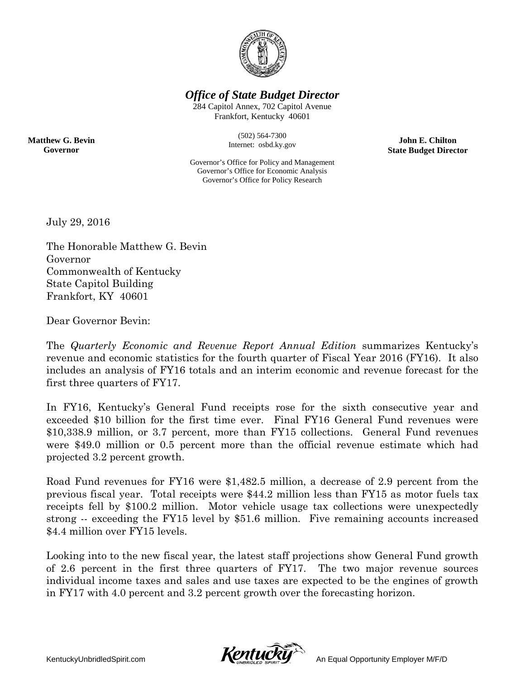

*Office of State Budget Director*

284 Capitol Annex, 702 Capitol Avenue Frankfort, Kentucky 40601

> (502) 564-7300 Internet: osbd.ky.gov

**John E. Chilton State Budget Director**

Governor's Office for Policy and Management Governor's Office for Economic Analysis Governor's Office for Policy Research

July 29, 2016

**Matthew G. Bevin Governor**

> The Honorable Matthew G. Bevin Governor Commonwealth of Kentucky State Capitol Building Frankfort, KY 40601

Dear Governor Bevin:

The *Quarterly Economic and Revenue Report Annual Edition* summarizes Kentucky's revenue and economic statistics for the fourth quarter of Fiscal Year 2016 (FY16). It also includes an analysis of FY16 totals and an interim economic and revenue forecast for the first three quarters of FY17.

In FY16, Kentucky's General Fund receipts rose for the sixth consecutive year and exceeded \$10 billion for the first time ever. Final FY16 General Fund revenues were \$10,338.9 million, or 3.7 percent, more than FY15 collections. General Fund revenues were \$49.0 million or 0.5 percent more than the official revenue estimate which had projected 3.2 percent growth.

Road Fund revenues for FY16 were \$1,482.5 million, a decrease of 2.9 percent from the previous fiscal year. Total receipts were \$44.2 million less than FY15 as motor fuels tax receipts fell by \$100.2 million. Motor vehicle usage tax collections were unexpectedly strong -- exceeding the FY15 level by \$51.6 million. Five remaining accounts increased \$4.4 million over FY15 levels.

Looking into to the new fiscal year, the latest staff projections show General Fund growth of 2.6 percent in the first three quarters of FY17. The two major revenue sources individual income taxes and sales and use taxes are expected to be the engines of growth in FY17 with 4.0 percent and 3.2 percent growth over the forecasting horizon.

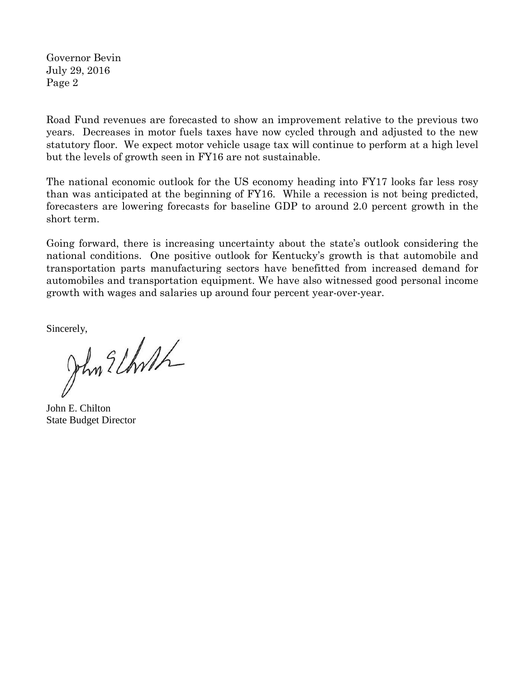Governor Bevin July 29, 2016 Page 2

Road Fund revenues are forecasted to show an improvement relative to the previous two years. Decreases in motor fuels taxes have now cycled through and adjusted to the new statutory floor. We expect motor vehicle usage tax will continue to perform at a high level but the levels of growth seen in FY16 are not sustainable.

The national economic outlook for the US economy heading into FY17 looks far less rosy than was anticipated at the beginning of FY16. While a recession is not being predicted, forecasters are lowering forecasts for baseline GDP to around 2.0 percent growth in the short term.

Going forward, there is increasing uncertainty about the state's outlook considering the national conditions. One positive outlook for Kentucky's growth is that automobile and transportation parts manufacturing sectors have benefitted from increased demand for automobiles and transportation equipment. We have also witnessed good personal income growth with wages and salaries up around four percent year-over-year.

Sincerely,<br>John 2 Uhrth

John E. Chilton State Budget Director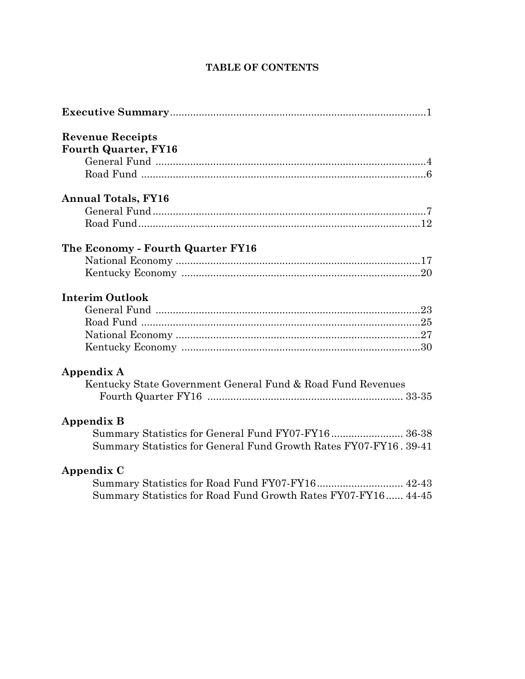### **TABLE OF CONTENTS**

| <b>Revenue Receipts</b><br><b>Fourth Quarter, FY16</b>            |
|-------------------------------------------------------------------|
|                                                                   |
| <b>Annual Totals, FY16</b>                                        |
|                                                                   |
|                                                                   |
| The Economy - Fourth Quarter FY16                                 |
|                                                                   |
|                                                                   |
| <b>Interim Outlook</b>                                            |
|                                                                   |
|                                                                   |
|                                                                   |
|                                                                   |
| <b>Appendix A</b>                                                 |
| Kentucky State Government General Fund & Road Fund Revenues       |
|                                                                   |
| <b>Appendix B</b>                                                 |
|                                                                   |
| Summary Statistics for General Fund Growth Rates FY07-FY16. 39-41 |
| Appendix C                                                        |
| Summary Statistics for Road Fund FY07-FY16 42-43                  |
| Summary Statistics for Road Fund Growth Rates FY07-FY16 44-45     |
|                                                                   |
|                                                                   |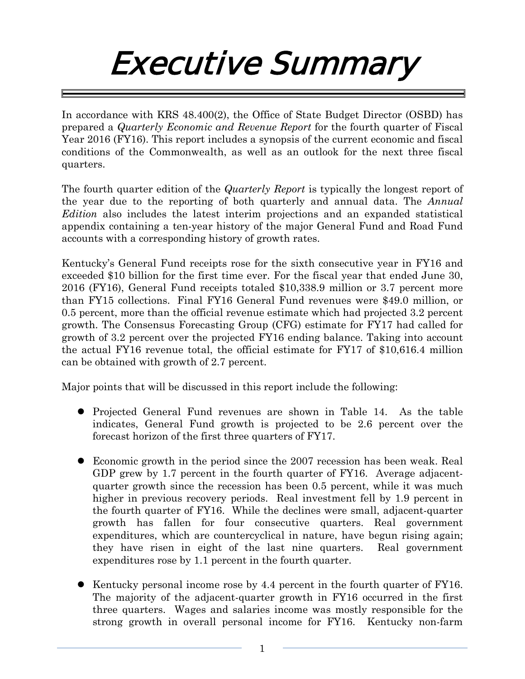# Executive Summary

In accordance with KRS 48.400(2), the Office of State Budget Director (OSBD) has prepared a *Quarterly Economic and Revenue Report* for the fourth quarter of Fiscal Year 2016 (FY16). This report includes a synopsis of the current economic and fiscal conditions of the Commonwealth, as well as an outlook for the next three fiscal quarters.

The fourth quarter edition of the *Quarterly Report* is typically the longest report of the year due to the reporting of both quarterly and annual data. The *Annual Edition* also includes the latest interim projections and an expanded statistical appendix containing a ten-year history of the major General Fund and Road Fund accounts with a corresponding history of growth rates.

Kentucky's General Fund receipts rose for the sixth consecutive year in FY16 and exceeded \$10 billion for the first time ever. For the fiscal year that ended June 30, 2016 (FY16), General Fund receipts totaled \$10,338.9 million or 3.7 percent more than FY15 collections. Final FY16 General Fund revenues were \$49.0 million, or 0.5 percent, more than the official revenue estimate which had projected 3.2 percent growth. The Consensus Forecasting Group (CFG) estimate for FY17 had called for growth of 3.2 percent over the projected FY16 ending balance. Taking into account the actual FY16 revenue total, the official estimate for FY17 of \$10,616.4 million can be obtained with growth of 2.7 percent.

Major points that will be discussed in this report include the following:

- Projected General Fund revenues are shown in Table 14. As the table indicates, General Fund growth is projected to be 2.6 percent over the forecast horizon of the first three quarters of FY17.
- Economic growth in the period since the 2007 recession has been weak. Real GDP grew by 1.7 percent in the fourth quarter of FY16. Average adjacentquarter growth since the recession has been 0.5 percent, while it was much higher in previous recovery periods. Real investment fell by 1.9 percent in the fourth quarter of FY16. While the declines were small, adjacent-quarter growth has fallen for four consecutive quarters. Real government expenditures, which are countercyclical in nature, have begun rising again; they have risen in eight of the last nine quarters. Real government expenditures rose by 1.1 percent in the fourth quarter.
- $\bullet$  Kentucky personal income rose by 4.4 percent in the fourth quarter of FY16. The majority of the adjacent-quarter growth in FY16 occurred in the first three quarters. Wages and salaries income was mostly responsible for the strong growth in overall personal income for FY16. Kentucky non-farm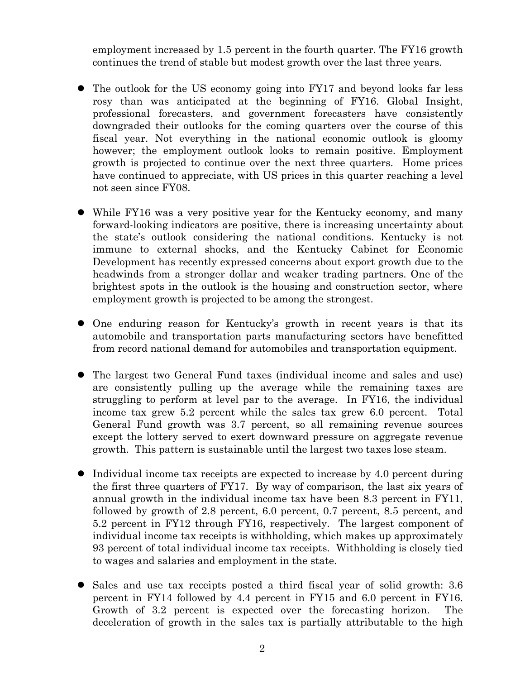employment increased by 1.5 percent in the fourth quarter. The FY16 growth continues the trend of stable but modest growth over the last three years.

- The outlook for the US economy going into FY17 and beyond looks far less rosy than was anticipated at the beginning of FY16. Global Insight, professional forecasters, and government forecasters have consistently downgraded their outlooks for the coming quarters over the course of this fiscal year. Not everything in the national economic outlook is gloomy however; the employment outlook looks to remain positive. Employment growth is projected to continue over the next three quarters. Home prices have continued to appreciate, with US prices in this quarter reaching a level not seen since FY08.
- While FY16 was a very positive year for the Kentucky economy, and many forward-looking indicators are positive, there is increasing uncertainty about the state's outlook considering the national conditions. Kentucky is not immune to external shocks, and the Kentucky Cabinet for Economic Development has recently expressed concerns about export growth due to the headwinds from a stronger dollar and weaker trading partners. One of the brightest spots in the outlook is the housing and construction sector, where employment growth is projected to be among the strongest.
- One enduring reason for Kentucky's growth in recent years is that its automobile and transportation parts manufacturing sectors have benefitted from record national demand for automobiles and transportation equipment.
- The largest two General Fund taxes (individual income and sales and use) are consistently pulling up the average while the remaining taxes are struggling to perform at level par to the average. In FY16, the individual income tax grew 5.2 percent while the sales tax grew 6.0 percent. Total General Fund growth was 3.7 percent, so all remaining revenue sources except the lottery served to exert downward pressure on aggregate revenue growth. This pattern is sustainable until the largest two taxes lose steam.
- Individual income tax receipts are expected to increase by 4.0 percent during the first three quarters of FY17. By way of comparison, the last six years of annual growth in the individual income tax have been 8.3 percent in FY11, followed by growth of 2.8 percent, 6.0 percent, 0.7 percent, 8.5 percent, and 5.2 percent in FY12 through FY16, respectively. The largest component of individual income tax receipts is withholding, which makes up approximately 93 percent of total individual income tax receipts. Withholding is closely tied to wages and salaries and employment in the state.
- Sales and use tax receipts posted a third fiscal year of solid growth: 3.6 percent in FY14 followed by 4.4 percent in FY15 and 6.0 percent in FY16. Growth of 3.2 percent is expected over the forecasting horizon. The deceleration of growth in the sales tax is partially attributable to the high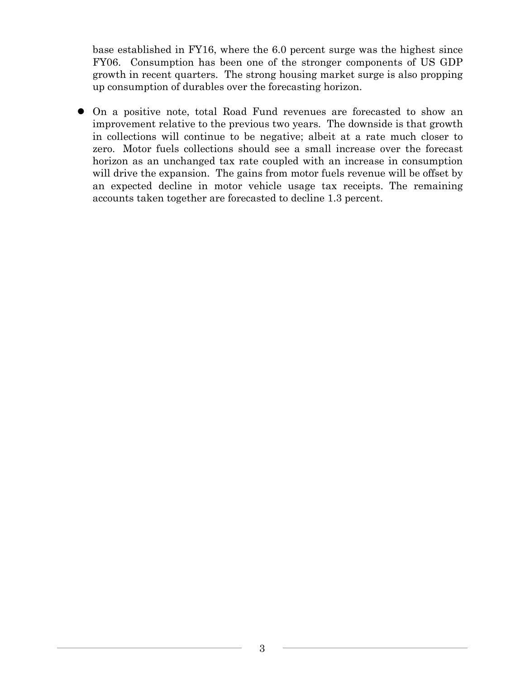base established in FY16, where the 6.0 percent surge was the highest since FY06. Consumption has been one of the stronger components of US GDP growth in recent quarters. The strong housing market surge is also propping up consumption of durables over the forecasting horizon.

 On a positive note, total Road Fund revenues are forecasted to show an improvement relative to the previous two years. The downside is that growth in collections will continue to be negative; albeit at a rate much closer to zero. Motor fuels collections should see a small increase over the forecast horizon as an unchanged tax rate coupled with an increase in consumption will drive the expansion. The gains from motor fuels revenue will be offset by an expected decline in motor vehicle usage tax receipts. The remaining accounts taken together are forecasted to decline 1.3 percent.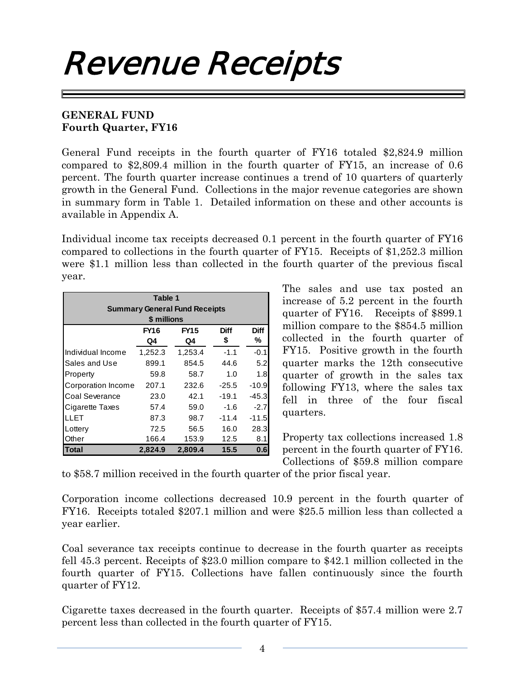# Revenue Receipts

## **GENERAL FUND Fourth Quarter, FY16**

General Fund receipts in the fourth quarter of FY16 totaled \$2,824.9 million compared to \$2,809.4 million in the fourth quarter of FY15, an increase of 0.6 percent. The fourth quarter increase continues a trend of 10 quarters of quarterly growth in the General Fund. Collections in the major revenue categories are shown in summary form in Table 1. Detailed information on these and other accounts is available in Appendix A.

Individual income tax receipts decreased 0.1 percent in the fourth quarter of FY16 compared to collections in the fourth quarter of FY15. Receipts of \$1,252.3 million were \$1.1 million less than collected in the fourth quarter of the previous fiscal year.

| Table 1<br><b>Summary General Fund Receipts</b><br>\$ millions |         |             |             |             |  |  |  |  |
|----------------------------------------------------------------|---------|-------------|-------------|-------------|--|--|--|--|
|                                                                | FY16    | <b>FY15</b> | <b>Diff</b> | <b>Diff</b> |  |  |  |  |
|                                                                | Q4      | Q4          | \$          | ℅           |  |  |  |  |
| Individual Income                                              | 1,252.3 | 1,253.4     | $-1.1$      | $-0.1$      |  |  |  |  |
| Sales and Use                                                  | 899.1   | 854.5       | 44.6        | 5.2         |  |  |  |  |
| Property                                                       | 59.8    | 58.7        | 1.0         | 1.8         |  |  |  |  |
| Corporation Income                                             | 207.1   | 232.6       | $-25.5$     | $-10.9$     |  |  |  |  |
| Coal Severance                                                 | 23.0    | 42.1        | $-19.1$     | $-45.3$     |  |  |  |  |
| Cigarette Taxes                                                | 57.4    | 59.0        | $-1.6$      | $-2.7$      |  |  |  |  |
| LLET                                                           | 87.3    | 98.7        | $-11.4$     | $-11.5$     |  |  |  |  |
| Lottery                                                        | 72.5    | 56.5        | 16.0        | 28.3        |  |  |  |  |
| Other                                                          | 166.4   | 153.9       | 12.5        | 8.1         |  |  |  |  |
| <b>Total</b>                                                   | 2,824.9 | 2,809.4     | 15.5        | 0.6         |  |  |  |  |

The sales and use tax posted an increase of 5.2 percent in the fourth quarter of FY16. Receipts of \$899.1 million compare to the \$854.5 million collected in the fourth quarter of FY15. Positive growth in the fourth quarter marks the 12th consecutive quarter of growth in the sales tax following FY13, where the sales tax fell in three of the four fiscal quarters.

Property tax collections increased 1.8 percent in the fourth quarter of FY16. Collections of \$59.8 million compare

to \$58.7 million received in the fourth quarter of the prior fiscal year.

Corporation income collections decreased 10.9 percent in the fourth quarter of FY16. Receipts totaled \$207.1 million and were \$25.5 million less than collected a year earlier.

Coal severance tax receipts continue to decrease in the fourth quarter as receipts fell 45.3 percent. Receipts of \$23.0 million compare to \$42.1 million collected in the fourth quarter of FY15. Collections have fallen continuously since the fourth quarter of FY12.

Cigarette taxes decreased in the fourth quarter. Receipts of \$57.4 million were 2.7 percent less than collected in the fourth quarter of FY15.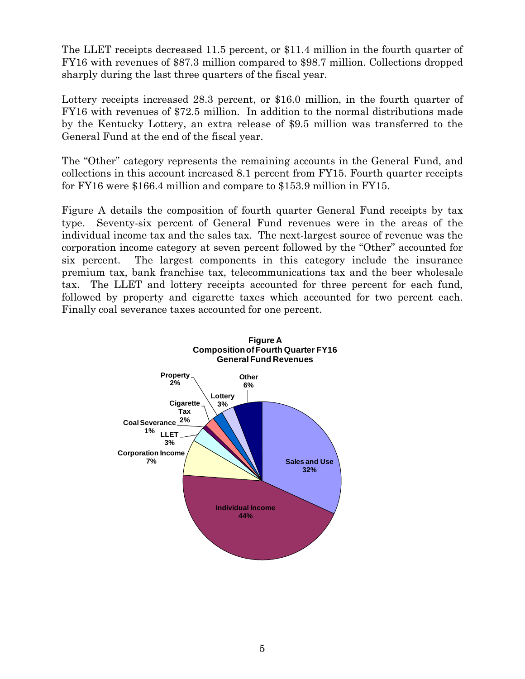The LLET receipts decreased 11.5 percent, or \$11.4 million in the fourth quarter of FY16 with revenues of \$87.3 million compared to \$98.7 million. Collections dropped sharply during the last three quarters of the fiscal year.

Lottery receipts increased 28.3 percent, or \$16.0 million, in the fourth quarter of FY16 with revenues of \$72.5 million. In addition to the normal distributions made by the Kentucky Lottery, an extra release of \$9.5 million was transferred to the General Fund at the end of the fiscal year.

The "Other" category represents the remaining accounts in the General Fund, and collections in this account increased 8.1 percent from FY15. Fourth quarter receipts for FY16 were \$166.4 million and compare to \$153.9 million in FY15.

Figure A details the composition of fourth quarter General Fund receipts by tax type. Seventy-six percent of General Fund revenues were in the areas of the individual income tax and the sales tax. The next-largest source of revenue was the corporation income category at seven percent followed by the "Other" accounted for six percent. The largest components in this category include the insurance premium tax, bank franchise tax, telecommunications tax and the beer wholesale tax. The LLET and lottery receipts accounted for three percent for each fund, followed by property and cigarette taxes which accounted for two percent each. Finally coal severance taxes accounted for one percent.

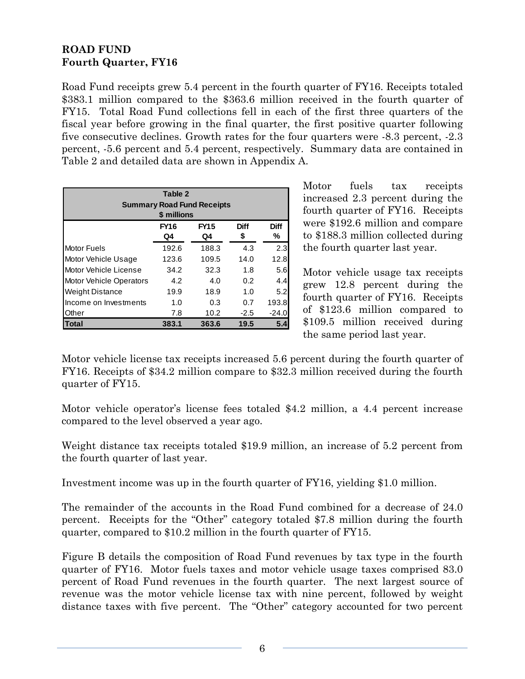# **ROAD FUND Fourth Quarter, FY16**

Road Fund receipts grew 5.4 percent in the fourth quarter of FY16. Receipts totaled \$383.1 million compared to the \$363.6 million received in the fourth quarter of FY15. Total Road Fund collections fell in each of the first three quarters of the fiscal year before growing in the final quarter, the first positive quarter following five consecutive declines. Growth rates for the four quarters were -8.3 percent, -2.3 percent, -5.6 percent and 5.4 percent, respectively. Summary data are contained in Table 2 and detailed data are shown in Appendix A.

| Table 2<br><b>Summary Road Fund Receipts</b><br>\$ millions |            |                   |                   |                  |  |  |  |
|-------------------------------------------------------------|------------|-------------------|-------------------|------------------|--|--|--|
|                                                             | FY16<br>Q4 | <b>FY15</b><br>Q4 | <b>Diff</b><br>\$ | <b>Diff</b><br>℅ |  |  |  |
| <b>Motor Fuels</b>                                          | 192.6      | 188.3             | 4.3               | 2.3              |  |  |  |
| Motor Vehicle Usage                                         | 123.6      | 109.5             | 14.0              | 12.8             |  |  |  |
| Motor Vehicle License                                       | 34.2       | 32.3              | 1.8               | 5.6              |  |  |  |
| <b>Motor Vehicle Operators</b>                              | 4.2        | 4.0               | 0.2               | 4.4              |  |  |  |
| <b>Weight Distance</b>                                      | 19.9       | 18.9              | 1.0               | 5.2              |  |  |  |
| Income on Investments                                       | 1.0        | 0.3               | 0.7               | 193.8            |  |  |  |
| Other                                                       | 7.8        | 10.2              | $-2.5$            | $-24.0$          |  |  |  |
| Total                                                       | 383.1      | 363.6             | 19.5              | 5.4              |  |  |  |

Motor fuels tax receipts increased 2.3 percent during the fourth quarter of FY16. Receipts were \$192.6 million and compare to \$188.3 million collected during the fourth quarter last year.

Motor vehicle usage tax receipts grew 12.8 percent during the fourth quarter of FY16. Receipts of \$123.6 million compared to \$109.5 million received during the same period last year.

Motor vehicle license tax receipts increased 5.6 percent during the fourth quarter of FY16. Receipts of \$34.2 million compare to \$32.3 million received during the fourth quarter of FY15.

Motor vehicle operator's license fees totaled \$4.2 million, a 4.4 percent increase compared to the level observed a year ago.

Weight distance tax receipts totaled \$19.9 million, an increase of 5.2 percent from the fourth quarter of last year.

Investment income was up in the fourth quarter of FY16, yielding \$1.0 million.

The remainder of the accounts in the Road Fund combined for a decrease of 24.0 percent. Receipts for the "Other" category totaled \$7.8 million during the fourth quarter, compared to \$10.2 million in the fourth quarter of FY15.

Figure B details the composition of Road Fund revenues by tax type in the fourth quarter of FY16. Motor fuels taxes and motor vehicle usage taxes comprised 83.0 percent of Road Fund revenues in the fourth quarter. The next largest source of revenue was the motor vehicle license tax with nine percent, followed by weight distance taxes with five percent. The "Other" category accounted for two percent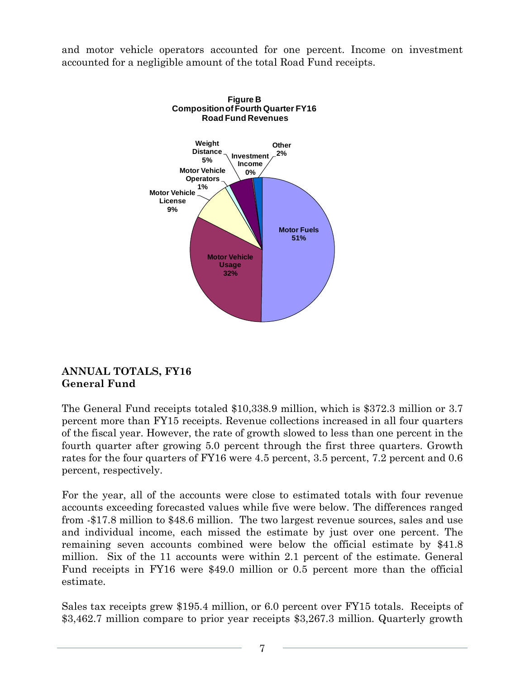and motor vehicle operators accounted for one percent. Income on investment accounted for a negligible amount of the total Road Fund receipts.



## **ANNUAL TOTALS, FY16 General Fund**

The General Fund receipts totaled \$10,338.9 million, which is \$372.3 million or 3.7 percent more than FY15 receipts. Revenue collections increased in all four quarters of the fiscal year. However, the rate of growth slowed to less than one percent in the fourth quarter after growing 5.0 percent through the first three quarters. Growth rates for the four quarters of FY16 were 4.5 percent, 3.5 percent, 7.2 percent and 0.6 percent, respectively.

For the year, all of the accounts were close to estimated totals with four revenue accounts exceeding forecasted values while five were below. The differences ranged from -\$17.8 million to \$48.6 million. The two largest revenue sources, sales and use and individual income, each missed the estimate by just over one percent. The remaining seven accounts combined were below the official estimate by \$41.8 million. Six of the 11 accounts were within 2.1 percent of the estimate. General Fund receipts in FY16 were \$49.0 million or 0.5 percent more than the official estimate.

Sales tax receipts grew \$195.4 million, or 6.0 percent over FY15 totals. Receipts of \$3,462.7 million compare to prior year receipts \$3,267.3 million. Quarterly growth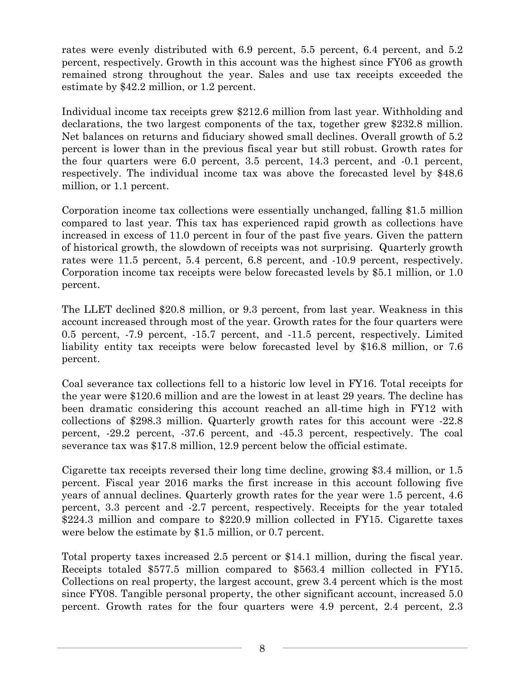rates were evenly distributed with 6.9 percent, 5.5 percent, 6.4 percent, and 5.2 percent, respectively. Growth in this account was the highest since FY06 as growth remained strong throughout the year. Sales and use tax receipts exceeded the estimate by \$42.2 million, or 1.2 percent.

Individual income tax receipts grew \$212.6 million from last year. Withholding and declarations, the two largest components of the tax, together grew \$232.8 million. Net balances on returns and fiduciary showed small declines. Overall growth of 5.2 percent is lower than in the previous fiscal year but still robust. Growth rates for the four quarters were 6.0 percent, 3.5 percent, 14.3 percent, and -0.1 percent, respectively. The individual income tax was above the forecasted level by \$48.6 million, or 1.1 percent.

Corporation income tax collections were essentially unchanged, falling \$1.5 million compared to last year. This tax has experienced rapid growth as collections have increased in excess of 11.0 percent in four of the past five years. Given the pattern of historical growth, the slowdown of receipts was not surprising. Quarterly growth rates were 11.5 percent, 5.4 percent, 6.8 percent, and -10.9 percent, respectively. Corporation income tax receipts were below forecasted levels by \$5.1 million, or 1.0 percent.

The LLET declined \$20.8 million, or 9.3 percent, from last year. Weakness in this account increased through most of the year. Growth rates for the four quarters were 0.5 percent, -7.9 percent, -15.7 percent, and -11.5 percent, respectively. Limited liability entity tax receipts were below forecasted level by \$16.8 million, or 7.6 percent.

Coal severance tax collections fell to a historic low level in FY16. Total receipts for the year were \$120.6 million and are the lowest in at least 29 years. The decline has been dramatic considering this account reached an all-time high in FY12 with collections of \$298.3 million. Quarterly growth rates for this account were -22.8 percent, -29.2 percent, -37.6 percent, and -45.3 percent, respectively. The coal severance tax was \$17.8 million, 12.9 percent below the official estimate.

Cigarette tax receipts reversed their long time decline, growing \$3.4 million, or 1.5 percent. Fiscal year 2016 marks the first increase in this account following five years of annual declines. Quarterly growth rates for the year were 1.5 percent, 4.6 percent, 3.3 percent and -2.7 percent, respectively. Receipts for the year totaled \$224.3 million and compare to \$220.9 million collected in FY15. Cigarette taxes were below the estimate by \$1.5 million, or 0.7 percent.

Total property taxes increased 2.5 percent or \$14.1 million, during the fiscal year. Receipts totaled \$577.5 million compared to \$563.4 million collected in FY15. Collections on real property, the largest account, grew 3.4 percent which is the most since FY08. Tangible personal property, the other significant account, increased 5.0 percent. Growth rates for the four quarters were 4.9 percent, 2.4 percent, 2.3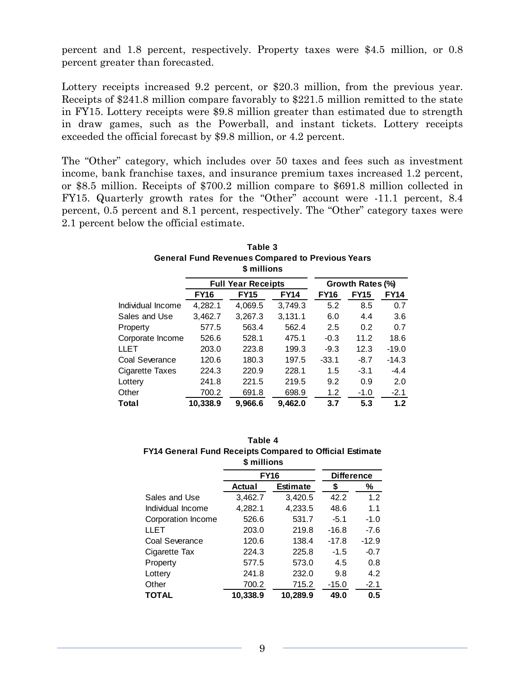percent and 1.8 percent, respectively. Property taxes were \$4.5 million, or 0.8 percent greater than forecasted.

Lottery receipts increased 9.2 percent, or \$20.3 million, from the previous year. Receipts of \$241.8 million compare favorably to \$221.5 million remitted to the state in FY15. Lottery receipts were \$9.8 million greater than estimated due to strength in draw games, such as the Powerball, and instant tickets. Lottery receipts exceeded the official forecast by \$9.8 million, or 4.2 percent.

The "Other" category, which includes over 50 taxes and fees such as investment income, bank franchise taxes, and insurance premium taxes increased 1.2 percent, or \$8.5 million. Receipts of \$700.2 million compare to \$691.8 million collected in FY15. Quarterly growth rates for the "Other" account were -11.1 percent, 8.4 percent, 0.5 percent and 8.1 percent, respectively. The "Other" category taxes were 2.1 percent below the official estimate.

| Table 3<br><b>General Fund Revenues Compared to Previous Years</b><br>\$ millions |             |                           |             |             |                  |             |  |  |
|-----------------------------------------------------------------------------------|-------------|---------------------------|-------------|-------------|------------------|-------------|--|--|
|                                                                                   |             | <b>Full Year Receipts</b> |             |             | Growth Rates (%) |             |  |  |
|                                                                                   | <b>FY16</b> | <b>FY15</b>               | <b>FY14</b> | <b>FY16</b> | <b>FY15</b>      | <b>FY14</b> |  |  |
| Individual Income                                                                 | 4,282.1     | 4,069.5                   | 3,749.3     | 5.2         | 8.5              | 0.7         |  |  |
| Sales and Use                                                                     | 3,462.7     | 3,267.3                   | 3,131.1     | 6.0         | 4.4              | 3.6         |  |  |
| Property                                                                          | 577.5       | 563.4                     | 562.4       | 2.5         | 0.2              | 0.7         |  |  |
| Corporate Income                                                                  | 526.6       | 528.1                     | 475.1       | $-0.3$      | 11.2             | 18.6        |  |  |
| LLET                                                                              | 203.0       | 223.8                     | 199.3       | $-9.3$      | 12.3             | $-19.0$     |  |  |
| Coal Severance                                                                    | 120.6       | 180.3                     | 197.5       | $-33.1$     | $-8.7$           | $-14.3$     |  |  |
| Cigarette Taxes                                                                   | 224.3       | 220.9                     | 228.1       | 1.5         | $-3.1$           | $-4.4$      |  |  |
| Lotterv                                                                           | 241.8       | 221.5                     | 219.5       | 9.2         | 0.9              | 2.0         |  |  |
| Other                                                                             | 700.2       | 691.8                     | 698.9       | 1.2         | $-1.0$           | $-2.1$      |  |  |
| Total                                                                             | 10,338.9    | 9,966.6                   | 9,462.0     | 3.7         | 5.3              | $1.2$       |  |  |

| Table 4                                                  |
|----------------------------------------------------------|
| FY14 General Fund Receipts Compared to Official Estimate |
| \$ millions                                              |

|                    | <b>FY16</b> | <b>Difference</b> |         |         |
|--------------------|-------------|-------------------|---------|---------|
|                    | Actual      | <b>Estimate</b>   | \$      | ℅       |
| Sales and Use      | 3,462.7     | 3,420.5           | 42.2    | 1.2     |
| Individual Income  | 4,282.1     | 4,233.5           | 48.6    | 1.1     |
| Corporation Income | 526.6       | 531.7             | $-5.1$  | $-1.0$  |
| <b>LLET</b>        | 203.0       | 219.8             | $-16.8$ | $-7.6$  |
| Coal Severance     | 120.6       | 138.4             | $-17.8$ | $-12.9$ |
| Cigarette Tax      | 224.3       | 225.8             | $-1.5$  | $-0.7$  |
| Property           | 577.5       | 573.0             | 4.5     | 0.8     |
| Lottery            | 241.8       | 232.0             | 9.8     | 4.2     |
| Other              | 700.2       | 715.2             | $-15.0$ | $-2.1$  |
| <b>TOTAL</b>       | 10.338.9    | 10.289.9          | 49.0    | 0.5     |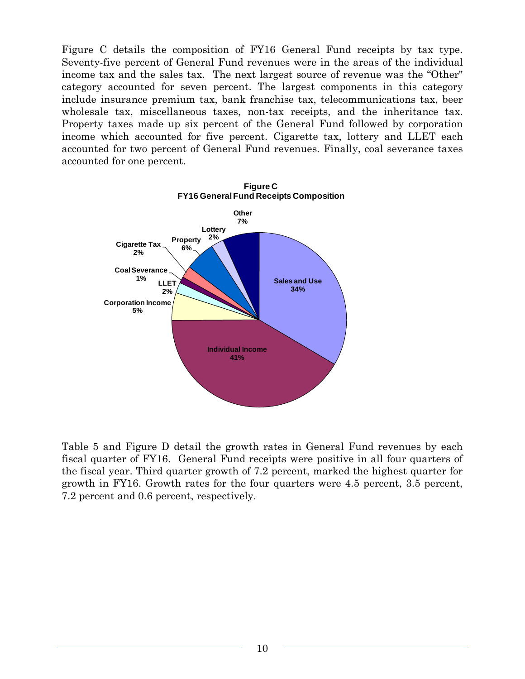Figure C details the composition of FY16 General Fund receipts by tax type. Seventy-five percent of General Fund revenues were in the areas of the individual income tax and the sales tax. The next largest source of revenue was the "Other" category accounted for seven percent. The largest components in this category include insurance premium tax, bank franchise tax, telecommunications tax, beer wholesale tax, miscellaneous taxes, non-tax receipts, and the inheritance tax. Property taxes made up six percent of the General Fund followed by corporation income which accounted for five percent. Cigarette tax, lottery and LLET each accounted for two percent of General Fund revenues. Finally, coal severance taxes accounted for one percent.



Table 5 and Figure D detail the growth rates in General Fund revenues by each fiscal quarter of FY16. General Fund receipts were positive in all four quarters of the fiscal year. Third quarter growth of 7.2 percent, marked the highest quarter for growth in FY16. Growth rates for the four quarters were 4.5 percent, 3.5 percent, 7.2 percent and 0.6 percent, respectively.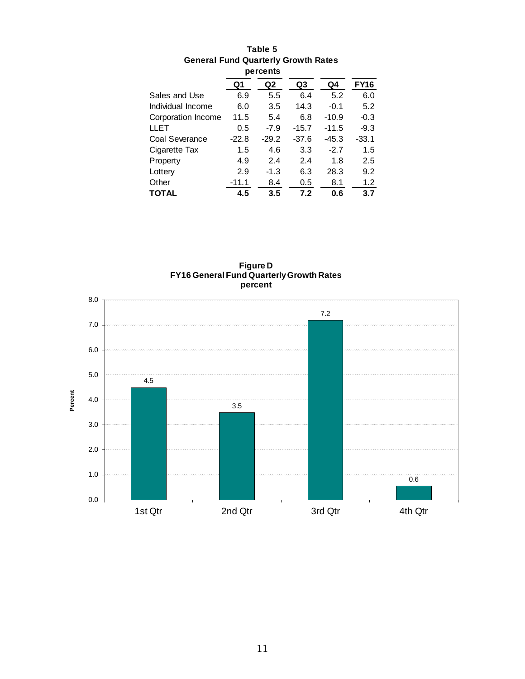|                    | percents |         |         |         |             |
|--------------------|----------|---------|---------|---------|-------------|
|                    | Q1       | Q2      | Q3      | Q4      | <b>FY16</b> |
| Sales and Use      | 6.9      | 5.5     | 6.4     | 5.2     | 6.0         |
| Individual Income  | 6.0      | 3.5     | 14.3    | $-0.1$  | 5.2         |
| Corporation Income | 11.5     | 5.4     | 6.8     | $-10.9$ | $-0.3$      |
| <b>LLET</b>        | 0.5      | $-7.9$  | $-15.7$ | $-11.5$ | $-9.3$      |
| Coal Severance     | $-22.8$  | $-29.2$ | $-37.6$ | -45.3   | -33.1       |
| Cigarette Tax      | 1.5      | 4.6     | 3.3     | $-2.7$  | 1.5         |
| Property           | 4.9      | 2.4     | 2.4     | 1.8     | 2.5         |
| Lottery            | 2.9      | $-1.3$  | 6.3     | 28.3    | 9.2         |
| Other              | $-11.1$  | 8.4     | 0.5     | 8.1     | 1.2         |
| <b>TOTAL</b>       | 4.5      | 3.5     | 7.2     | 0.6     | 3.7         |

# **Table 5 General Fund Quarterly Growth Rates**



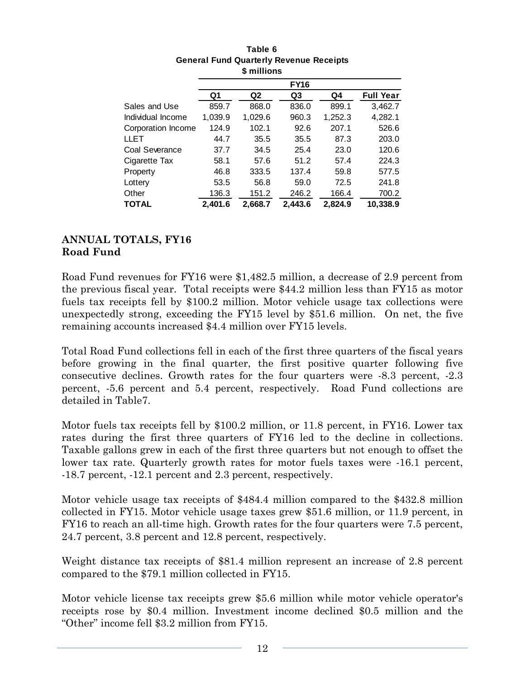|                    |         | טווטוווויש     |         |         |                  |  |  |
|--------------------|---------|----------------|---------|---------|------------------|--|--|
|                    |         | <b>FY16</b>    |         |         |                  |  |  |
|                    | Q1      | Q <sub>2</sub> | Q3      | Q4      | <b>Full Year</b> |  |  |
| Sales and Use      | 859.7   | 868.0          | 836.0   | 899.1   | 3,462.7          |  |  |
| Individual Income  | 1,039.9 | 1,029.6        | 960.3   | 1,252.3 | 4,282.1          |  |  |
| Corporation Income | 124.9   | 102.1          | 92.6    | 207.1   | 526.6            |  |  |
| <b>LLET</b>        | 44.7    | 35.5           | 35.5    | 87.3    | 203.0            |  |  |
| Coal Severance     | 37.7    | 34.5           | 25.4    | 23.0    | 120.6            |  |  |
| Cigarette Tax      | 58.1    | 57.6           | 51.2    | 57.4    | 224.3            |  |  |
| Property           | 46.8    | 333.5          | 137.4   | 59.8    | 577.5            |  |  |
| Lottery            | 53.5    | 56.8           | 59.0    | 72.5    | 241.8            |  |  |
| Other              | 136.3   | 151.2          | 246.2   | 166.4   | 700.2            |  |  |
| TOTAL              | 2.401.6 | 2.668.7        | 2.443.6 | 2.824.9 | 10,338.9         |  |  |

#### **Table 6 General Fund Quarterly Revenue Receipts \$ millions**

# **ANNUAL TOTALS, FY16 Road Fund**

Road Fund revenues for FY16 were \$1,482.5 million, a decrease of 2.9 percent from the previous fiscal year. Total receipts were \$44.2 million less than FY15 as motor fuels tax receipts fell by \$100.2 million. Motor vehicle usage tax collections were unexpectedly strong, exceeding the FY15 level by \$51.6 million. On net, the five remaining accounts increased \$4.4 million over FY15 levels.

Total Road Fund collections fell in each of the first three quarters of the fiscal years before growing in the final quarter, the first positive quarter following five consecutive declines. Growth rates for the four quarters were -8.3 percent, -2.3 percent, -5.6 percent and 5.4 percent, respectively. Road Fund collections are detailed in Table7.

Motor fuels tax receipts fell by \$100.2 million, or 11.8 percent, in FY16. Lower tax rates during the first three quarters of FY16 led to the decline in collections. Taxable gallons grew in each of the first three quarters but not enough to offset the lower tax rate. Quarterly growth rates for motor fuels taxes were -16.1 percent, -18.7 percent, -12.1 percent and 2.3 percent, respectively.

Motor vehicle usage tax receipts of \$484.4 million compared to the \$432.8 million collected in FY15. Motor vehicle usage taxes grew \$51.6 million, or 11.9 percent, in FY16 to reach an all-time high. Growth rates for the four quarters were 7.5 percent, 24.7 percent, 3.8 percent and 12.8 percent, respectively.

Weight distance tax receipts of \$81.4 million represent an increase of 2.8 percent compared to the \$79.1 million collected in FY15.

Motor vehicle license tax receipts grew \$5.6 million while motor vehicle operator's receipts rose by \$0.4 million. Investment income declined \$0.5 million and the "Other" income fell \$3.2 million from FY15.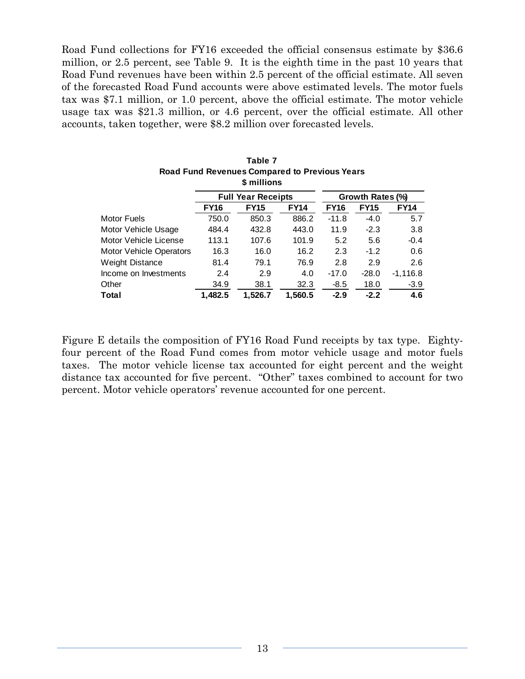Road Fund collections for FY16 exceeded the official consensus estimate by \$36.6 million, or 2.5 percent, see Table 9. It is the eighth time in the past 10 years that Road Fund revenues have been within 2.5 percent of the official estimate. All seven of the forecasted Road Fund accounts were above estimated levels. The motor fuels tax was \$7.1 million, or 1.0 percent, above the official estimate. The motor vehicle usage tax was \$21.3 million, or 4.6 percent, over the official estimate. All other accounts, taken together, were \$8.2 million over forecasted levels.

|                                |             | Road Fund Revenues Compared to Previous Tears<br>\$ millions |             |             |                  |             |
|--------------------------------|-------------|--------------------------------------------------------------|-------------|-------------|------------------|-------------|
|                                |             | <b>Full Year Receipts</b>                                    |             |             | Growth Rates (%) |             |
|                                | <b>FY16</b> | <b>FY15</b>                                                  | <b>FY14</b> | <b>FY16</b> | <b>FY15</b>      | <b>FY14</b> |
| <b>Motor Fuels</b>             | 750.0       | 850.3                                                        | 886.2       | $-11.8$     | $-4.0$           | 5.7         |
| Motor Vehicle Usage            | 484.4       | 432.8                                                        | 443.0       | 11.9        | $-2.3$           | 3.8         |
| Motor Vehicle License          | 113.1       | 107.6                                                        | 101.9       | 5.2         | 5.6              | $-0.4$      |
| <b>Motor Vehicle Operators</b> | 16.3        | 16.0                                                         | 16.2        | 2.3         | $-1.2$           | 0.6         |
| <b>Weight Distance</b>         | 81.4        | 79.1                                                         | 76.9        | 2.8         | 2.9              | 2.6         |
| Income on Investments          | 2.4         | 2.9                                                          | 4.0         | $-17.0$     | $-28.0$          | $-1,116.8$  |
| Other                          | 34.9        | 38.1                                                         | 32.3        | $-8.5$      | 18.0             | $-3.9$      |
| <b>Total</b>                   | 1.482.5     | 1.526.7                                                      | 1.560.5     | $-2.9$      | $-2.2$           | 4.6         |

| Table 7                                              |  |
|------------------------------------------------------|--|
| <b>Road Fund Revenues Compared to Previous Years</b> |  |
| \$ millions                                          |  |

Figure E details the composition of FY16 Road Fund receipts by tax type. Eightyfour percent of the Road Fund comes from motor vehicle usage and motor fuels taxes. The motor vehicle license tax accounted for eight percent and the weight distance tax accounted for five percent. "Other" taxes combined to account for two percent. Motor vehicle operators' revenue accounted for one percent.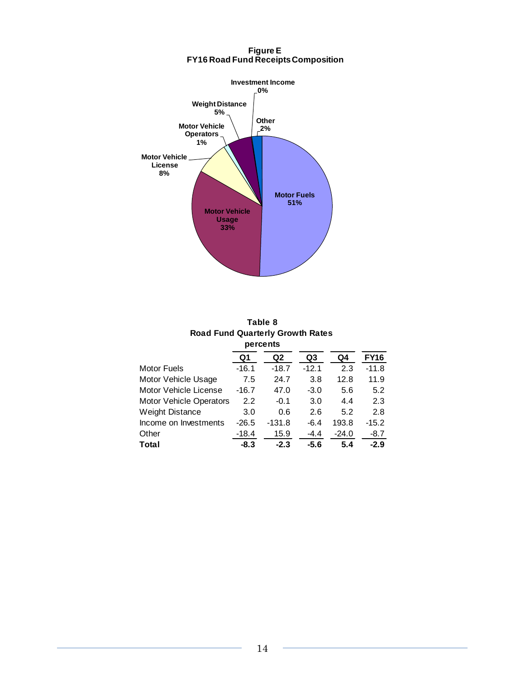

#### **Figure E FY16 Road Fund Receipts Composition**

| Table 8                                 |
|-----------------------------------------|
| <b>Road Fund Quarterly Growth Rates</b> |
| percents                                |

| Q1      | Q2       | Q3       | Q4      | <b>FY16</b> |
|---------|----------|----------|---------|-------------|
| $-16.1$ | $-18.7$  | $-12.1$  | 2.3     | $-11.8$     |
| 7.5     | 24.7     | 3.8      | 12.8    | 11.9        |
| $-16.7$ | 47.0     | $-3.0$   | 5.6     | 5.2         |
| 2.2     | $-0.1$   | 3.0      | 4.4     | 2.3         |
| 3.0     | 0.6      | 2.6      | 5.2     | 2.8         |
| $-26.5$ | $-131.8$ | $-6.4$   | 193.8   | $-15.2$     |
| $-18.4$ | 15.9     | $-4.4$   | $-24.0$ | $-8.7$      |
| $-8.3$  | $-2.3$   | $-5.6$   | 5.4     | $-2.9$      |
|         |          | percents |         |             |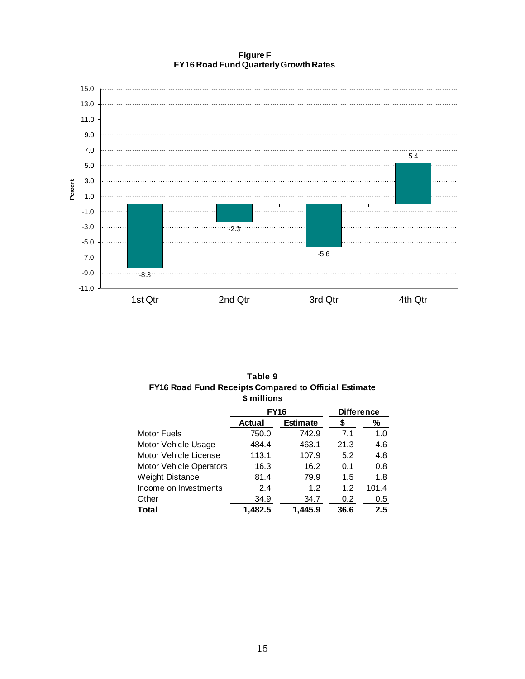**Figure F FY16 Road Fund Quarterly Growth Rates**



| FY16 Road Fund Receipts Compared to Official Estimate | \$ millions |                 |                   |         |
|-------------------------------------------------------|-------------|-----------------|-------------------|---------|
|                                                       | <b>FY16</b> |                 | <b>Difference</b> |         |
|                                                       | Actual      | <b>Estimate</b> |                   | ℅       |
| <b>Motor Fuels</b>                                    | 750.0       | 742.9           | 7.1               | 1.0     |
| Motor Vehicle Usage                                   | 484.4       | 463.1           | 21.3              | 4.6     |
| Motor Vehicle License                                 | 113.1       | 107.9           | 5.2               | 4.8     |
| <b>Motor Vehicle Operators</b>                        | 16.3        | 16.2            | 0.1               | 0.8     |
| <b>Weight Distance</b>                                | 81.4        | 79.9            | 1.5               | 1.8     |
| Income on Investments                                 | 2.4         | 1.2             | 1.2               | 101.4   |
| Other                                                 | 34.9        | 34.7            | 0.2               | $0.5\,$ |
| Total                                                 | 1.482.5     | 1,445.9         | 36.6              | 2.5     |

**Table 9 FY16 Road Fund Receipts Compared to Official Estimate**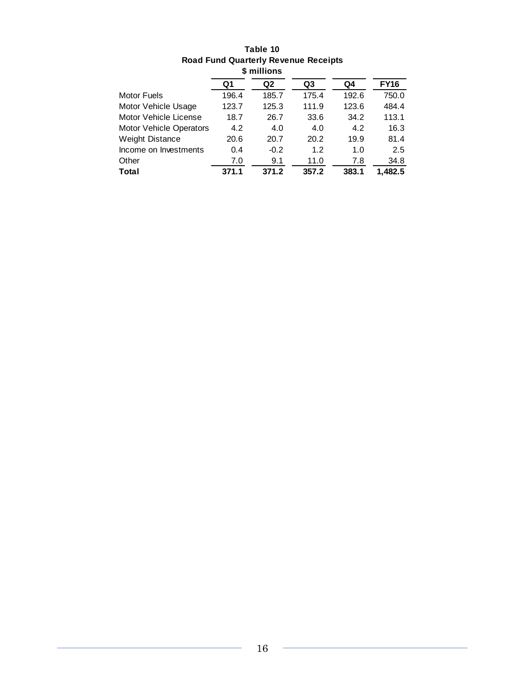| <b>Road Fund Quarterly Revenue Receipts</b> |       |                |       |       |             |  |  |  |  |
|---------------------------------------------|-------|----------------|-------|-------|-------------|--|--|--|--|
| \$ millions                                 |       |                |       |       |             |  |  |  |  |
|                                             | Q1    | Q <sub>2</sub> | Q3    | Q4    | <b>FY16</b> |  |  |  |  |
| <b>Motor Fuels</b>                          | 196.4 | 185.7          | 175.4 | 192.6 | 750.0       |  |  |  |  |
| Motor Vehicle Usage                         | 123.7 | 125.3          | 111.9 | 123.6 | 484.4       |  |  |  |  |
| Motor Vehicle License                       | 18.7  | 26.7           | 33.6  | 34.2  | 113.1       |  |  |  |  |
| Motor Vehicle Operators                     | 4.2   | 4.0            | 4.0   | 4.2   | 16.3        |  |  |  |  |
| <b>Weight Distance</b>                      | 20.6  | 20.7           | 20.2  | 19.9  | 81.4        |  |  |  |  |
| Income on Investments                       | 0.4   | $-0.2$         | 1.2   | 1.0   | 2.5         |  |  |  |  |
| Other                                       | 7.0   | 9.1            | 11.0  | 7.8   | 34.8        |  |  |  |  |
| Total                                       | 371.1 | 371.2          | 357.2 | 383.1 | 1.482.5     |  |  |  |  |

# **Table 10**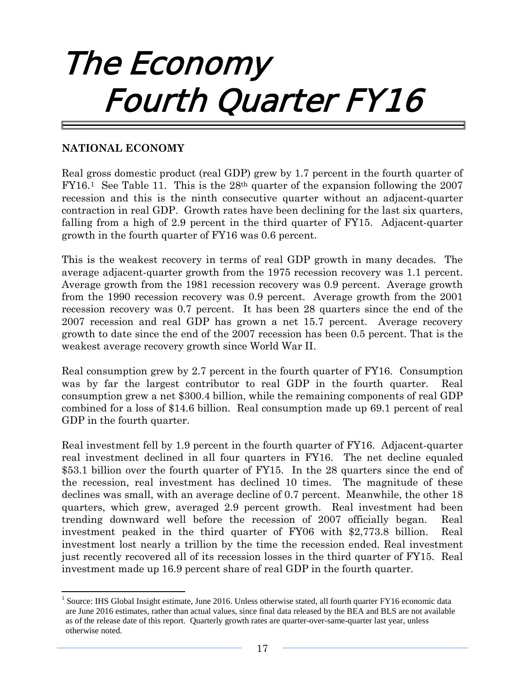# The Economy Fourth Quarter FY16

## **NATIONAL ECONOMY**

Real gross domestic product (real GDP) grew by 1.7 percent in the fourth quarter of FY16.[1](#page-20-0) See Table 11. This is the 28th quarter of the expansion following the 2007 recession and this is the ninth consecutive quarter without an adjacent-quarter contraction in real GDP. Growth rates have been declining for the last six quarters, falling from a high of 2.9 percent in the third quarter of FY15. Adjacent-quarter growth in the fourth quarter of FY16 was 0.6 percent.

This is the weakest recovery in terms of real GDP growth in many decades. The average adjacent-quarter growth from the 1975 recession recovery was 1.1 percent. Average growth from the 1981 recession recovery was 0.9 percent. Average growth from the 1990 recession recovery was 0.9 percent. Average growth from the 2001 recession recovery was 0.7 percent. It has been 28 quarters since the end of the 2007 recession and real GDP has grown a net 15.7 percent. Average recovery growth to date since the end of the 2007 recession has been 0.5 percent. That is the weakest average recovery growth since World War II.

Real consumption grew by 2.7 percent in the fourth quarter of FY16. Consumption was by far the largest contributor to real GDP in the fourth quarter. Real consumption grew a net \$300.4 billion, while the remaining components of real GDP combined for a loss of \$14.6 billion. Real consumption made up 69.1 percent of real GDP in the fourth quarter.

Real investment fell by 1.9 percent in the fourth quarter of FY16. Adjacent-quarter real investment declined in all four quarters in FY16. The net decline equaled \$53.1 billion over the fourth quarter of FY15. In the 28 quarters since the end of the recession, real investment has declined 10 times. The magnitude of these declines was small, with an average decline of 0.7 percent. Meanwhile, the other 18 quarters, which grew, averaged 2.9 percent growth. Real investment had been trending downward well before the recession of 2007 officially began. Real investment peaked in the third quarter of FY06 with \$2,773.8 billion. Real investment lost nearly a trillion by the time the recession ended. Real investment just recently recovered all of its recession losses in the third quarter of FY15. Real investment made up 16.9 percent share of real GDP in the fourth quarter.

<span id="page-20-0"></span><sup>&</sup>lt;sup>1</sup> Source: IHS Global Insight estimate, June 2016. Unless otherwise stated, all fourth quarter FY16 economic data are June 2016 estimates, rather than actual values, since final data released by the BEA and BLS are not available as of the release date of this report. Quarterly growth rates are quarter-over-same-quarter last year, unless otherwise noted.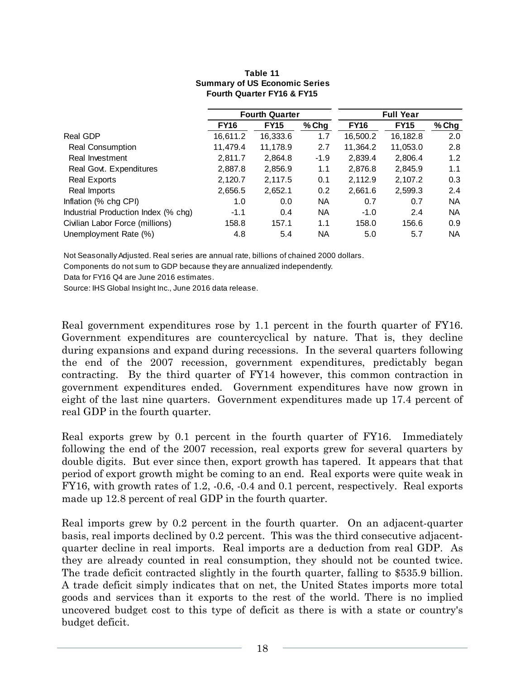#### **Table 11 Summary of US Economic Series Fourth Quarter FY16 & FY15**

|                                     |             | <b>Fourth Quarter</b> |           | <b>Full Year</b> |             |           |  |
|-------------------------------------|-------------|-----------------------|-----------|------------------|-------------|-----------|--|
|                                     | <b>FY16</b> | <b>FY15</b>           | $%$ Chg   | <b>FY16</b>      | <b>FY15</b> | % Chg     |  |
| Real GDP                            | 16,611.2    | 16,333.6              | 1.7       | 16,500.2         | 16,182.8    | 2.0       |  |
| <b>Real Consumption</b>             | 11,479.4    | 11,178.9              | 2.7       | 11,364.2         | 11,053.0    | 2.8       |  |
| Real Investment                     | 2,811.7     | 2,864.8               | $-1.9$    | 2,839.4          | 2,806.4     | 1.2       |  |
| Real Govt. Expenditures             | 2,887.8     | 2,856.9               | 1.1       | 2,876.8          | 2,845.9     | 1.1       |  |
| <b>Real Exports</b>                 | 2,120.7     | 2,117.5               | 0.1       | 2,112.9          | 2,107.2     | 0.3       |  |
| Real Imports                        | 2,656.5     | 2,652.1               | 0.2       | 2,661.6          | 2,599.3     | 2.4       |  |
| Inflation (% chg CPI)               | 1.0         | 0.0                   | <b>NA</b> | 0.7              | 0.7         | <b>NA</b> |  |
| Industrial Production Index (% chg) | $-1.1$      | 0.4                   | <b>NA</b> | $-1.0$           | 2.4         | <b>NA</b> |  |
| Civilian Labor Force (millions)     | 158.8       | 157.1                 | 1.1       | 158.0            | 156.6       | 0.9       |  |
| Unemployment Rate (%)               | 4.8         | 5.4                   | <b>NA</b> | 5.0              | 5.7         | <b>NA</b> |  |

Not Seasonally Adjusted. Real series are annual rate, billions of chained 2000 dollars.

Components do not sum to GDP because they are annualized independently.

Data for FY16 Q4 are June 2016 estimates.

Source: IHS Global Insight Inc., June 2016 data release.

Real government expenditures rose by 1.1 percent in the fourth quarter of FY16. Government expenditures are countercyclical by nature. That is, they decline during expansions and expand during recessions. In the several quarters following the end of the 2007 recession, government expenditures, predictably began contracting. By the third quarter of FY14 however, this common contraction in government expenditures ended. Government expenditures have now grown in eight of the last nine quarters. Government expenditures made up 17.4 percent of real GDP in the fourth quarter.

Real exports grew by 0.1 percent in the fourth quarter of FY16. Immediately following the end of the 2007 recession, real exports grew for several quarters by double digits. But ever since then, export growth has tapered. It appears that that period of export growth might be coming to an end. Real exports were quite weak in FY16, with growth rates of 1.2, -0.6, -0.4 and 0.1 percent, respectively. Real exports made up 12.8 percent of real GDP in the fourth quarter.

Real imports grew by 0.2 percent in the fourth quarter. On an adjacent-quarter basis, real imports declined by 0.2 percent. This was the third consecutive adjacentquarter decline in real imports. Real imports are a deduction from real GDP. As they are already counted in real consumption, they should not be counted twice. The trade deficit contracted slightly in the fourth quarter, falling to \$535.9 billion. A trade deficit simply indicates that on net, the United States imports more total goods and services than it exports to the rest of the world. There is no implied uncovered budget cost to this type of deficit as there is with a state or country's budget deficit.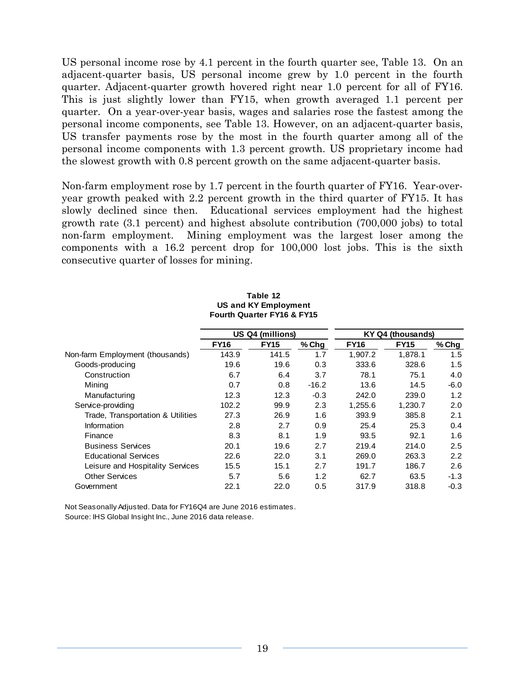US personal income rose by 4.1 percent in the fourth quarter see, Table 13. On an adjacent-quarter basis, US personal income grew by 1.0 percent in the fourth quarter. Adjacent-quarter growth hovered right near 1.0 percent for all of FY16. This is just slightly lower than FY15, when growth averaged 1.1 percent per quarter. On a year-over-year basis, wages and salaries rose the fastest among the personal income components, see Table 13. However, on an adjacent-quarter basis, US transfer payments rose by the most in the fourth quarter among all of the personal income components with 1.3 percent growth. US proprietary income had the slowest growth with 0.8 percent growth on the same adjacent-quarter basis.

Non-farm employment rose by 1.7 percent in the fourth quarter of FY16. Year-overyear growth peaked with 2.2 percent growth in the third quarter of FY15. It has slowly declined since then. Educational services employment had the highest growth rate (3.1 percent) and highest absolute contribution (700,000 jobs) to total non-farm employment. Mining employment was the largest loser among the components with a 16.2 percent drop for 100,000 lost jobs. This is the sixth consecutive quarter of losses for mining.

|                                   | US Q4 (millions) |             |         | KY Q4 (thousands) |             |        |  |
|-----------------------------------|------------------|-------------|---------|-------------------|-------------|--------|--|
|                                   | <b>FY16</b>      | <b>FY15</b> | % Chg   | <b>FY16</b>       | <b>FY15</b> | % Chg  |  |
| Non-farm Employment (thousands)   | 143.9            | 141.5       | 1.7     | 1.907.2           | 1,878.1     | 1.5    |  |
| Goods-producing                   | 19.6             | 19.6        | 0.3     | 333.6             | 328.6       | 1.5    |  |
| Construction                      | 6.7              | 6.4         | 3.7     | 78.1              | 75.1        | 4.0    |  |
| Mining                            | 0.7              | 0.8         | $-16.2$ | 13.6              | 14.5        | $-6.0$ |  |
| Manufacturing                     | 12.3             | 12.3        | $-0.3$  | 242.0             | 239.0       | 1.2    |  |
| Service-providing                 | 102.2            | 99.9        | 2.3     | 1,255.6           | 1,230.7     | 2.0    |  |
| Trade, Transportation & Utilities | 27.3             | 26.9        | 1.6     | 393.9             | 385.8       | 2.1    |  |
| <b>Information</b>                | 2.8              | 2.7         | 0.9     | 25.4              | 25.3        | 0.4    |  |
| Finance                           | 8.3              | 8.1         | 1.9     | 93.5              | 92.1        | 1.6    |  |
| <b>Business Services</b>          | 20.1             | 19.6        | 2.7     | 219.4             | 214.0       | 2.5    |  |
| <b>Educational Services</b>       | 22.6             | 22.0        | 3.1     | 269.0             | 263.3       | 2.2    |  |
| Leisure and Hospitality Services  | 15.5             | 15.1        | 2.7     | 191.7             | 186.7       | 2.6    |  |
| <b>Other Services</b>             | 5.7              | 5.6         | 1.2     | 62.7              | 63.5        | $-1.3$ |  |
| Government                        | 22.1             | 22.0        | 0.5     | 317.9             | 318.8       | $-0.3$ |  |

#### **Table 12 US and KY Employment Fourth Quarter FY16 & FY15**

Not Seasonally Adjusted. Data for FY16Q4 are June 2016 estimates. Source: IHS Global Insight Inc., June 2016 data release.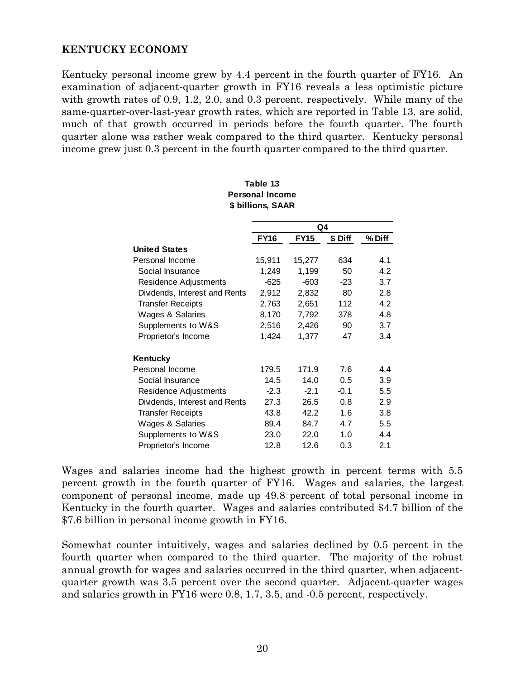# **KENTUCKY ECONOMY**

Kentucky personal income grew by 4.4 percent in the fourth quarter of FY16. An examination of adjacent-quarter growth in FY16 reveals a less optimistic picture with growth rates of 0.9, 1.2, 2.0, and 0.3 percent, respectively. While many of the same-quarter-over-last-year growth rates, which are reported in Table 13, are solid, much of that growth occurred in periods before the fourth quarter. The fourth quarter alone was rather weak compared to the third quarter. Kentucky personal income grew just 0.3 percent in the fourth quarter compared to the third quarter.

|                               |             | Q4          |         |        |
|-------------------------------|-------------|-------------|---------|--------|
|                               | <b>FY16</b> | <b>FY15</b> | \$ Diff | % Diff |
| <b>United States</b>          |             |             |         |        |
| Personal Income               | 15,911      | 15,277      | 634     | 4.1    |
| Social Insurance              | 1,249       | 1,199       | 50      | 4.2    |
| Residence Adjustments         | $-625$      | $-603$      | $-23$   | 3.7    |
| Dividends, Interest and Rents | 2,912       | 2,832       | 80      | 2.8    |
| <b>Transfer Receipts</b>      | 2,763       | 2,651       | 112     | 4.2    |
| Wages & Salaries              | 8,170       | 7,792       | 378     | 4.8    |
| Supplements to W&S            | 2,516       | 2,426       | 90      | 3.7    |
| Proprietor's Income           | 1,424       | 1,377       | 47      | 3.4    |
| Kentucky                      |             |             |         |        |
| Personal Income               | 179.5       | 171.9       | 7.6     | 4.4    |
| Social Insurance              | 14.5        | 14.0        | 0.5     | 3.9    |
| Residence Adjustments         | $-2.3$      | $-2.1$      | $-0.1$  | 5.5    |
| Dividends, Interest and Rents | 27.3        | 26.5        | 0.8     | 2.9    |
| <b>Transfer Receipts</b>      | 43.8        | 42.2        | 1.6     | 3.8    |
| Wages & Salaries              | 89.4        | 84.7        | 4.7     | 5.5    |
| Supplements to W&S            | 23.0        | 22.0        | 1.0     | 4.4    |
| Proprietor's Income           | 12.8        | 12.6        | 0.3     | 2.1    |

#### **\$ billions, SAAR Table 13 Personal Income**

Wages and salaries income had the highest growth in percent terms with 5.5 percent growth in the fourth quarter of FY16. Wages and salaries, the largest component of personal income, made up 49.8 percent of total personal income in Kentucky in the fourth quarter. Wages and salaries contributed \$4.7 billion of the \$7.6 billion in personal income growth in FY16.

Somewhat counter intuitively, wages and salaries declined by 0.5 percent in the fourth quarter when compared to the third quarter. The majority of the robust annual growth for wages and salaries occurred in the third quarter, when adjacentquarter growth was 3.5 percent over the second quarter. Adjacent-quarter wages and salaries growth in FY16 were 0.8, 1.7, 3.5, and -0.5 percent, respectively.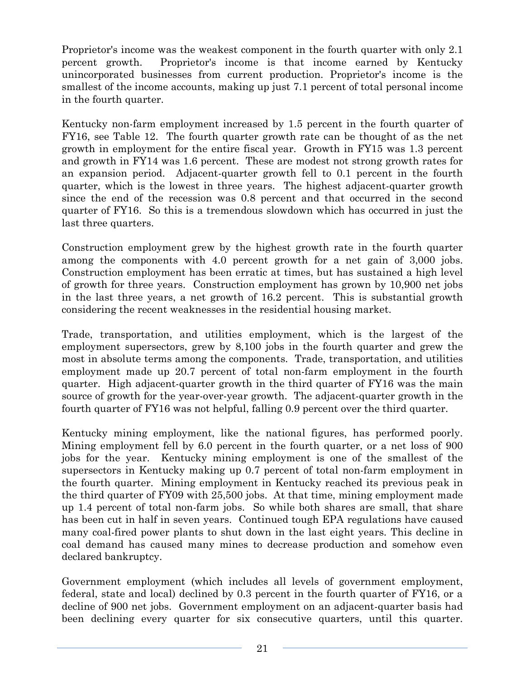Proprietor's income was the weakest component in the fourth quarter with only 2.1 percent growth. Proprietor's income is that income earned by Kentucky unincorporated businesses from current production. Proprietor's income is the smallest of the income accounts, making up just 7.1 percent of total personal income in the fourth quarter.

Kentucky non-farm employment increased by 1.5 percent in the fourth quarter of FY16, see Table 12. The fourth quarter growth rate can be thought of as the net growth in employment for the entire fiscal year. Growth in FY15 was 1.3 percent and growth in FY14 was 1.6 percent. These are modest not strong growth rates for an expansion period. Adjacent-quarter growth fell to 0.1 percent in the fourth quarter, which is the lowest in three years. The highest adjacent-quarter growth since the end of the recession was 0.8 percent and that occurred in the second quarter of FY16. So this is a tremendous slowdown which has occurred in just the last three quarters.

Construction employment grew by the highest growth rate in the fourth quarter among the components with 4.0 percent growth for a net gain of 3,000 jobs. Construction employment has been erratic at times, but has sustained a high level of growth for three years. Construction employment has grown by 10,900 net jobs in the last three years, a net growth of 16.2 percent. This is substantial growth considering the recent weaknesses in the residential housing market.

Trade, transportation, and utilities employment, which is the largest of the employment supersectors, grew by 8,100 jobs in the fourth quarter and grew the most in absolute terms among the components. Trade, transportation, and utilities employment made up 20.7 percent of total non-farm employment in the fourth quarter. High adjacent-quarter growth in the third quarter of FY16 was the main source of growth for the year-over-year growth. The adjacent-quarter growth in the fourth quarter of FY16 was not helpful, falling 0.9 percent over the third quarter.

Kentucky mining employment, like the national figures, has performed poorly. Mining employment fell by 6.0 percent in the fourth quarter, or a net loss of 900 jobs for the year. Kentucky mining employment is one of the smallest of the supersectors in Kentucky making up 0.7 percent of total non-farm employment in the fourth quarter. Mining employment in Kentucky reached its previous peak in the third quarter of FY09 with 25,500 jobs. At that time, mining employment made up 1.4 percent of total non-farm jobs. So while both shares are small, that share has been cut in half in seven years. Continued tough EPA regulations have caused many coal-fired power plants to shut down in the last eight years. This decline in coal demand has caused many mines to decrease production and somehow even declared bankruptcy.

Government employment (which includes all levels of government employment, federal, state and local) declined by 0.3 percent in the fourth quarter of FY16, or a decline of 900 net jobs. Government employment on an adjacent-quarter basis had been declining every quarter for six consecutive quarters, until this quarter.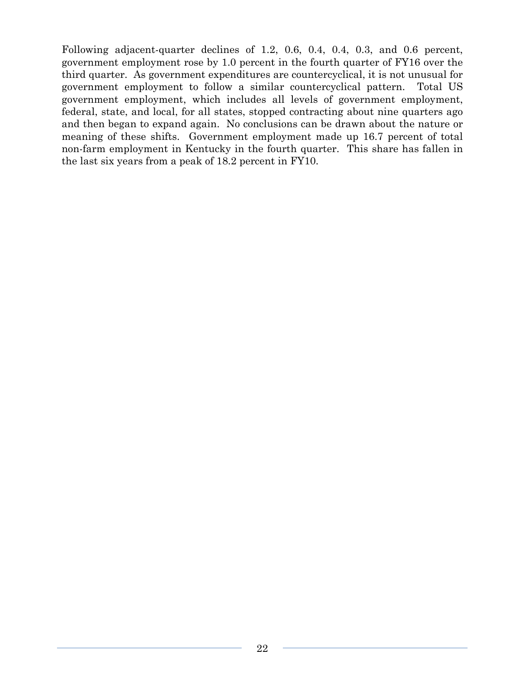Following adjacent-quarter declines of 1.2, 0.6, 0.4, 0.4, 0.3, and 0.6 percent, government employment rose by 1.0 percent in the fourth quarter of FY16 over the third quarter. As government expenditures are countercyclical, it is not unusual for government employment to follow a similar countercyclical pattern. Total US government employment, which includes all levels of government employment, federal, state, and local, for all states, stopped contracting about nine quarters ago and then began to expand again. No conclusions can be drawn about the nature or meaning of these shifts. Government employment made up 16.7 percent of total non-farm employment in Kentucky in the fourth quarter. This share has fallen in the last six years from a peak of 18.2 percent in FY10.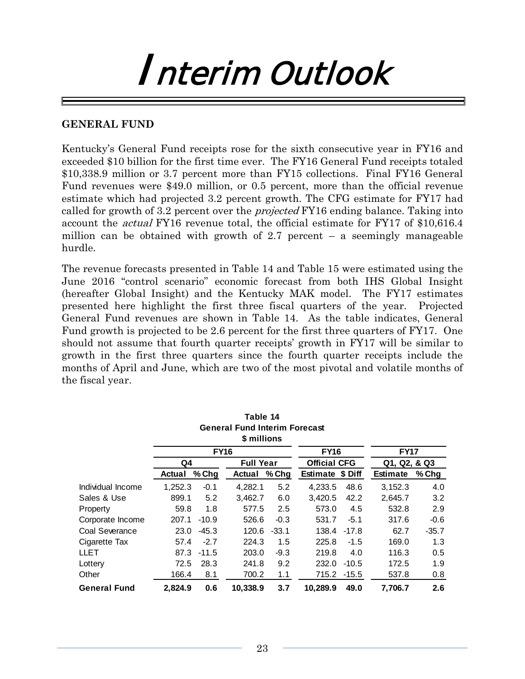# Interim Outlook

### **GENERAL FUND**

Kentucky's General Fund receipts rose for the sixth consecutive year in FY16 and exceeded \$10 billion for the first time ever. The FY16 General Fund receipts totaled \$10,338.9 million or 3.7 percent more than FY15 collections. Final FY16 General Fund revenues were \$49.0 million, or 0.5 percent, more than the official revenue estimate which had projected 3.2 percent growth. The CFG estimate for FY17 had called for growth of 3.2 percent over the *projected* FY16 ending balance. Taking into account the actual FY16 revenue total, the official estimate for FY17 of \$10,616.4 million can be obtained with growth of 2.7 percent  $-$  a seemingly manageable hurdle.

The revenue forecasts presented in Table 14 and Table 15 were estimated using the June 2016 "control scenario" economic forecast from both IHS Global Insight (hereafter Global Insight) and the Kentucky MAK model. The FY17 estimates presented here highlight the first three fiscal quarters of the year. Projected General Fund revenues are shown in Table 14. As the table indicates, General Fund growth is projected to be 2.6 percent for the first three quarters of FY17. One should not assume that fourth quarter receipts' growth in FY17 will be similar to growth in the first three quarters since the fourth quarter receipts include the months of April and June, which are two of the most pivotal and volatile months of the fiscal year.

|                                      |         |             | Table 14         |         |                     |             |                 |         |
|--------------------------------------|---------|-------------|------------------|---------|---------------------|-------------|-----------------|---------|
| <b>General Fund Interim Forecast</b> |         |             |                  |         |                     |             |                 |         |
|                                      |         |             | \$ millions      |         |                     |             |                 |         |
|                                      |         | <b>FY16</b> | <b>FY16</b>      |         | <b>FY17</b>         |             |                 |         |
|                                      | Q4      |             | <b>Full Year</b> |         | <b>Official CFG</b> |             | Q1, Q2, & Q3    |         |
|                                      | Actual  | % Chg       | Actual           | % Chg   | Estimate \$ Diff    |             | <b>Estimate</b> | % Chg   |
| Individual Income                    | 1,252.3 | $-0.1$      | 4,282.1          | 5.2     | 4,233.5             | 48.6        | 3,152.3         | 4.0     |
| Sales & Use                          | 899.1   | 5.2         | 3,462.7          | 6.0     | 3,420.5             | 42.2        | 2,645.7         | 3.2     |
| Property                             | 59.8    | 1.8         | 577.5            | 2.5     | 573.0               | 4.5         | 532.8           | 2.9     |
| Corporate Income                     | 207.1   | $-10.9$     | 526.6            | $-0.3$  | 531.7               | $-5.1$      | 317.6           | -0.6    |
| Coal Severance                       | 23.0    | $-45.3$     | 120.6            | $-33.1$ | 138.4               | $-17.8$     | 62.7            | $-35.7$ |
| Cigarette Tax                        | 57.4    | $-2.7$      | 224.3            | 1.5     | 225.8               | $-1.5$      | 169.0           | 1.3     |
| <b>LLET</b>                          | 87.3    | $-11.5$     | 203.0            | $-9.3$  | 219.8               | 4.0         | 116.3           | 0.5     |
| Lottery                              | 72.5    | 28.3        | 241.8            | 9.2     | 232.0               | $-10.5$     | 172.5           | 1.9     |
| Other                                | 166.4   | 8.1         | 700.2            | 1.1     |                     | 715.2 -15.5 | 537.8           | 0.8     |
| <b>General Fund</b>                  | 2.824.9 | 0.6         | 10,338.9         | 3.7     | 10,289.9            | 49.0        | 7.706.7         | 2.6     |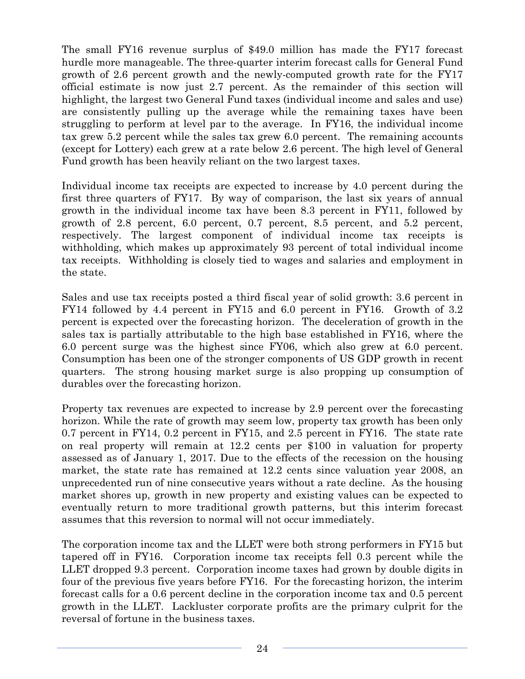The small FY16 revenue surplus of \$49.0 million has made the FY17 forecast hurdle more manageable. The three-quarter interim forecast calls for General Fund growth of 2.6 percent growth and the newly-computed growth rate for the FY17 official estimate is now just 2.7 percent. As the remainder of this section will highlight, the largest two General Fund taxes (individual income and sales and use) are consistently pulling up the average while the remaining taxes have been struggling to perform at level par to the average. In FY16, the individual income tax grew 5.2 percent while the sales tax grew 6.0 percent. The remaining accounts (except for Lottery) each grew at a rate below 2.6 percent. The high level of General Fund growth has been heavily reliant on the two largest taxes.

Individual income tax receipts are expected to increase by 4.0 percent during the first three quarters of FY17. By way of comparison, the last six years of annual growth in the individual income tax have been 8.3 percent in FY11, followed by growth of 2.8 percent, 6.0 percent, 0.7 percent, 8.5 percent, and 5.2 percent, respectively. The largest component of individual income tax receipts is withholding, which makes up approximately 93 percent of total individual income tax receipts. Withholding is closely tied to wages and salaries and employment in the state.

Sales and use tax receipts posted a third fiscal year of solid growth: 3.6 percent in FY14 followed by 4.4 percent in FY15 and 6.0 percent in FY16. Growth of 3.2 percent is expected over the forecasting horizon. The deceleration of growth in the sales tax is partially attributable to the high base established in FY16, where the 6.0 percent surge was the highest since FY06, which also grew at 6.0 percent. Consumption has been one of the stronger components of US GDP growth in recent quarters. The strong housing market surge is also propping up consumption of durables over the forecasting horizon.

Property tax revenues are expected to increase by 2.9 percent over the forecasting horizon. While the rate of growth may seem low, property tax growth has been only 0.7 percent in FY14, 0.2 percent in FY15, and 2.5 percent in FY16. The state rate on real property will remain at 12.2 cents per \$100 in valuation for property assessed as of January 1, 2017. Due to the effects of the recession on the housing market, the state rate has remained at 12.2 cents since valuation year 2008, an unprecedented run of nine consecutive years without a rate decline. As the housing market shores up, growth in new property and existing values can be expected to eventually return to more traditional growth patterns, but this interim forecast assumes that this reversion to normal will not occur immediately.

The corporation income tax and the LLET were both strong performers in FY15 but tapered off in FY16. Corporation income tax receipts fell 0.3 percent while the LLET dropped 9.3 percent. Corporation income taxes had grown by double digits in four of the previous five years before FY16. For the forecasting horizon, the interim forecast calls for a 0.6 percent decline in the corporation income tax and 0.5 percent growth in the LLET. Lackluster corporate profits are the primary culprit for the reversal of fortune in the business taxes.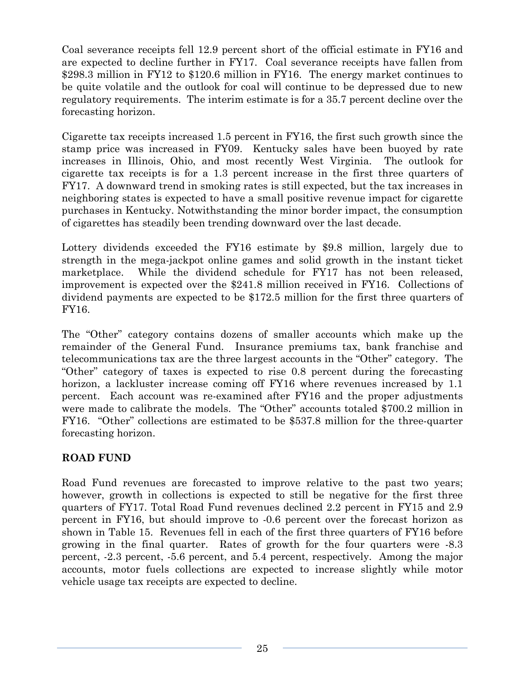Coal severance receipts fell 12.9 percent short of the official estimate in FY16 and are expected to decline further in FY17. Coal severance receipts have fallen from \$298.3 million in FY12 to \$120.6 million in FY16. The energy market continues to be quite volatile and the outlook for coal will continue to be depressed due to new regulatory requirements. The interim estimate is for a 35.7 percent decline over the forecasting horizon.

Cigarette tax receipts increased 1.5 percent in FY16, the first such growth since the stamp price was increased in FY09. Kentucky sales have been buoyed by rate increases in Illinois, Ohio, and most recently West Virginia. The outlook for cigarette tax receipts is for a 1.3 percent increase in the first three quarters of FY17. A downward trend in smoking rates is still expected, but the tax increases in neighboring states is expected to have a small positive revenue impact for cigarette purchases in Kentucky. Notwithstanding the minor border impact, the consumption of cigarettes has steadily been trending downward over the last decade.

Lottery dividends exceeded the FY16 estimate by \$9.8 million, largely due to strength in the mega-jackpot online games and solid growth in the instant ticket marketplace. While the dividend schedule for FY17 has not been released, improvement is expected over the \$241.8 million received in FY16. Collections of dividend payments are expected to be \$172.5 million for the first three quarters of FY16.

The "Other" category contains dozens of smaller accounts which make up the remainder of the General Fund. Insurance premiums tax, bank franchise and telecommunications tax are the three largest accounts in the "Other" category. The "Other" category of taxes is expected to rise 0.8 percent during the forecasting horizon, a lackluster increase coming off FY16 where revenues increased by 1.1 percent. Each account was re-examined after FY16 and the proper adjustments were made to calibrate the models. The "Other" accounts totaled \$700.2 million in FY16. "Other" collections are estimated to be \$537.8 million for the three-quarter forecasting horizon.

# **ROAD FUND**

Road Fund revenues are forecasted to improve relative to the past two years; however, growth in collections is expected to still be negative for the first three quarters of FY17. Total Road Fund revenues declined 2.2 percent in FY15 and 2.9 percent in FY16, but should improve to -0.6 percent over the forecast horizon as shown in Table 15. Revenues fell in each of the first three quarters of FY16 before growing in the final quarter. Rates of growth for the four quarters were -8.3 percent, -2.3 percent, -5.6 percent, and 5.4 percent, respectively. Among the major accounts, motor fuels collections are expected to increase slightly while motor vehicle usage tax receipts are expected to decline.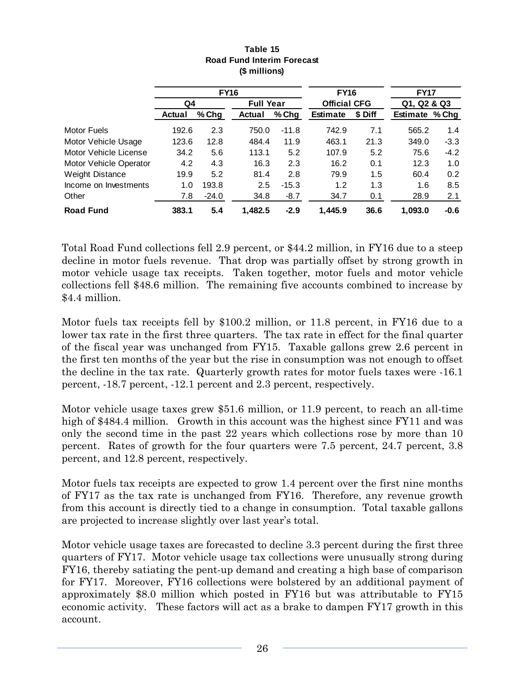|                        |        |             |                  |         | <b>FY16</b>         |         | <b>FY17</b>    |        |  |
|------------------------|--------|-------------|------------------|---------|---------------------|---------|----------------|--------|--|
|                        |        | <b>FY16</b> |                  |         |                     |         |                |        |  |
|                        | Q4     |             | <b>Full Year</b> |         | <b>Official CFG</b> |         | Q1, Q2 & Q3    |        |  |
|                        | Actual | $%$ Chg     | <b>Actual</b>    | $%$ Chg | <b>Estimate</b>     | \$ Diff | Estimate % Chg |        |  |
| Motor Fuels            | 192.6  | 2.3         | 750.0            | $-11.8$ | 742.9               | 7.1     | 565.2          | 1.4    |  |
| Motor Vehicle Usage    | 123.6  | 12.8        | 484.4            | 11.9    | 463.1               | 21.3    | 349.0          | $-3.3$ |  |
| Motor Vehicle License  | 34.2   | 5.6         | 113.1            | 5.2     | 107.9               | 5.2     | 75.6           | $-4.2$ |  |
| Motor Vehicle Operator | 4.2    | 4.3         | 16.3             | 2.3     | 16.2                | 0.1     | 12.3           | 1.0    |  |
| <b>Weight Distance</b> | 19.9   | 5.2         | 81.4             | 2.8     | 79.9                | 1.5     | 60.4           | 0.2    |  |
| Income on Investments  | 1.0    | 193.8       | 2.5              | $-15.3$ | 1.2                 | 1.3     | 1.6            | 8.5    |  |
| Other                  | 7.8    | $-24.0$     | 34.8             | $-8.7$  | 34.7                | 0.1     | 28.9           | 2.1    |  |
| <b>Road Fund</b>       | 383.1  | 5.4         | 1,482.5          | $-2.9$  | 1,445.9             | 36.6    | 1,093.0        | $-0.6$ |  |

#### **Table 15 Road Fund Interim Forecast (\$ millions)**

Total Road Fund collections fell 2.9 percent, or \$44.2 million, in FY16 due to a steep decline in motor fuels revenue. That drop was partially offset by strong growth in motor vehicle usage tax receipts. Taken together, motor fuels and motor vehicle collections fell \$48.6 million. The remaining five accounts combined to increase by \$4.4 million.

Motor fuels tax receipts fell by \$100.2 million, or 11.8 percent, in FY16 due to a lower tax rate in the first three quarters. The tax rate in effect for the final quarter of the fiscal year was unchanged from FY15. Taxable gallons grew 2.6 percent in the first ten months of the year but the rise in consumption was not enough to offset the decline in the tax rate. Quarterly growth rates for motor fuels taxes were -16.1 percent, -18.7 percent, -12.1 percent and 2.3 percent, respectively.

Motor vehicle usage taxes grew \$51.6 million, or 11.9 percent, to reach an all-time high of \$484.4 million. Growth in this account was the highest since FY11 and was only the second time in the past 22 years which collections rose by more than 10 percent. Rates of growth for the four quarters were 7.5 percent, 24.7 percent, 3.8 percent, and 12.8 percent, respectively.

Motor fuels tax receipts are expected to grow 1.4 percent over the first nine months of FY17 as the tax rate is unchanged from FY16. Therefore, any revenue growth from this account is directly tied to a change in consumption. Total taxable gallons are projected to increase slightly over last year's total.

Motor vehicle usage taxes are forecasted to decline 3.3 percent during the first three quarters of FY17. Motor vehicle usage tax collections were unusually strong during FY16, thereby satiating the pent-up demand and creating a high base of comparison for FY17. Moreover, FY16 collections were bolstered by an additional payment of approximately \$8.0 million which posted in FY16 but was attributable to FY15 economic activity. These factors will act as a brake to dampen FY17 growth in this account.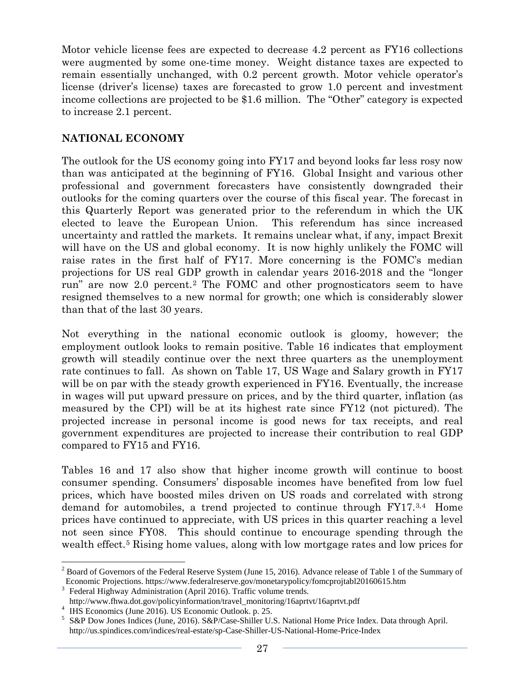Motor vehicle license fees are expected to decrease 4.2 percent as FY16 collections were augmented by some one-time money. Weight distance taxes are expected to remain essentially unchanged, with 0.2 percent growth. Motor vehicle operator's license (driver's license) taxes are forecasted to grow 1.0 percent and investment income collections are projected to be \$1.6 million. The "Other" category is expected to increase 2.1 percent.

## **NATIONAL ECONOMY**

The outlook for the US economy going into FY17 and beyond looks far less rosy now than was anticipated at the beginning of FY16. Global Insight and various other professional and government forecasters have consistently downgraded their outlooks for the coming quarters over the course of this fiscal year. The forecast in this Quarterly Report was generated prior to the referendum in which the UK elected to leave the European Union. This referendum has since increased uncertainty and rattled the markets. It remains unclear what, if any, impact Brexit will have on the US and global economy. It is now highly unlikely the FOMC will raise rates in the first half of FY17. More concerning is the FOMC's median projections for US real GDP growth in calendar years 2016-2018 and the "longer run" are now 2.0 percent.[2](#page-30-0) The FOMC and other prognosticators seem to have resigned themselves to a new normal for growth; one which is considerably slower than that of the last 30 years.

Not everything in the national economic outlook is gloomy, however; the employment outlook looks to remain positive. Table 16 indicates that employment growth will steadily continue over the next three quarters as the unemployment rate continues to fall. As shown on Table 17, US Wage and Salary growth in FY17 will be on par with the steady growth experienced in FY16. Eventually, the increase in wages will put upward pressure on prices, and by the third quarter, inflation (as measured by the CPI) will be at its highest rate since FY12 (not pictured). The projected increase in personal income is good news for tax receipts, and real government expenditures are projected to increase their contribution to real GDP compared to FY15 and FY16.

Tables 16 and 17 also show that higher income growth will continue to boost consumer spending. Consumers' disposable incomes have benefited from low fuel prices, which have boosted miles driven on US roads and correlated with strong demand for automobiles, a trend projected to continue through  $FY17<sup>3,4</sup>$  $FY17<sup>3,4</sup>$  $FY17<sup>3,4</sup>$  Home prices have continued to appreciate, with US prices in this quarter reaching a level not seen since FY08. This should continue to encourage spending through the wealth effect.<sup>[5](#page-30-3)</sup> Rising home values, along with low mortgage rates and low prices for

<span id="page-30-0"></span><sup>&</sup>lt;sup>2</sup> Board of Governors of the Federal Reserve System (June 15, 2016). Advance release of Table 1 of the Summary of Economic Projections. https://www.federalreserve.gov/monetarypolicy/fomcprojtabl20160615.htm <sup>3</sup> Federal Highway Administration (April 2016). Traffic volume trends.

<span id="page-30-1"></span>

<span id="page-30-3"></span><span id="page-30-2"></span>

http://www.fhwa.dot.gov/policyinformation/travel\_monitoring/16aprtvt/16aprtvt.pdf<br>
<sup>4</sup> IHS Economics (June 2016). US Economic Outlook. p. 25.<br>
<sup>5</sup> S&P Dow Jones Indices (June, 2016). S&P/Case-Shiller U.S. National Home Pri http://us.spindices.com/indices/real-estate/sp-Case-Shiller-US-National-Home-Price-Index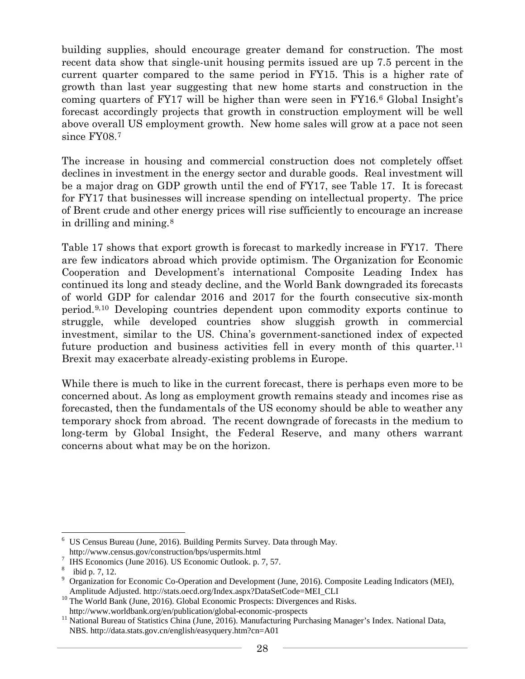building supplies, should encourage greater demand for construction. The most recent data show that single-unit housing permits issued are up 7.5 percent in the current quarter compared to the same period in FY15. This is a higher rate of growth than last year suggesting that new home starts and construction in the coming quarters of FY17 will be higher than were seen in FY16.[6](#page-31-0) Global Insight's forecast accordingly projects that growth in construction employment will be well above overall US employment growth. New home sales will grow at a pace not seen since FY08.[7](#page-31-1)

The increase in housing and commercial construction does not completely offset declines in investment in the energy sector and durable goods. Real investment will be a major drag on GDP growth until the end of FY17, see Table 17. It is forecast for FY17 that businesses will increase spending on intellectual property. The price of Brent crude and other energy prices will rise sufficiently to encourage an increase in drilling and mining.[8](#page-31-2)

Table 17 shows that export growth is forecast to markedly increase in FY17. There are few indicators abroad which provide optimism. The Organization for Economic Cooperation and Development's international Composite Leading Index has continued its long and steady decline, and the World Bank downgraded its forecasts of world GDP for calendar 2016 and 2017 for the fourth consecutive six-month period.[9](#page-31-3),[10](#page-31-4) Developing countries dependent upon commodity exports continue to struggle, while developed countries show sluggish growth in commercial investment, similar to the US. China's government-sanctioned index of expected future production and business activities fell in every month of this quarter.<sup>[11](#page-31-5)</sup> Brexit may exacerbate already-existing problems in Europe.

While there is much to like in the current forecast, there is perhaps even more to be concerned about. As long as employment growth remains steady and incomes rise as forecasted, then the fundamentals of the US economy should be able to weather any temporary shock from abroad. The recent downgrade of forecasts in the medium to long-term by Global Insight, the Federal Reserve, and many others warrant concerns about what may be on the horizon.

<span id="page-31-0"></span>US Census Bureau (June, 2016). Building Permits Survey. Data through May.<br>http://www.census.gov/construction/bps/uspermits.html

<span id="page-31-2"></span><span id="page-31-1"></span><sup>&</sup>lt;sup>7</sup> IHS Economics (June 2016). US Economic Outlook. p. 7, 57. 8 ibid p. 7, 12.

<span id="page-31-3"></span><sup>&</sup>lt;sup>9</sup> Organization for Economic Co-Operation and Development (June, 2016). Composite Leading Indicators (MEI),

<span id="page-31-4"></span>Amplitude Adjusted. http://stats.oecd.org/Index.aspx?DataSetCode=MEI\_CLI<br><sup>10</sup> The World Bank (June, 2016). Global Economic Prospects: Divergences and Risks.<br>http://www.worldbank.org/en/publication/global-economic-prospects

<span id="page-31-5"></span>http://www.worldbank.org/en/publication/global-economic-prospects 11 National Bureau of Statistics China (June, 2016). Manufacturing Purchasing Manager's Index. National Data, NBS. http://data.stats.gov.cn/english/easyquery.htm?cn=A01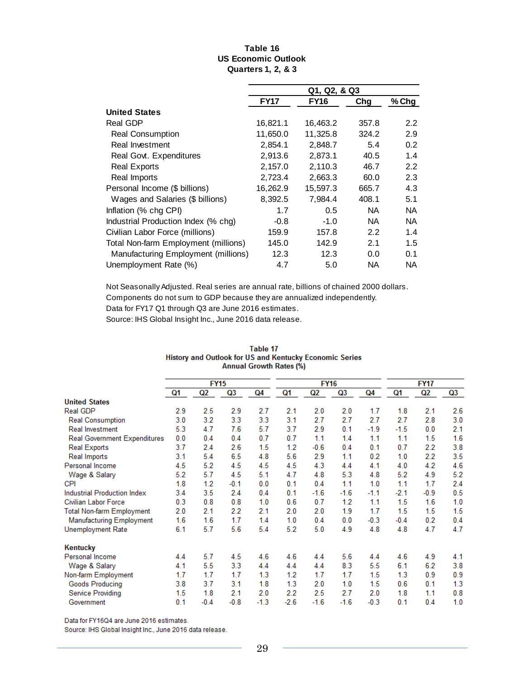#### **Table 16 US Economic Outlook Quarters 1, 2, & 3**

|                                      | Q1, Q2, & Q3 |             |       |               |  |  |  |
|--------------------------------------|--------------|-------------|-------|---------------|--|--|--|
|                                      | <b>FY17</b>  | <b>FY16</b> | Chg   | $%$ Chg       |  |  |  |
| <b>United States</b>                 |              |             |       |               |  |  |  |
| Real GDP                             | 16,821.1     | 16,463.2    | 357.8 | $2.2^{\circ}$ |  |  |  |
| <b>Real Consumption</b>              | 11,650.0     | 11,325.8    | 324.2 | 2.9           |  |  |  |
| Real Investment                      | 2,854.1      | 2,848.7     | 5.4   | 0.2           |  |  |  |
| Real Govt. Expenditures              | 2,913.6      | 2,873.1     | 40.5  | 1.4           |  |  |  |
| <b>Real Exports</b>                  | 2,157.0      | 2,110.3     | 46.7  | 2.2           |  |  |  |
| Real Imports                         | 2,723.4      | 2,663.3     | 60.0  | 2.3           |  |  |  |
| Personal Income (\$ billions)        | 16,262.9     | 15,597.3    | 665.7 | 4.3           |  |  |  |
| Wages and Salaries (\$ billions)     | 8,392.5      | 7,984.4     | 408.1 | 5.1           |  |  |  |
| Inflation (% chg CPI)                | 1.7          | 0.5         | NA.   | <b>NA</b>     |  |  |  |
| Industrial Production Index (% chg)  | $-0.8$       | $-1.0$      | NA.   | <b>NA</b>     |  |  |  |
| Civilian Labor Force (millions)      | 159.9        | 157.8       | 2.2   | 1.4           |  |  |  |
| Total Non-farm Employment (millions) | 145.0        | 142.9       | 2.1   | 1.5           |  |  |  |
| Manufacturing Employment (millions)  | 12.3         | 12.3        | 0.0   | 0.1           |  |  |  |
| Unemployment Rate (%)                | 4.7          | 5.0         | NA    | NA.           |  |  |  |

Not Seasonally Adjusted. Real series are annual rate, billions of chained 2000 dollars.

Components do not sum to GDP because they are annualized independently.

Data for FY17 Q1 through Q3 are June 2016 estimates.

Source: IHS Global Insight Inc., June 2016 data release.

|                                     |     | <b>FY15</b> |                |        |        | <b>FY16</b>    |        |        | <b>FY17</b>    |                |                |
|-------------------------------------|-----|-------------|----------------|--------|--------|----------------|--------|--------|----------------|----------------|----------------|
|                                     | Q1  | Q2          | Q <sub>3</sub> | Q4     | Q1     | Q <sub>2</sub> | Q3     | Q4     | Q1             | Q <sub>2</sub> | Q <sub>3</sub> |
| <b>United States</b>                |     |             |                |        |        |                |        |        |                |                |                |
| Real GDP                            | 2.9 | 2.5         | 2.9            | 2.7    | 2.1    | 2.0            | 2.0    | 1.7    | 1.8            | 2.1            | 2.6            |
| <b>Real Consumption</b>             | 3.0 | 3.2         | 3.3            | 3.3    | 3.1    | 2.7            | 2.7    | 2.7    | 2.7            | 2.8            | 3.0            |
| <b>Real Investment</b>              | 5.3 | 4.7         | 7.6            | 5.7    | 3.7    | 2.9            | 0.1    | $-1.9$ | $-1.5$         | 0.0            | 2.1            |
| <b>Real Government Expenditures</b> | 0.0 | 0.4         | 0.4            | 0.7    | 0.7    | 1.1            | 1.4    | 1.1    | 1.1            | 1.5            | 1.6            |
| <b>Real Exports</b>                 | 3.7 | 2.4         | 2.6            | 1.5    | 1.2    | $-0.6$         | 0.4    | 0.1    | 0.7            | 2.2            | 3.8            |
| Real Imports                        | 3.1 | 5.4         | 6.5            | 4.8    | 5.6    | 2.9            | 1.1    | 0.2    | 1.0            | 2.2            | 3.5            |
| Personal Income                     | 4.5 | 5.2         | 4.5            | 4.5    | 4.5    | 4.3            | 4.4    | 4.1    | 4.0            | 4.2            | 4.6            |
| Wage & Salary                       | 5.2 | 5.7         | 4.5            | 5.1    | 4.7    | 4.8            | 5.3    | 4.8    | 5.2            | 4.9            | 5.2            |
| <b>CPI</b>                          | 1.8 | 1.2         | $-0.1$         | 0.0    | 0.1    | 0.4            | 1.1    | 1.0    | 1.1            | 1.7            | 2.4            |
| <b>Industrial Production Index</b>  | 3.4 | 3.5         | 2.4            | 0.4    | 0.1    | $-1.6$         | $-1.6$ | $-1.1$ | $-2.1$         | $-0.9$         | 0.5            |
| <b>Civilian Labor Force</b>         | 0.3 | 0.8         | 0.8            | 1.0    | 0.6    | 0.7            | 1.2    | 1.1    | 1.5            | 1.6            | 1.0            |
| <b>Total Non-farm Employment</b>    | 2.0 | 2.1         | 2.2            | 2.1    | 2.0    | 2.0            | 1.9    | 1.7    | 1.5            | 1.5            | 1.5            |
| <b>Manufacturing Employment</b>     | 1.6 | 1.6         | 1.7            | 1.4    | 1.0    | 0.4            | 0.0    | $-0.3$ | $-0.4$         | 0.2            | 0.4            |
| Unemployment Rate                   | 6.1 | 5.7         | 5.6            | 5.4    | 5.2    | 5.0            | 4.9    | 4.8    | 4.8            | 4.7            | 4.7            |
| Kentucky                            |     |             |                |        |        |                |        |        |                |                |                |
| Personal Income                     | 4.4 | 5.7         | 4.5            | 4.6    | 4.6    | 44             | 5.6    | 4.4    | 4.6            | 4.9            | 4.1            |
| Wage & Salary                       | 4.1 | 5.5         | 3.3            | 4.4    | 4.4    | 4.4            | 8.3    | 5.5    | 6.1            | 6.2            | 3.8            |
| Non-farm Employment                 | 1.7 | 1.7         | 1.7            | 1.3    | 1.2    | 1.7            | 1.7    | 1.5    | 1.3            | 0.9            | 0.9            |
| <b>Goods Producing</b>              | 3.8 | 3.7         | 3.1            | 1.8    | 1.3    | 2.0            | 1.0    | 1.5    | 0.6            | 0.1            | 1.3            |
| Service Providing                   | 1.5 | 1.8         | 2.1            | 2.0    | 2.2    | 2.5            | 2.7    | 2.0    | 1.8            | 1.1            | 0.8            |
| Government                          | 0.1 | $-0.4$      | $-0.8$         | $-1.3$ | $-2.6$ | $-1.6$         | $-1.6$ | $-0.3$ | 0 <sub>1</sub> | 0.4            | 1.0            |

#### Table 17 History and Outlook for US and Kentucky Economic Series Annual Growth Rates (%)

Data for FY16Q4 are June 2016 estimates.

Source: IHS Global Insight Inc., June 2016 data release.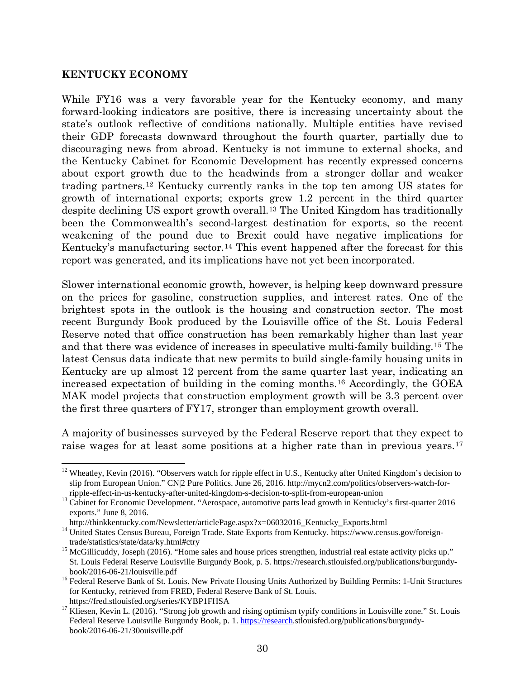### **KENTUCKY ECONOMY**

While FY16 was a very favorable year for the Kentucky economy, and many forward-looking indicators are positive, there is increasing uncertainty about the state's outlook reflective of conditions nationally. Multiple entities have revised their GDP forecasts downward throughout the fourth quarter, partially due to discouraging news from abroad. Kentucky is not immune to external shocks, and the Kentucky Cabinet for Economic Development has recently expressed concerns about export growth due to the headwinds from a stronger dollar and weaker trading partners.[12](#page-33-0) Kentucky currently ranks in the top ten among US states for growth of international exports; exports grew 1.2 percent in the third quarter despite declining US export growth overall.[13](#page-33-1) The United Kingdom has traditionally been the Commonwealth's second-largest destination for exports, so the recent weakening of the pound due to Brexit could have negative implications for Kentucky's manufacturing sector.<sup>[14](#page-33-2)</sup> This event happened after the forecast for this report was generated, and its implications have not yet been incorporated.

Slower international economic growth, however, is helping keep downward pressure on the prices for gasoline, construction supplies, and interest rates. One of the brightest spots in the outlook is the housing and construction sector. The most recent Burgundy Book produced by the Louisville office of the St. Louis Federal Reserve noted that office construction has been remarkably higher than last year and that there was evidence of increases in speculative multi-family building.[15](#page-33-3) The latest Census data indicate that new permits to build single-family housing units in Kentucky are up almost 12 percent from the same quarter last year, indicating an increased expectation of building in the coming months.[16](#page-33-4) Accordingly, the GOEA MAK model projects that construction employment growth will be 3.3 percent over the first three quarters of FY17, stronger than employment growth overall.

A majority of businesses surveyed by the Federal Reserve report that they expect to raise wages for at least some positions at a higher rate than in previous years.<sup>[17](#page-33-5)</sup>

<span id="page-33-0"></span> $12$  Wheatley, Kevin (2016). "Observers watch for ripple effect in U.S., Kentucky after United Kingdom's decision to slip from European Union." CN|2 Pure Politics. June 26, 2016. http://mycn2.com/politics/observers-watch-for-

<span id="page-33-1"></span>ripple-effect-in-us-kentucky-after-united-kingdom-s-decision-to-split-from-european-union <sup>13</sup> Cabinet for Economic Development. "Aerospace, automotive parts lead growth in Kentucky's first-quarter 2016 exports." June 8, 2016.

<span id="page-33-2"></span>http://thinkkentucky.com/Newsletter/articlePage.aspx?x=06032016\_Kentucky\_Exports.html 14 United States Census Bureau, Foreign Trade. State Exports from Kentucky. https://www.census.gov/foreign-<br>trade/statistics/state/data/

<span id="page-33-3"></span><sup>&</sup>lt;sup>15</sup> McGillicuddy, Joseph (2016). "Home sales and house prices strengthen, industrial real estate activity picks up." St. Louis Federal Reserve Louisville Burgundy Book, p. 5. https://research.stlouisfed.org/publications/burgundy-

<span id="page-33-4"></span><sup>&</sup>lt;sup>16</sup> Federal Reserve Bank of St. Louis. New Private Housing Units Authorized by Building Permits: 1-Unit Structures for Kentucky, retrieved from FRED, Federal Reserve Bank of St. Louis.

<span id="page-33-5"></span>https://fred.stlouisfed.org/series/KYBP1FHSA<br><sup>17</sup> Kliesen, Kevin L. (2016). "Strong job growth and rising optimism typify conditions in Louisville zone." St. Louis Federal Reserve Louisville Burgundy Book, p. 1[. https://research.](https://research/)stlouisfed.org/publications/burgundybook/2016-06-21/30ouisville.pdf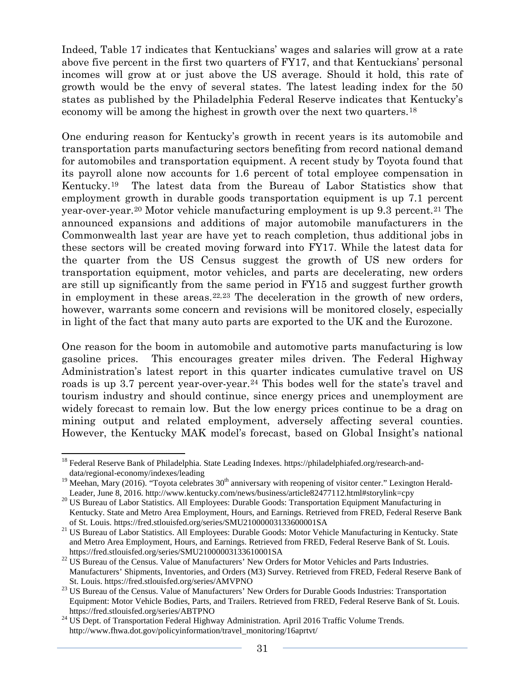Indeed, Table 17 indicates that Kentuckians' wages and salaries will grow at a rate above five percent in the first two quarters of FY17, and that Kentuckians' personal incomes will grow at or just above the US average. Should it hold, this rate of growth would be the envy of several states. The latest leading index for the 50 states as published by the Philadelphia Federal Reserve indicates that Kentucky's economy will be among the highest in growth over the next two quarters.[18](#page-34-0)

One enduring reason for Kentucky's growth in recent years is its automobile and transportation parts manufacturing sectors benefiting from record national demand for automobiles and transportation equipment. A recent study by Toyota found that its payroll alone now accounts for 1.6 percent of total employee compensation in Kentucky.[19](#page-34-1) The latest data from the Bureau of Labor Statistics show that employment growth in durable goods transportation equipment is up 7.1 percent year-over-year.[20](#page-34-2) Motor vehicle manufacturing employment is up 9.3 percent.[21](#page-34-3) The announced expansions and additions of major automobile manufacturers in the Commonwealth last year are have yet to reach completion, thus additional jobs in these sectors will be created moving forward into FY17. While the latest data for the quarter from the US Census suggest the growth of US new orders for transportation equipment, motor vehicles, and parts are decelerating, new orders are still up significantly from the same period in FY15 and suggest further growth in employment in these areas. $22,23$  $22,23$  The deceleration in the growth of new orders, however, warrants some concern and revisions will be monitored closely, especially in light of the fact that many auto parts are exported to the UK and the Eurozone.

One reason for the boom in automobile and automotive parts manufacturing is low gasoline prices. This encourages greater miles driven. The Federal Highway Administration's latest report in this quarter indicates cumulative travel on US roads is up 3.7 percent year-over-year.<sup>[24](#page-34-6)</sup> This bodes well for the state's travel and tourism industry and should continue, since energy prices and unemployment are widely forecast to remain low. But the low energy prices continue to be a drag on mining output and related employment, adversely affecting several counties. However, the Kentucky MAK model's forecast, based on Global Insight's national

<span id="page-34-0"></span><sup>&</sup>lt;sup>18</sup> Federal Reserve Bank of Philadelphia. State Leading Indexes. https://philadelphiafed.org/research-anddata/regional-economy/indexes/leading

<span id="page-34-1"></span><sup>&</sup>lt;sup>19</sup> Meehan, Mary (2016). "Toyota celebrates 30<sup>th</sup> anniversary with reopening of visitor center." Lexington Herald-<br>Leader, June 8, 2016. http://www.kentucky.com/news/business/article82477112.html#storylink=cpy

<span id="page-34-2"></span><sup>&</sup>lt;sup>20</sup> US Bureau of Labor Statistics. All Employees: Durable Goods: Transportation Equipment Manufacturing in Kentucky. State and Metro Area Employment, Hours, and Earnings. Retrieved from FRED, Federal Reserve Bank

<span id="page-34-3"></span>of St. Louis. https://fred.stlouisfed.org/series/SMU21000003133600001SA <sup>21</sup> US Bureau of Labor Statistics. All Employees: Durable Goods: Motor Vehicle Manufacturing in Kentucky. State and Metro Area Employment, Hours, and Earnings. Retrieved from FRED, Federal Reserve Bank of St. Louis.

<span id="page-34-4"></span>https://fred.stlouisfed.org/series/SMU21000003133610001SA<br><sup>22</sup> US Bureau of the Census. Value of Manufacturers' New Orders for Motor Vehicles and Parts Industries. Manufacturers' Shipments, Inventories, and Orders (M3) Survey. Retrieved from FRED, Federal Reserve Bank of

<span id="page-34-5"></span>St. Louis. https://fred.stlouisfed.org/series/AMVPNO <sup>23</sup> US Bureau of the Census. Value of Manufacturers' New Orders for Durable Goods Industries: Transportation Equipment: Motor Vehicle Bodies, Parts, and Trailers. Retrieved from FRED, Federal Reserve Bank of St. Louis.

<span id="page-34-6"></span>https://fred.stlouisfed.org/series/ABTPNO <sup>24</sup> US Dept. of Transportation Federal Highway Administration. April 2016 Traffic Volume Trends. http://www.fhwa.dot.gov/policyinformation/travel\_monitoring/16aprtvt/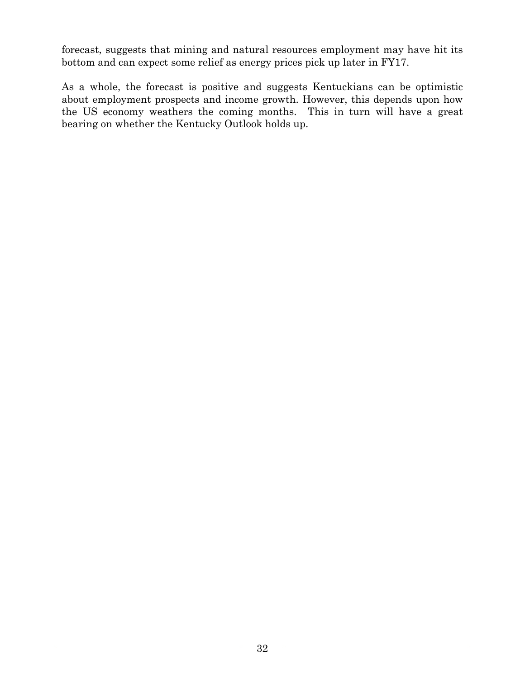forecast, suggests that mining and natural resources employment may have hit its bottom and can expect some relief as energy prices pick up later in FY17.

As a whole, the forecast is positive and suggests Kentuckians can be optimistic about employment prospects and income growth. However, this depends upon how the US economy weathers the coming months. This in turn will have a great bearing on whether the Kentucky Outlook holds up.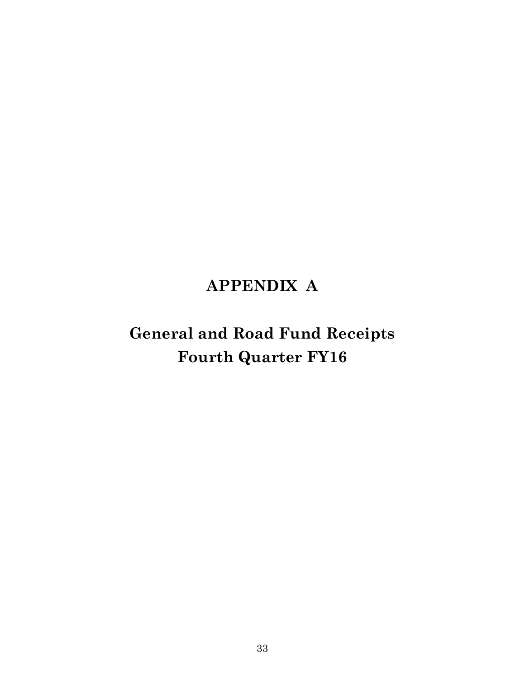# **APPENDIX A**

# **General and Road Fund Receipts Fourth Quarter FY16**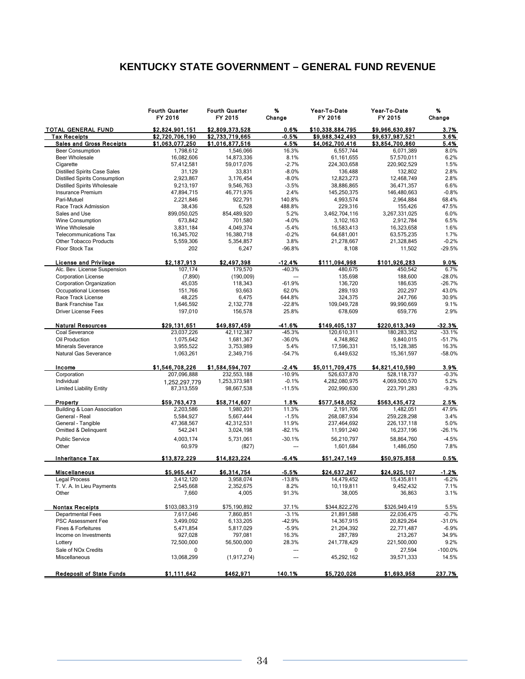# **KENTUCKY STATE GOVERNMENT – GENERAL FUND REVENUE**

|                                      | <b>Fourth Quarter</b><br>FY 2016 | <b>Fourth Quarter</b><br>FY 2015 | %<br>Change    | Year-To-Date<br>FY 2016 | Year-To-Date<br>FY 2015 | %<br>Change |
|--------------------------------------|----------------------------------|----------------------------------|----------------|-------------------------|-------------------------|-------------|
| <b>TOTAL GENERAL FUND</b>            | \$2,824,901.151                  | \$2,809,373,528                  | 0.6%           | \$10,338,884,795        | \$9,966,630,897         | 3.7%        |
| <b>Tax Receipts</b>                  | \$2,720,706,190                  | \$2,733,719,665                  | $-0.5%$        | \$9,988,342,493         | \$9,637,987,521         | 3.6%        |
| <b>Sales and Gross Receipts</b>      | \$1,063,077,250                  | \$1,016,877,516                  | 4.5%           | \$4,062,700,416         | \$3,854,700,860         | 5.4%        |
| <b>Beer Consumption</b>              | 1,798,612                        | 1,546,066                        | 16.3%          | 6,557,744               | 6,071,389               | 8.0%        |
| <b>Beer Wholesale</b>                | 16,082,606                       | 14,873,336                       | 8.1%           | 61, 161, 655            | 57,570,011              | 6.2%        |
| Cigarette                            | 57,412,581                       | 59,017,076                       | $-2.7%$        | 224,303,658             | 220,902,529             | 1.5%        |
| <b>Distilled Spirits Case Sales</b>  | 31,129                           | 33,831                           | $-8.0%$        | 136,488                 | 132,802                 | 2.8%        |
| <b>Distilled Spirits Consumption</b> | 2,923,867                        | 3,176,454                        | $-8.0%$        | 12,823,273              | 12,468,749              | 2.8%        |
| <b>Distilled Spirits Wholesale</b>   | 9,213,197                        | 9,546,763                        | $-3.5%$        | 38,886,865              | 36,471,357              | 6.6%        |
| Insurance Premium                    | 47,894,715                       | 46,771,976                       | 2.4%           | 145,250,375             | 146,480,663             | $-0.8%$     |
| Pari-Mutuel                          | 2,221,846                        | 922,791                          | 140.8%         | 4,993,574               | 2.964.884               | 68.4%       |
| Race Track Admission                 | 38,436                           | 6,528                            | 488.8%         | 229,316                 | 155,426                 | 47.5%       |
| Sales and Use                        | 899,050,025                      | 854,489,920                      | 5.2%           | 3,462,704,116           | 3,267,331,025           | 6.0%        |
| Wine Consumption                     | 673,842                          | 701,580                          | $-4.0%$        | 3,102,163               | 2,912,784               | 6.5%        |
| Wine Wholesale                       | 3,831,184                        | 4,049,374                        | $-5.4%$        | 16,583,413              | 16,323,658              | 1.6%        |
| <b>Telecommunications Tax</b>        | 16,345,702                       | 16,380,718                       | $-0.2%$        | 64,681,001              | 63,575,235              | 1.7%        |
| Other Tobacco Products               | 5,559,306                        | 5,354,857                        | 3.8%           | 21,278,667              | 21,328,845              | $-0.2%$     |
| Floor Stock Tax                      | 202                              | 6,247                            | $-96.8%$       | 8,108                   | 11,502                  | $-29.5%$    |
| <b>License and Privilege</b>         | \$2,187,913                      | \$2,497,398                      | $-12.4%$       | \$111,094,998           | \$101,926,283           | 9.0%        |
| Alc. Bev. License Suspension         | 107,174                          | 179,570                          | $-40.3%$       | 480,675                 | 450,542                 | 6.7%        |
| <b>Corporation License</b>           | (7, 890)                         | (190,009)                        | ---            | 135,698                 | 188,600                 | $-28.0%$    |
| <b>Corporation Organization</b>      | 45,035                           | 118,343                          | $-61.9%$       | 136,720                 | 186,635                 | $-26.7%$    |
| Occupational Licenses                | 151,766                          | 93,663                           | 62.0%          | 289,193                 | 202,297                 | 43.0%       |
| Race Track License                   | 48,225                           | 6,475                            | 644.8%         | 324,375                 | 247,766                 | 30.9%       |
| <b>Bank Franchise Tax</b>            | 1,646,592                        | 2,132,778                        | $-22.8%$       | 109,049,728             | 99,990,669              | 9.1%        |
| <b>Driver License Fees</b>           | 197,010                          | 156,578                          | 25.8%          | 678,609                 | 659,776                 | 2.9%        |
| <b>Natural Resources</b>             | \$29,131,651                     | \$49,897,459                     | -41.6%         | \$149,405,137           | \$220.613.349           | $-32.3%$    |
| Coal Severance                       | 23,037,226                       | 42,112,387                       | $-45.3%$       | 120,610,311             | 180,283,352             | $-33.1%$    |
| Oil Production                       | 1,075,642                        | 1,681,367                        | $-36.0%$       | 4,748,862               | 9,840,015               | $-51.7%$    |
| Minerals Severance                   | 3,955,522                        | 3,753,989                        | 5.4%           | 17.596.331              | 15,128,385              | 16.3%       |
| Natural Gas Severance                | 1,063,261                        | 2,349,716                        | $-54.7%$       | 6,449,632               | 15,361,597              | $-58.0%$    |
| Income                               | \$1,546,708,226                  | \$1,584,594,707                  | $-2.4%$        | \$5,011,709,475         | \$4,821,410,590         | 3.9%        |
| Corporation                          | 207,096,888                      | 232,553,188                      | $-10.9%$       | 526,637,870             | 528,118,737             | $-0.3%$     |
| Individual                           | 1,252,297,779                    | 1,253,373,981                    | $-0.1%$        | 4,282,080,975           | 4,069,500,570           | 5.2%        |
| <b>Limited Liability Entity</b>      | 87,313,559                       | 98,667,538                       | $-11.5%$       | 202,990,630             | 223,791,283             | $-9.3%$     |
| Property                             | \$59,763,473                     | \$58,714,607                     | 1.8%           | \$577,548,052           | \$563,435,472           | 2.5%        |
| Building & Loan Association          | 2,203,586                        | 1,980,201                        | 11.3%          | 2,191,706               | 1,482,051               | 47.9%       |
| General - Real                       | 5,584,927                        | 5,667,444                        | $-1.5%$        | 268,087,934             | 259,228,298             | 3.4%        |
| General - Tangible                   | 47,368,567                       | 42,312,531                       | 11.9%          | 237,464,692             | 226, 137, 118           | 5.0%        |
| Omitted & Delinquent                 | 542,241                          | 3,024,198                        | $-82.1%$       | 11,991,240              | 16,237,196              | $-26.1%$    |
| <b>Public Service</b>                | 4,003,174                        | 5.731.061                        | $-30.1%$       | 56,210,797              | 58,864,760              | $-4.5%$     |
| Other                                | 60,979                           | (827)                            | $\overline{a}$ | 1,601,684               | 1,486,050               | 7.8%        |
| <b>Inheritance Tax</b>               | \$13,872,229                     | \$14,823,224                     | $-6.4%$        | \$51,247,149            | \$50,975,858            | 0.5%        |
| <b>Miscellaneous</b>                 | \$5,965,447                      | \$6,314,754                      | $-5.5%$        | \$24,637,267            | \$24,925,107            | -1.2%       |
| <b>Legal Process</b>                 | 3,412,120                        | 3,958,074                        | $-13.8%$       | 14,479,452              | 15,435,811              | $-6.2%$     |
| T. V. A. In Lieu Payments            | 2,545,668                        | 2,352,675                        | 8.2%           | 10,119,811              | 9,452,432               | 7.1%        |
| Other                                | 7,660                            | 4,005                            | 91.3%          | 38,005                  | 36,863                  | 3.1%        |
| <b>Nontax Receipts</b>               | \$103.083.319                    | \$75,190,892                     | 37.1%          | \$344,822,276           | \$326.949.419           | 5.5%        |
| <b>Departmental Fees</b>             | 7,617,046                        | 7,860,851                        | $-3.1%$        | 21,891,588              | 22,036,475              | $-0.7%$     |
| PSC Assessment Fee                   | 3,499,092                        | 6,133,205                        | $-42.9%$       | 14,367,915              | 20,829,264              | $-31.0%$    |
| Fines & Forfeitures                  | 5,471,854                        | 5,817,029                        | $-5.9%$        | 21,204,392              | 22,771,487              | $-6.9%$     |
| Income on Investments                | 927,028                          | 797,081                          | 16.3%          | 287,789                 | 213,267                 | 34.9%       |
| Lottery                              | 72,500,000                       | 56,500,000                       | 28.3%          | 241,778,429             | 221,500,000             | 9.2%        |
| Sale of NO <sub>x</sub> Credits      | 0                                | 0                                | ---            | 0                       | 27,594                  | $-100.0\%$  |
| Miscellaneous                        | 13,068,299                       | (1, 917, 274)                    | ---            | 45,292,162              | 39,571,333              | 14.5%       |
|                                      |                                  | \$462,971                        |                |                         |                         |             |
| <b>Redeposit of State Funds</b>      | \$1,111,642                      |                                  | 140.1%         | \$5,720,026             | \$1,693,958             | 237.7%      |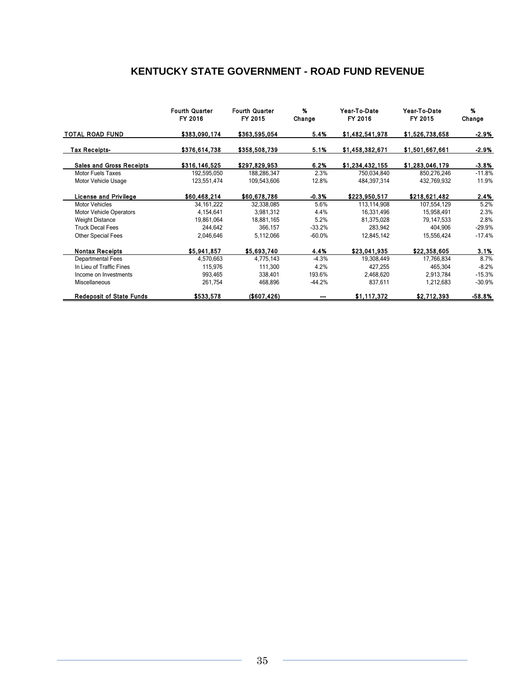# **KENTUCKY STATE GOVERNMENT - ROAD FUND REVENUE**

|                                 | <b>Fourth Quarter</b><br>FY 2016 | <b>Fourth Quarter</b><br>FY 2015 | %<br>Change | Year-To-Date<br>FY 2016 | Year-To-Date<br>FY 2015 | %<br>Change |
|---------------------------------|----------------------------------|----------------------------------|-------------|-------------------------|-------------------------|-------------|
| <b>TOTAL ROAD FUND</b>          | \$383,090,174                    | \$363,595,054                    | 5.4%        | \$1,482,541,978         | \$1,526,738,658         | -2.9%       |
| <b>Tax Receipts-</b>            | \$376,614,738                    | \$358,508.739                    | 5.1%        | \$1,458,382,671         | \$1,501,667,661         | -2.9%       |
| <b>Sales and Gross Receipts</b> | \$316,146,525                    | \$297,829,953                    | 6.2%        | \$1,234,432,155         | \$1,283,046,179         | $-3.8%$     |
| <b>Motor Fuels Taxes</b>        | 192,595,050                      | 188,286,347                      | 2.3%        | 750,034,840             | 850,276,246             | $-11.8%$    |
| Motor Vehicle Usage             | 123,551,474                      | 109,543,606                      | 12.8%       | 484,397,314             | 432,769,932             | 11.9%       |
| <b>License and Privilege</b>    | \$60.468,214                     | \$60,678,786                     | $-0.3%$     | \$223,950,517           | \$218,621.482           | 2.4%        |
| <b>Motor Vehicles</b>           | 34, 161, 222                     | 32,338,085                       | 5.6%        | 113,114,908             | 107,554,129             | 5.2%        |
| Motor Vehicle Operators         | 4,154,641                        | 3,981,312                        | 4.4%        | 16,331,496              | 15,958,491              | 2.3%        |
| <b>Weight Distance</b>          | 19,861,064                       | 18,881,165                       | 5.2%        | 81,375,028              | 79,147,533              | 2.8%        |
| <b>Truck Decal Fees</b>         | 244.642                          | 366.157                          | $-33.2%$    | 283.942                 | 404,906                 | $-29.9%$    |
| <b>Other Special Fees</b>       | 2,046,646                        | 5,112,066                        | $-60.0%$    | 12,845,142              | 15,556,424              | $-17.4%$    |
| <b>Nontax Receipts</b>          | \$5,941,857                      | \$5,693,740                      | 4.4%        | \$23,041,935            | \$22,358,605            | 3.1%        |
| Departmental Fees               | 4,570,663                        | 4,775,143                        | $-4.3%$     | 19,308,449              | 17,766,834              | 8.7%        |
| In Lieu of Traffic Fines        | 115,976                          | 111,300                          | 4.2%        | 427,255                 | 465,304                 | $-8.2%$     |
| Income on Investments           | 993,465                          | 338.401                          | 193.6%      | 2,468,620               | 2,913,784               | $-15.3%$    |
| Miscellaneous                   | 261,754                          | 468,896                          | $-44.2%$    | 837,611                 | 1,212,683               | $-30.9%$    |
| <b>Redeposit of State Funds</b> | \$533,578                        | ( \$607, 426)                    |             | \$1,117,372             | \$2,712,393             | -58.8%      |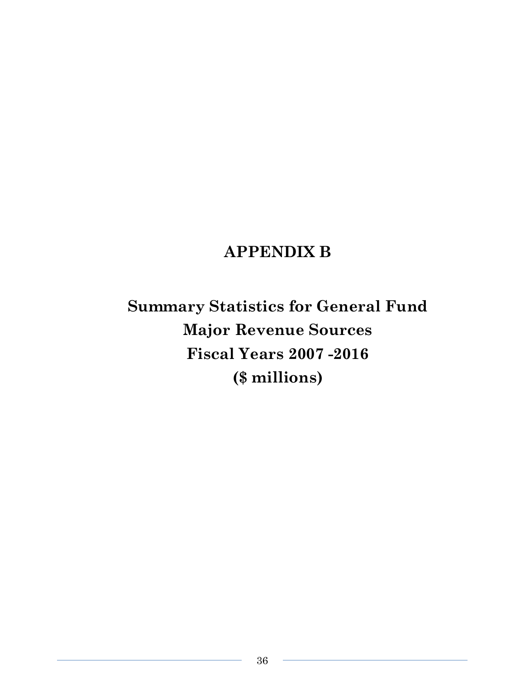# **APPENDIX B**

**Summary Statistics for General Fund Major Revenue Sources Fiscal Years 2007 -2016 (\$ millions)**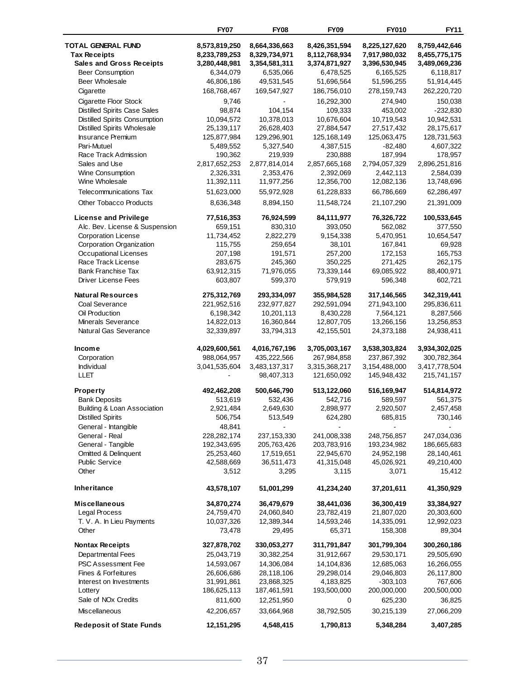| <b>FY07</b>  | <b>FY08</b>                                                                                                                                                                                                                                                                                                                                                                                                                                                                                                                                                                                                                                                                                                         | <b>FY09</b>                                                                                                                                                                                                                                                                                                                                                                                                                                                                                                                                                                                                                                                                        | <b>FY010</b>                                                                                                                                                                                                                                                                                                                                                                                                                                                                                                                                                                                                                                                                                              | <b>FY11</b>                                                                                                                                                                                                                                                                                                                                                                                                                                                                                                                                                                                                                                                                                                  |
|--------------|---------------------------------------------------------------------------------------------------------------------------------------------------------------------------------------------------------------------------------------------------------------------------------------------------------------------------------------------------------------------------------------------------------------------------------------------------------------------------------------------------------------------------------------------------------------------------------------------------------------------------------------------------------------------------------------------------------------------|------------------------------------------------------------------------------------------------------------------------------------------------------------------------------------------------------------------------------------------------------------------------------------------------------------------------------------------------------------------------------------------------------------------------------------------------------------------------------------------------------------------------------------------------------------------------------------------------------------------------------------------------------------------------------------|-----------------------------------------------------------------------------------------------------------------------------------------------------------------------------------------------------------------------------------------------------------------------------------------------------------------------------------------------------------------------------------------------------------------------------------------------------------------------------------------------------------------------------------------------------------------------------------------------------------------------------------------------------------------------------------------------------------|--------------------------------------------------------------------------------------------------------------------------------------------------------------------------------------------------------------------------------------------------------------------------------------------------------------------------------------------------------------------------------------------------------------------------------------------------------------------------------------------------------------------------------------------------------------------------------------------------------------------------------------------------------------------------------------------------------------|
|              |                                                                                                                                                                                                                                                                                                                                                                                                                                                                                                                                                                                                                                                                                                                     |                                                                                                                                                                                                                                                                                                                                                                                                                                                                                                                                                                                                                                                                                    |                                                                                                                                                                                                                                                                                                                                                                                                                                                                                                                                                                                                                                                                                                           | 8,759,442,646                                                                                                                                                                                                                                                                                                                                                                                                                                                                                                                                                                                                                                                                                                |
|              |                                                                                                                                                                                                                                                                                                                                                                                                                                                                                                                                                                                                                                                                                                                     |                                                                                                                                                                                                                                                                                                                                                                                                                                                                                                                                                                                                                                                                                    |                                                                                                                                                                                                                                                                                                                                                                                                                                                                                                                                                                                                                                                                                                           | 8,455,775,175                                                                                                                                                                                                                                                                                                                                                                                                                                                                                                                                                                                                                                                                                                |
|              |                                                                                                                                                                                                                                                                                                                                                                                                                                                                                                                                                                                                                                                                                                                     |                                                                                                                                                                                                                                                                                                                                                                                                                                                                                                                                                                                                                                                                                    |                                                                                                                                                                                                                                                                                                                                                                                                                                                                                                                                                                                                                                                                                                           | 3,489,069,236                                                                                                                                                                                                                                                                                                                                                                                                                                                                                                                                                                                                                                                                                                |
|              |                                                                                                                                                                                                                                                                                                                                                                                                                                                                                                                                                                                                                                                                                                                     |                                                                                                                                                                                                                                                                                                                                                                                                                                                                                                                                                                                                                                                                                    |                                                                                                                                                                                                                                                                                                                                                                                                                                                                                                                                                                                                                                                                                                           | 6,118,817                                                                                                                                                                                                                                                                                                                                                                                                                                                                                                                                                                                                                                                                                                    |
|              | 49,531,545                                                                                                                                                                                                                                                                                                                                                                                                                                                                                                                                                                                                                                                                                                          | 51,696,564                                                                                                                                                                                                                                                                                                                                                                                                                                                                                                                                                                                                                                                                         | 51,596,255                                                                                                                                                                                                                                                                                                                                                                                                                                                                                                                                                                                                                                                                                                | 51,914,445                                                                                                                                                                                                                                                                                                                                                                                                                                                                                                                                                                                                                                                                                                   |
|              | 169,547,927                                                                                                                                                                                                                                                                                                                                                                                                                                                                                                                                                                                                                                                                                                         |                                                                                                                                                                                                                                                                                                                                                                                                                                                                                                                                                                                                                                                                                    |                                                                                                                                                                                                                                                                                                                                                                                                                                                                                                                                                                                                                                                                                                           | 262,220,720                                                                                                                                                                                                                                                                                                                                                                                                                                                                                                                                                                                                                                                                                                  |
|              |                                                                                                                                                                                                                                                                                                                                                                                                                                                                                                                                                                                                                                                                                                                     |                                                                                                                                                                                                                                                                                                                                                                                                                                                                                                                                                                                                                                                                                    |                                                                                                                                                                                                                                                                                                                                                                                                                                                                                                                                                                                                                                                                                                           | 150,038                                                                                                                                                                                                                                                                                                                                                                                                                                                                                                                                                                                                                                                                                                      |
|              |                                                                                                                                                                                                                                                                                                                                                                                                                                                                                                                                                                                                                                                                                                                     |                                                                                                                                                                                                                                                                                                                                                                                                                                                                                                                                                                                                                                                                                    |                                                                                                                                                                                                                                                                                                                                                                                                                                                                                                                                                                                                                                                                                                           | $-232,830$                                                                                                                                                                                                                                                                                                                                                                                                                                                                                                                                                                                                                                                                                                   |
|              |                                                                                                                                                                                                                                                                                                                                                                                                                                                                                                                                                                                                                                                                                                                     |                                                                                                                                                                                                                                                                                                                                                                                                                                                                                                                                                                                                                                                                                    |                                                                                                                                                                                                                                                                                                                                                                                                                                                                                                                                                                                                                                                                                                           | 10,942,531                                                                                                                                                                                                                                                                                                                                                                                                                                                                                                                                                                                                                                                                                                   |
|              |                                                                                                                                                                                                                                                                                                                                                                                                                                                                                                                                                                                                                                                                                                                     |                                                                                                                                                                                                                                                                                                                                                                                                                                                                                                                                                                                                                                                                                    |                                                                                                                                                                                                                                                                                                                                                                                                                                                                                                                                                                                                                                                                                                           | 28,175,617                                                                                                                                                                                                                                                                                                                                                                                                                                                                                                                                                                                                                                                                                                   |
|              |                                                                                                                                                                                                                                                                                                                                                                                                                                                                                                                                                                                                                                                                                                                     |                                                                                                                                                                                                                                                                                                                                                                                                                                                                                                                                                                                                                                                                                    |                                                                                                                                                                                                                                                                                                                                                                                                                                                                                                                                                                                                                                                                                                           | 128,731,563                                                                                                                                                                                                                                                                                                                                                                                                                                                                                                                                                                                                                                                                                                  |
|              |                                                                                                                                                                                                                                                                                                                                                                                                                                                                                                                                                                                                                                                                                                                     |                                                                                                                                                                                                                                                                                                                                                                                                                                                                                                                                                                                                                                                                                    |                                                                                                                                                                                                                                                                                                                                                                                                                                                                                                                                                                                                                                                                                                           | 4,607,322                                                                                                                                                                                                                                                                                                                                                                                                                                                                                                                                                                                                                                                                                                    |
|              |                                                                                                                                                                                                                                                                                                                                                                                                                                                                                                                                                                                                                                                                                                                     |                                                                                                                                                                                                                                                                                                                                                                                                                                                                                                                                                                                                                                                                                    |                                                                                                                                                                                                                                                                                                                                                                                                                                                                                                                                                                                                                                                                                                           | 178,957                                                                                                                                                                                                                                                                                                                                                                                                                                                                                                                                                                                                                                                                                                      |
|              |                                                                                                                                                                                                                                                                                                                                                                                                                                                                                                                                                                                                                                                                                                                     |                                                                                                                                                                                                                                                                                                                                                                                                                                                                                                                                                                                                                                                                                    |                                                                                                                                                                                                                                                                                                                                                                                                                                                                                                                                                                                                                                                                                                           | 2,896,251,816                                                                                                                                                                                                                                                                                                                                                                                                                                                                                                                                                                                                                                                                                                |
|              |                                                                                                                                                                                                                                                                                                                                                                                                                                                                                                                                                                                                                                                                                                                     |                                                                                                                                                                                                                                                                                                                                                                                                                                                                                                                                                                                                                                                                                    |                                                                                                                                                                                                                                                                                                                                                                                                                                                                                                                                                                                                                                                                                                           | 2,584,039                                                                                                                                                                                                                                                                                                                                                                                                                                                                                                                                                                                                                                                                                                    |
|              |                                                                                                                                                                                                                                                                                                                                                                                                                                                                                                                                                                                                                                                                                                                     |                                                                                                                                                                                                                                                                                                                                                                                                                                                                                                                                                                                                                                                                                    |                                                                                                                                                                                                                                                                                                                                                                                                                                                                                                                                                                                                                                                                                                           | 13,748,696                                                                                                                                                                                                                                                                                                                                                                                                                                                                                                                                                                                                                                                                                                   |
|              |                                                                                                                                                                                                                                                                                                                                                                                                                                                                                                                                                                                                                                                                                                                     |                                                                                                                                                                                                                                                                                                                                                                                                                                                                                                                                                                                                                                                                                    |                                                                                                                                                                                                                                                                                                                                                                                                                                                                                                                                                                                                                                                                                                           | 62,286,497                                                                                                                                                                                                                                                                                                                                                                                                                                                                                                                                                                                                                                                                                                   |
|              |                                                                                                                                                                                                                                                                                                                                                                                                                                                                                                                                                                                                                                                                                                                     |                                                                                                                                                                                                                                                                                                                                                                                                                                                                                                                                                                                                                                                                                    |                                                                                                                                                                                                                                                                                                                                                                                                                                                                                                                                                                                                                                                                                                           | 21,391,009                                                                                                                                                                                                                                                                                                                                                                                                                                                                                                                                                                                                                                                                                                   |
|              |                                                                                                                                                                                                                                                                                                                                                                                                                                                                                                                                                                                                                                                                                                                     |                                                                                                                                                                                                                                                                                                                                                                                                                                                                                                                                                                                                                                                                                    |                                                                                                                                                                                                                                                                                                                                                                                                                                                                                                                                                                                                                                                                                                           |                                                                                                                                                                                                                                                                                                                                                                                                                                                                                                                                                                                                                                                                                                              |
| 77,516,353   | 76,924,599                                                                                                                                                                                                                                                                                                                                                                                                                                                                                                                                                                                                                                                                                                          |                                                                                                                                                                                                                                                                                                                                                                                                                                                                                                                                                                                                                                                                                    |                                                                                                                                                                                                                                                                                                                                                                                                                                                                                                                                                                                                                                                                                                           | 100,533,645                                                                                                                                                                                                                                                                                                                                                                                                                                                                                                                                                                                                                                                                                                  |
|              |                                                                                                                                                                                                                                                                                                                                                                                                                                                                                                                                                                                                                                                                                                                     |                                                                                                                                                                                                                                                                                                                                                                                                                                                                                                                                                                                                                                                                                    |                                                                                                                                                                                                                                                                                                                                                                                                                                                                                                                                                                                                                                                                                                           | 377,550                                                                                                                                                                                                                                                                                                                                                                                                                                                                                                                                                                                                                                                                                                      |
|              |                                                                                                                                                                                                                                                                                                                                                                                                                                                                                                                                                                                                                                                                                                                     |                                                                                                                                                                                                                                                                                                                                                                                                                                                                                                                                                                                                                                                                                    |                                                                                                                                                                                                                                                                                                                                                                                                                                                                                                                                                                                                                                                                                                           | 10,654,547                                                                                                                                                                                                                                                                                                                                                                                                                                                                                                                                                                                                                                                                                                   |
|              |                                                                                                                                                                                                                                                                                                                                                                                                                                                                                                                                                                                                                                                                                                                     |                                                                                                                                                                                                                                                                                                                                                                                                                                                                                                                                                                                                                                                                                    |                                                                                                                                                                                                                                                                                                                                                                                                                                                                                                                                                                                                                                                                                                           | 69,928                                                                                                                                                                                                                                                                                                                                                                                                                                                                                                                                                                                                                                                                                                       |
|              |                                                                                                                                                                                                                                                                                                                                                                                                                                                                                                                                                                                                                                                                                                                     |                                                                                                                                                                                                                                                                                                                                                                                                                                                                                                                                                                                                                                                                                    |                                                                                                                                                                                                                                                                                                                                                                                                                                                                                                                                                                                                                                                                                                           | 165,753                                                                                                                                                                                                                                                                                                                                                                                                                                                                                                                                                                                                                                                                                                      |
|              |                                                                                                                                                                                                                                                                                                                                                                                                                                                                                                                                                                                                                                                                                                                     |                                                                                                                                                                                                                                                                                                                                                                                                                                                                                                                                                                                                                                                                                    |                                                                                                                                                                                                                                                                                                                                                                                                                                                                                                                                                                                                                                                                                                           | 262,175                                                                                                                                                                                                                                                                                                                                                                                                                                                                                                                                                                                                                                                                                                      |
|              |                                                                                                                                                                                                                                                                                                                                                                                                                                                                                                                                                                                                                                                                                                                     |                                                                                                                                                                                                                                                                                                                                                                                                                                                                                                                                                                                                                                                                                    |                                                                                                                                                                                                                                                                                                                                                                                                                                                                                                                                                                                                                                                                                                           | 88,400,971                                                                                                                                                                                                                                                                                                                                                                                                                                                                                                                                                                                                                                                                                                   |
|              |                                                                                                                                                                                                                                                                                                                                                                                                                                                                                                                                                                                                                                                                                                                     |                                                                                                                                                                                                                                                                                                                                                                                                                                                                                                                                                                                                                                                                                    |                                                                                                                                                                                                                                                                                                                                                                                                                                                                                                                                                                                                                                                                                                           | 602,721                                                                                                                                                                                                                                                                                                                                                                                                                                                                                                                                                                                                                                                                                                      |
| 275,312,769  | 293,334,097                                                                                                                                                                                                                                                                                                                                                                                                                                                                                                                                                                                                                                                                                                         | 355,984,528                                                                                                                                                                                                                                                                                                                                                                                                                                                                                                                                                                                                                                                                        | 317,146,565                                                                                                                                                                                                                                                                                                                                                                                                                                                                                                                                                                                                                                                                                               | 342,319,441                                                                                                                                                                                                                                                                                                                                                                                                                                                                                                                                                                                                                                                                                                  |
|              |                                                                                                                                                                                                                                                                                                                                                                                                                                                                                                                                                                                                                                                                                                                     |                                                                                                                                                                                                                                                                                                                                                                                                                                                                                                                                                                                                                                                                                    |                                                                                                                                                                                                                                                                                                                                                                                                                                                                                                                                                                                                                                                                                                           | 295,836,611                                                                                                                                                                                                                                                                                                                                                                                                                                                                                                                                                                                                                                                                                                  |
|              |                                                                                                                                                                                                                                                                                                                                                                                                                                                                                                                                                                                                                                                                                                                     |                                                                                                                                                                                                                                                                                                                                                                                                                                                                                                                                                                                                                                                                                    |                                                                                                                                                                                                                                                                                                                                                                                                                                                                                                                                                                                                                                                                                                           | 8,287,566                                                                                                                                                                                                                                                                                                                                                                                                                                                                                                                                                                                                                                                                                                    |
|              |                                                                                                                                                                                                                                                                                                                                                                                                                                                                                                                                                                                                                                                                                                                     |                                                                                                                                                                                                                                                                                                                                                                                                                                                                                                                                                                                                                                                                                    |                                                                                                                                                                                                                                                                                                                                                                                                                                                                                                                                                                                                                                                                                                           | 13,256,853                                                                                                                                                                                                                                                                                                                                                                                                                                                                                                                                                                                                                                                                                                   |
|              |                                                                                                                                                                                                                                                                                                                                                                                                                                                                                                                                                                                                                                                                                                                     |                                                                                                                                                                                                                                                                                                                                                                                                                                                                                                                                                                                                                                                                                    |                                                                                                                                                                                                                                                                                                                                                                                                                                                                                                                                                                                                                                                                                                           | 24,938,411                                                                                                                                                                                                                                                                                                                                                                                                                                                                                                                                                                                                                                                                                                   |
|              |                                                                                                                                                                                                                                                                                                                                                                                                                                                                                                                                                                                                                                                                                                                     |                                                                                                                                                                                                                                                                                                                                                                                                                                                                                                                                                                                                                                                                                    |                                                                                                                                                                                                                                                                                                                                                                                                                                                                                                                                                                                                                                                                                                           | 3,934,302,025                                                                                                                                                                                                                                                                                                                                                                                                                                                                                                                                                                                                                                                                                                |
|              |                                                                                                                                                                                                                                                                                                                                                                                                                                                                                                                                                                                                                                                                                                                     |                                                                                                                                                                                                                                                                                                                                                                                                                                                                                                                                                                                                                                                                                    |                                                                                                                                                                                                                                                                                                                                                                                                                                                                                                                                                                                                                                                                                                           | 300,782,364                                                                                                                                                                                                                                                                                                                                                                                                                                                                                                                                                                                                                                                                                                  |
|              |                                                                                                                                                                                                                                                                                                                                                                                                                                                                                                                                                                                                                                                                                                                     |                                                                                                                                                                                                                                                                                                                                                                                                                                                                                                                                                                                                                                                                                    |                                                                                                                                                                                                                                                                                                                                                                                                                                                                                                                                                                                                                                                                                                           | 3,417,778,504                                                                                                                                                                                                                                                                                                                                                                                                                                                                                                                                                                                                                                                                                                |
|              | 98,407,313                                                                                                                                                                                                                                                                                                                                                                                                                                                                                                                                                                                                                                                                                                          | 121,650,092                                                                                                                                                                                                                                                                                                                                                                                                                                                                                                                                                                                                                                                                        | 145,948,432                                                                                                                                                                                                                                                                                                                                                                                                                                                                                                                                                                                                                                                                                               | 215,741,157                                                                                                                                                                                                                                                                                                                                                                                                                                                                                                                                                                                                                                                                                                  |
|              |                                                                                                                                                                                                                                                                                                                                                                                                                                                                                                                                                                                                                                                                                                                     |                                                                                                                                                                                                                                                                                                                                                                                                                                                                                                                                                                                                                                                                                    |                                                                                                                                                                                                                                                                                                                                                                                                                                                                                                                                                                                                                                                                                                           | 514,814,972                                                                                                                                                                                                                                                                                                                                                                                                                                                                                                                                                                                                                                                                                                  |
|              |                                                                                                                                                                                                                                                                                                                                                                                                                                                                                                                                                                                                                                                                                                                     |                                                                                                                                                                                                                                                                                                                                                                                                                                                                                                                                                                                                                                                                                    |                                                                                                                                                                                                                                                                                                                                                                                                                                                                                                                                                                                                                                                                                                           | 561,375                                                                                                                                                                                                                                                                                                                                                                                                                                                                                                                                                                                                                                                                                                      |
|              |                                                                                                                                                                                                                                                                                                                                                                                                                                                                                                                                                                                                                                                                                                                     |                                                                                                                                                                                                                                                                                                                                                                                                                                                                                                                                                                                                                                                                                    |                                                                                                                                                                                                                                                                                                                                                                                                                                                                                                                                                                                                                                                                                                           | 2,457,458                                                                                                                                                                                                                                                                                                                                                                                                                                                                                                                                                                                                                                                                                                    |
|              |                                                                                                                                                                                                                                                                                                                                                                                                                                                                                                                                                                                                                                                                                                                     |                                                                                                                                                                                                                                                                                                                                                                                                                                                                                                                                                                                                                                                                                    |                                                                                                                                                                                                                                                                                                                                                                                                                                                                                                                                                                                                                                                                                                           | 730,146                                                                                                                                                                                                                                                                                                                                                                                                                                                                                                                                                                                                                                                                                                      |
|              |                                                                                                                                                                                                                                                                                                                                                                                                                                                                                                                                                                                                                                                                                                                     |                                                                                                                                                                                                                                                                                                                                                                                                                                                                                                                                                                                                                                                                                    |                                                                                                                                                                                                                                                                                                                                                                                                                                                                                                                                                                                                                                                                                                           |                                                                                                                                                                                                                                                                                                                                                                                                                                                                                                                                                                                                                                                                                                              |
|              |                                                                                                                                                                                                                                                                                                                                                                                                                                                                                                                                                                                                                                                                                                                     |                                                                                                                                                                                                                                                                                                                                                                                                                                                                                                                                                                                                                                                                                    |                                                                                                                                                                                                                                                                                                                                                                                                                                                                                                                                                                                                                                                                                                           | 247,034,036                                                                                                                                                                                                                                                                                                                                                                                                                                                                                                                                                                                                                                                                                                  |
|              |                                                                                                                                                                                                                                                                                                                                                                                                                                                                                                                                                                                                                                                                                                                     |                                                                                                                                                                                                                                                                                                                                                                                                                                                                                                                                                                                                                                                                                    |                                                                                                                                                                                                                                                                                                                                                                                                                                                                                                                                                                                                                                                                                                           | 186,665,683                                                                                                                                                                                                                                                                                                                                                                                                                                                                                                                                                                                                                                                                                                  |
|              |                                                                                                                                                                                                                                                                                                                                                                                                                                                                                                                                                                                                                                                                                                                     |                                                                                                                                                                                                                                                                                                                                                                                                                                                                                                                                                                                                                                                                                    |                                                                                                                                                                                                                                                                                                                                                                                                                                                                                                                                                                                                                                                                                                           | 28,140,461                                                                                                                                                                                                                                                                                                                                                                                                                                                                                                                                                                                                                                                                                                   |
|              |                                                                                                                                                                                                                                                                                                                                                                                                                                                                                                                                                                                                                                                                                                                     |                                                                                                                                                                                                                                                                                                                                                                                                                                                                                                                                                                                                                                                                                    |                                                                                                                                                                                                                                                                                                                                                                                                                                                                                                                                                                                                                                                                                                           | 49,210,400                                                                                                                                                                                                                                                                                                                                                                                                                                                                                                                                                                                                                                                                                                   |
| 3,512        |                                                                                                                                                                                                                                                                                                                                                                                                                                                                                                                                                                                                                                                                                                                     | 3,115                                                                                                                                                                                                                                                                                                                                                                                                                                                                                                                                                                                                                                                                              | 3,071                                                                                                                                                                                                                                                                                                                                                                                                                                                                                                                                                                                                                                                                                                     | 15,412                                                                                                                                                                                                                                                                                                                                                                                                                                                                                                                                                                                                                                                                                                       |
| 43,578,107   | 51,001,299                                                                                                                                                                                                                                                                                                                                                                                                                                                                                                                                                                                                                                                                                                          | 41,234,240                                                                                                                                                                                                                                                                                                                                                                                                                                                                                                                                                                                                                                                                         | 37,201,611                                                                                                                                                                                                                                                                                                                                                                                                                                                                                                                                                                                                                                                                                                | 41,350,929                                                                                                                                                                                                                                                                                                                                                                                                                                                                                                                                                                                                                                                                                                   |
|              |                                                                                                                                                                                                                                                                                                                                                                                                                                                                                                                                                                                                                                                                                                                     |                                                                                                                                                                                                                                                                                                                                                                                                                                                                                                                                                                                                                                                                                    |                                                                                                                                                                                                                                                                                                                                                                                                                                                                                                                                                                                                                                                                                                           | 33,384,927                                                                                                                                                                                                                                                                                                                                                                                                                                                                                                                                                                                                                                                                                                   |
|              |                                                                                                                                                                                                                                                                                                                                                                                                                                                                                                                                                                                                                                                                                                                     |                                                                                                                                                                                                                                                                                                                                                                                                                                                                                                                                                                                                                                                                                    |                                                                                                                                                                                                                                                                                                                                                                                                                                                                                                                                                                                                                                                                                                           | 20,303,600                                                                                                                                                                                                                                                                                                                                                                                                                                                                                                                                                                                                                                                                                                   |
|              |                                                                                                                                                                                                                                                                                                                                                                                                                                                                                                                                                                                                                                                                                                                     |                                                                                                                                                                                                                                                                                                                                                                                                                                                                                                                                                                                                                                                                                    |                                                                                                                                                                                                                                                                                                                                                                                                                                                                                                                                                                                                                                                                                                           | 12,992,023                                                                                                                                                                                                                                                                                                                                                                                                                                                                                                                                                                                                                                                                                                   |
| 73,478       | 29,495                                                                                                                                                                                                                                                                                                                                                                                                                                                                                                                                                                                                                                                                                                              | 65,371                                                                                                                                                                                                                                                                                                                                                                                                                                                                                                                                                                                                                                                                             | 158,308                                                                                                                                                                                                                                                                                                                                                                                                                                                                                                                                                                                                                                                                                                   | 89,304                                                                                                                                                                                                                                                                                                                                                                                                                                                                                                                                                                                                                                                                                                       |
|              |                                                                                                                                                                                                                                                                                                                                                                                                                                                                                                                                                                                                                                                                                                                     |                                                                                                                                                                                                                                                                                                                                                                                                                                                                                                                                                                                                                                                                                    |                                                                                                                                                                                                                                                                                                                                                                                                                                                                                                                                                                                                                                                                                                           |                                                                                                                                                                                                                                                                                                                                                                                                                                                                                                                                                                                                                                                                                                              |
|              |                                                                                                                                                                                                                                                                                                                                                                                                                                                                                                                                                                                                                                                                                                                     |                                                                                                                                                                                                                                                                                                                                                                                                                                                                                                                                                                                                                                                                                    |                                                                                                                                                                                                                                                                                                                                                                                                                                                                                                                                                                                                                                                                                                           | 300,260,186                                                                                                                                                                                                                                                                                                                                                                                                                                                                                                                                                                                                                                                                                                  |
|              |                                                                                                                                                                                                                                                                                                                                                                                                                                                                                                                                                                                                                                                                                                                     |                                                                                                                                                                                                                                                                                                                                                                                                                                                                                                                                                                                                                                                                                    |                                                                                                                                                                                                                                                                                                                                                                                                                                                                                                                                                                                                                                                                                                           | 29,505,690                                                                                                                                                                                                                                                                                                                                                                                                                                                                                                                                                                                                                                                                                                   |
|              |                                                                                                                                                                                                                                                                                                                                                                                                                                                                                                                                                                                                                                                                                                                     |                                                                                                                                                                                                                                                                                                                                                                                                                                                                                                                                                                                                                                                                                    |                                                                                                                                                                                                                                                                                                                                                                                                                                                                                                                                                                                                                                                                                                           | 16,266,055                                                                                                                                                                                                                                                                                                                                                                                                                                                                                                                                                                                                                                                                                                   |
|              |                                                                                                                                                                                                                                                                                                                                                                                                                                                                                                                                                                                                                                                                                                                     |                                                                                                                                                                                                                                                                                                                                                                                                                                                                                                                                                                                                                                                                                    |                                                                                                                                                                                                                                                                                                                                                                                                                                                                                                                                                                                                                                                                                                           | 26,117,800                                                                                                                                                                                                                                                                                                                                                                                                                                                                                                                                                                                                                                                                                                   |
|              |                                                                                                                                                                                                                                                                                                                                                                                                                                                                                                                                                                                                                                                                                                                     |                                                                                                                                                                                                                                                                                                                                                                                                                                                                                                                                                                                                                                                                                    |                                                                                                                                                                                                                                                                                                                                                                                                                                                                                                                                                                                                                                                                                                           | 767,606                                                                                                                                                                                                                                                                                                                                                                                                                                                                                                                                                                                                                                                                                                      |
|              |                                                                                                                                                                                                                                                                                                                                                                                                                                                                                                                                                                                                                                                                                                                     |                                                                                                                                                                                                                                                                                                                                                                                                                                                                                                                                                                                                                                                                                    |                                                                                                                                                                                                                                                                                                                                                                                                                                                                                                                                                                                                                                                                                                           | 200,500,000                                                                                                                                                                                                                                                                                                                                                                                                                                                                                                                                                                                                                                                                                                  |
|              |                                                                                                                                                                                                                                                                                                                                                                                                                                                                                                                                                                                                                                                                                                                     |                                                                                                                                                                                                                                                                                                                                                                                                                                                                                                                                                                                                                                                                                    |                                                                                                                                                                                                                                                                                                                                                                                                                                                                                                                                                                                                                                                                                                           | 36,825                                                                                                                                                                                                                                                                                                                                                                                                                                                                                                                                                                                                                                                                                                       |
| 42,206,657   | 33,664,968                                                                                                                                                                                                                                                                                                                                                                                                                                                                                                                                                                                                                                                                                                          | 38,792,505                                                                                                                                                                                                                                                                                                                                                                                                                                                                                                                                                                                                                                                                         | 30,215,139                                                                                                                                                                                                                                                                                                                                                                                                                                                                                                                                                                                                                                                                                                | 27,066,209                                                                                                                                                                                                                                                                                                                                                                                                                                                                                                                                                                                                                                                                                                   |
| 12, 151, 295 | 4,548,415                                                                                                                                                                                                                                                                                                                                                                                                                                                                                                                                                                                                                                                                                                           | 1,790,813                                                                                                                                                                                                                                                                                                                                                                                                                                                                                                                                                                                                                                                                          | 5,348,284                                                                                                                                                                                                                                                                                                                                                                                                                                                                                                                                                                                                                                                                                                 | 3,407,285                                                                                                                                                                                                                                                                                                                                                                                                                                                                                                                                                                                                                                                                                                    |
|              | 8,573,819,250<br>8,233,789,253<br>3,280,448,981<br>6,344,079<br>46,806,186<br>168,768,467<br>9,746<br>98,874<br>10,094,572<br>25,139,117<br>125,877,984<br>5,489,552<br>190,362<br>2,817,652,253<br>2,326,331<br>11,392,111<br>51,623,000<br>8,636,348<br>659,151<br>11,734,452<br>115,755<br>207,198<br>283,675<br>63,912,315<br>603,807<br>221,952,516<br>6,198,342<br>14,822,013<br>32,339,897<br>4,029,600,561<br>988,064,957<br>3,041,535,604<br>492,462,208<br>513,619<br>2,921,484<br>506,754<br>48,841<br>228,282,174<br>192,343,695<br>25,253,460<br>42,588,669<br>34,870,274<br>24,759,470<br>10,037,326<br>327,878,702<br>25,043,719<br>14,593,067<br>26,606,686<br>31,991,861<br>186,625,113<br>811,600 | 8,664,336,663<br>8,329,734,971<br>3,354,581,311<br>6,535,066<br>104,154<br>10,378,013<br>26,628,403<br>129,296,901<br>5,327,540<br>219,939<br>2,877,814,014<br>2,353,476<br>11,977,256<br>55,972,928<br>8,894,150<br>830,310<br>2,822,279<br>259,654<br>191,571<br>245,360<br>71,976,055<br>599,370<br>232,977,827<br>10,201,113<br>16,360,844<br>33,794,313<br>4,016,767,196<br>435,222,566<br>3,483,137,317<br>500,646,790<br>532,436<br>2,649,630<br>513,549<br>237, 153, 330<br>205,763,426<br>17,519,651<br>36,511,473<br>3,295<br>36,479,679<br>24,060,840<br>12,389,344<br>330,053,277<br>30,382,254<br>14,306,084<br>28,118,106<br>23,868,325<br>187,461,591<br>12,251,950 | 8,426,351,594<br>8,112,768,934<br>3,374,871,927<br>6,478,525<br>186,756,010<br>16,292,300<br>109,333<br>10,676,604<br>27,884,547<br>125, 168, 149<br>4,387,515<br>230,888<br>2,857,665,168<br>2,392,069<br>12,356,700<br>61,228,833<br>11,548,724<br>84,111,977<br>393,050<br>9,154,338<br>38,101<br>257,200<br>350,225<br>73,339,144<br>579,919<br>292,591,094<br>8,430,228<br>12,807,705<br>42,155,501<br>3,705,003,167<br>267,984,858<br>3,315,368,217<br>513,122,060<br>542,716<br>2,898,977<br>624,280<br>241,008,338<br>203,783,916<br>22,945,670<br>41,315,048<br>38,441,036<br>23,782,419<br>14,593,246<br>311,791,847<br>31,912,667<br>14,104,836<br>29,298,014<br>4,183,825<br>193,500,000<br>0 | 8,225,127,620<br>7,917,980,032<br>3,396,530,945<br>6,165,525<br>278,159,743<br>274,940<br>453,002<br>10,719,543<br>27,517,432<br>125,063,475<br>$-82,480$<br>187,994<br>2,794,057,329<br>2,442,113<br>12,082,136<br>66,786,669<br>21,107,290<br>76,326,722<br>562,082<br>5,470,951<br>167,841<br>172,153<br>271,425<br>69,085,922<br>596,348<br>271,943,100<br>7,564,121<br>13,266,156<br>24,373,188<br>3,538,303,824<br>237,867,392<br>3,154,488,000<br>516,169,947<br>589,597<br>2,920,507<br>685,815<br>248,756,857<br>193,234,982<br>24,952,198<br>45,026,921<br>36,300,419<br>21,807,020<br>14,335,091<br>301,799,304<br>29,530,171<br>12,685,063<br>29,046,803<br>$-303,103$<br>200,000,000<br>625,230 |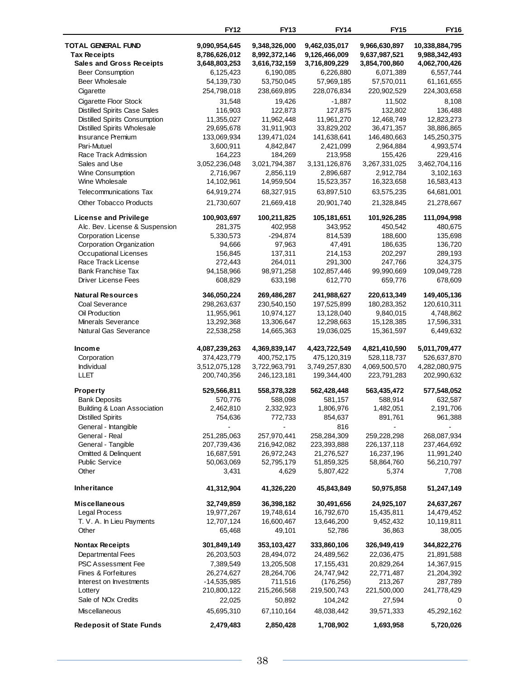|                                             | <b>FY12</b>              | <b>FY13</b>              | <b>FY14</b>              | <b>FY15</b>              | <b>FY16</b>             |
|---------------------------------------------|--------------------------|--------------------------|--------------------------|--------------------------|-------------------------|
| <b>TOTAL GENERAL FUND</b>                   | 9,090,954,645            | 9,348,326,000            | 9,462,035,017            | 9,966,630,897            | 10,338,884,795          |
| <b>Tax Receipts</b>                         | 8,786,626,012            | 8,992,372,146            | 9,126,466,009            | 9,637,987,521            | 9,988,342,493           |
| <b>Sales and Gross Receipts</b>             | 3,648,803,253            | 3,616,732,159            | 3,716,809,229            | 3,854,700,860            | 4,062,700,426           |
| <b>Beer Consumption</b>                     | 6,125,423                | 6,190,085                | 6,226,880                | 6,071,389                | 6,557,744               |
| Beer Wholesale                              | 54,139,730               | 53,750,045               | 57,969,185               | 57,570,011               | 61, 161, 655            |
| Cigarette                                   | 254,798,018              | 238,669,895              | 228,076,834              | 220,902,529              | 224,303,658             |
| Cigarette Floor Stock                       | 31,548                   | 19,426                   | $-1,887$                 | 11,502                   | 8,108                   |
| <b>Distilled Spirits Case Sales</b>         | 116,903                  | 122,873                  | 127,875                  | 132,802                  | 136,488                 |
| Distilled Spirits Consumption               | 11,355,027               | 11,962,448               | 11,961,270               | 12,468,749               | 12,823,273              |
| Distilled Spirits Wholesale                 | 29,695,678               | 31,911,903               | 33,829,202               | 36,471,357               | 38,886,865              |
| <b>Insurance Premium</b>                    | 133,069,934              | 139,471,024              | 141,638,641              | 146,480,663              | 145,250,375             |
| Pari-Mutuel                                 | 3,600,911                | 4,842,847                | 2,421,099                | 2,964,884                | 4,993,574               |
| Race Track Admission                        | 164,223                  | 184,269                  | 213,958                  | 155,426                  | 229,416                 |
| Sales and Use                               | 3,052,236,048            | 3,021,794,387            | 3,131,126,876            | 3,267,331,025            | 3,462,704,116           |
| Wine Consumption                            | 2,716,967                | 2,856,119                | 2,896,687                | 2,912,784                | 3,102,163               |
| Wine Wholesale                              | 14,102,961               | 14,959,504               | 15,523,357               | 16,323,658               | 16,583,413              |
| <b>Telecommunications Tax</b>               | 64,919,274               | 68,327,915               | 63,897,510               | 63,575,235               | 64,681,001              |
| <b>Other Tobacco Products</b>               | 21,730,607               | 21,669,418               | 20,901,740               | 21,328,845               | 21,278,667              |
| <b>License and Privilege</b>                | 100,903,697              | 100,211,825              | 105,181,651              | 101,926,285              | 111,094,998             |
| Alc. Bev. License & Suspension              | 281,375                  | 402,958                  | 343,952                  | 450,542                  | 480,675                 |
| <b>Corporation License</b>                  | 5,330,573                | $-294,874$               | 814,539                  | 188,600                  | 135,698                 |
| Corporation Organization                    | 94,666                   | 97,963                   | 47,491                   | 186,635                  | 136,720                 |
| <b>Occupational Licenses</b>                | 156,845                  | 137,311                  | 214,153                  | 202,297                  | 289,193                 |
| Race Track License                          | 272,443                  | 264,011                  | 291,300                  | 247,766                  | 324,375                 |
| <b>Bank Franchise Tax</b>                   | 94,158,966               | 98,971,258               | 102,857,446              | 99,990,669               | 109,049,728             |
| <b>Driver License Fees</b>                  | 608,829                  | 633,198                  | 612,770                  | 659,776                  | 678,609                 |
| <b>Natural Resources</b>                    | 346,050,224              | 269,486,287              | 241,988,627              | 220,613,349              | 149,405,136             |
| Coal Severance                              | 298,263,637              | 230,540,150              | 197,525,899              | 180,283,352              | 120,610,311             |
| Oil Production                              | 11,955,961               | 10,974,127               | 13,128,040               | 9,840,015                | 4,748,862               |
| Minerals Severance<br>Natural Gas Severance | 13,292,368<br>22,538,258 | 13,306,647<br>14,665,363 | 12,298,663<br>19,036,025 | 15,128,385<br>15,361,597 | 17,596,331<br>6,449,632 |
|                                             |                          |                          |                          |                          |                         |
| Income                                      | 4,087,239,263            | 4,369,839,147            | 4,423,722,549            | 4,821,410,590            | 5,011,709,477           |
| Corporation                                 | 374,423,779              | 400,752,175              | 475,120,319              | 528,118,737              | 526,637,870             |
| Individual                                  | 3,512,075,128            | 3,722,963,791            | 3,749,257,830            | 4,069,500,570            | 4,282,080,975           |
| <b>LLET</b>                                 | 200,740,356              | 246,123,181              | 199,344,400              | 223,791,283              | 202,990,632             |
| <b>Property</b>                             | 529,566,811              | 558,378,328              | 562,428,448              | 563,435,472              | 577,548,052             |
| <b>Bank Deposits</b>                        | 570,776                  | 588,098                  | 581,157                  | 588,914                  | 632,587                 |
| Building & Loan Association                 | 2,462,810                | 2,332,923                | 1,806,976                | 1,482,051                | 2,191,706               |
| <b>Distilled Spirits</b>                    | 754,636                  | 772,733                  | 854,637                  | 891,761                  | 961,388                 |
| General - Intangible                        |                          |                          | 816                      |                          |                         |
| General - Real                              | 251,285,063              | 257,970,441              | 258,284,309              | 259,228,298              | 268,087,934             |
| General - Tangible                          | 207,739,436              | 216,942,082              | 223,393,888              | 226, 137, 118            | 237,464,692             |
| Omitted & Delinquent                        | 16,687,591               | 26,972,243               | 21,276,527               | 16,237,196               | 11,991,240              |
| <b>Public Service</b>                       | 50,063,069               | 52,795,179               | 51,859,325               | 58,864,760               | 56,210,797              |
| Other                                       | 3,431                    | 4,629                    | 5,807,422                | 5,374                    | 7,708                   |
| Inheritance                                 | 41,312,904               | 41,326,220               | 45,843,849               | 50,975,858               | 51,247,149              |
| <b>Miscellaneous</b>                        | 32,749,859               | 36,398,182               | 30,491,656               | 24,925,107               | 24,637,267              |
| Legal Process                               | 19,977,267               | 19,748,614               | 16,792,670               | 15,435,811               | 14,479,452              |
| T. V. A. In Lieu Payments                   | 12,707,124               | 16,600,467               | 13,646,200               | 9,452,432                | 10,119,811              |
| Other                                       | 65,468                   | 49,101                   | 52,786                   | 36,863                   | 38,005                  |
| <b>Nontax Receipts</b>                      | 301,849,149              | 353,103,427              | 333,860,106              | 326,949,419              | 344,822,276             |
| Departmental Fees                           | 26,203,503               | 28,494,072               | 24,489,562               | 22,036,475               | 21,891,588              |
| PSC Assessment Fee                          | 7,389,549                | 13,205,508               | 17, 155, 431             | 20,829,264               | 14,367,915              |
| Fines & Forfeitures                         | 26,274,627               | 28,264,706               | 24,747,942               | 22,771,487               | 21,204,392              |
| Interest on Investments                     | $-14,535,985$            | 711,516                  | (176, 256)               | 213,267                  | 287,789                 |
| Lottery                                     | 210,800,122              | 215,266,568              | 219,500,743              | 221,500,000              | 241,778,429             |
| Sale of NO <sub>x</sub> Credits             | 22,025                   | 50,892                   | 104,242                  | 27,594                   | 0                       |
| <b>Miscellaneous</b>                        | 45,695,310               | 67,110,164               | 48,038,442               | 39,571,333               | 45,292,162              |
| <b>Redeposit of State Funds</b>             | 2,479,483                | 2,850,428                | 1,708,902                | 1,693,958                | 5,720,026               |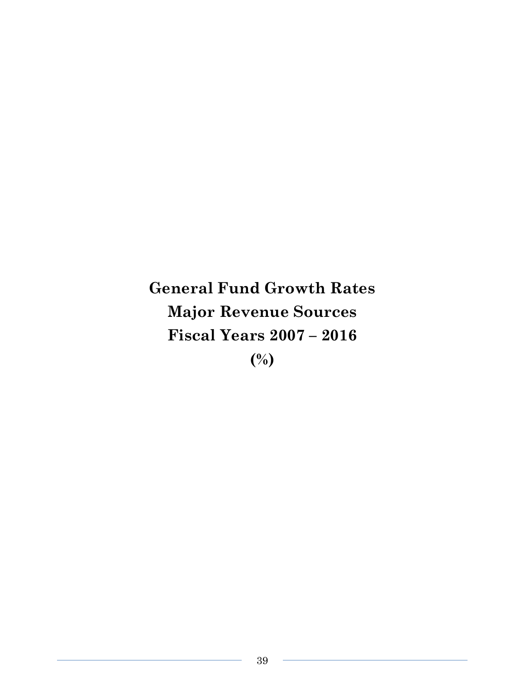**General Fund Growth Rates Major Revenue Sources Fiscal Years 2007 – 2016 (%)**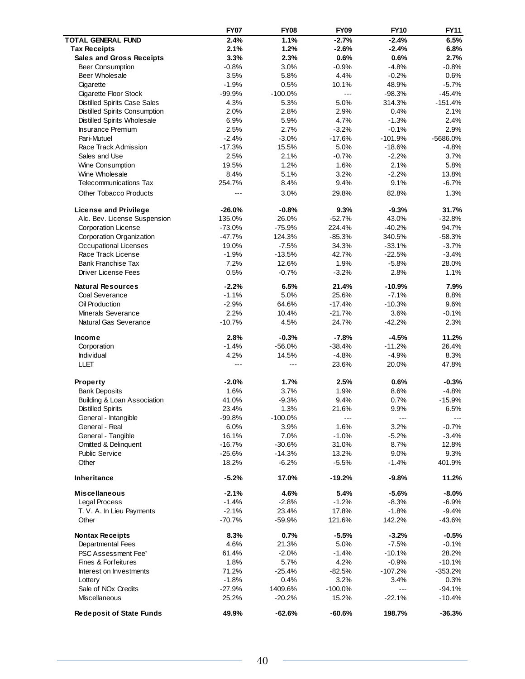|                                        | <b>FY07</b>    | <b>FY08</b>    | <b>FY09</b> | <b>FY10</b> | <b>FY11</b>          |
|----------------------------------------|----------------|----------------|-------------|-------------|----------------------|
| <b>TOTAL GENERAL FUND</b>              | 2.4%           | 1.1%           | $-2.7%$     | $-2.4%$     | 6.5%                 |
| <b>Tax Receipts</b>                    | 2.1%           | 1.2%           | $-2.6%$     | $-2.4%$     | 6.8%                 |
| <b>Sales and Gross Receipts</b>        | 3.3%           | 2.3%           | 0.6%        | 0.6%        | 2.7%                 |
| <b>Beer Consumption</b>                | $-0.8%$        | 3.0%           | $-0.9%$     | $-4.8%$     | $-0.8%$              |
| <b>Beer Wholesale</b>                  | 3.5%           | 5.8%           | 4.4%        | $-0.2%$     | 0.6%                 |
| Cigarette                              | $-1.9%$        | 0.5%           | 10.1%       | 48.9%       | $-5.7%$              |
| Cigarette Floor Stock                  | $-99.9%$       | $-100.0%$      | $-$         | $-98.3%$    | $-45.4%$             |
| <b>Distilled Spirits Case Sales</b>    | 4.3%           | 5.3%           | 5.0%        | 314.3%      | $-151.4%$            |
| Distilled Spirits Consumption          | 2.0%           | 2.8%           | 2.9%        | 0.4%        | 2.1%                 |
| <b>Distilled Spirits Wholesale</b>     | 6.9%           | 5.9%           | 4.7%        | $-1.3%$     | 2.4%                 |
| <b>Insurance Premium</b>               | 2.5%           | 2.7%           | $-3.2%$     | $-0.1%$     | 2.9%                 |
| Pari-Mutuel                            | $-2.4%$        | $-3.0%$        | $-17.6%$    | $-101.9%$   | -5686.0%             |
| Race Track Admission                   | $-17.3%$       | 15.5%          | 5.0%        | $-18.6%$    | $-4.8%$              |
| Sales and Use                          | 2.5%           | 2.1%           | $-0.7%$     | $-2.2%$     | 3.7%                 |
| Wine Consumption                       | 19.5%          | 1.2%           | 1.6%        | 2.1%        | 5.8%                 |
| Wine Wholesale                         | 8.4%           | 5.1%           | 3.2%        | $-2.2%$     | 13.8%                |
| <b>Telecommunications Tax</b>          | 254.7%         | 8.4%           | 9.4%        | 9.1%        | $-6.7\%$             |
| <b>Other Tobacco Products</b>          | $---$          | 3.0%           | 29.8%       | 82.8%       | 1.3%                 |
| <b>License and Privilege</b>           | $-26.0%$       | $-0.8%$        | 9.3%        | $-9.3%$     | 31.7%                |
| Alc. Bev. License Suspension           | 135.0%         | 26.0%          | $-52.7%$    | 43.0%       | $-32.8%$             |
| <b>Corporation License</b>             | $-73.0%$       | $-75.9%$       | 224.4%      | $-40.2%$    | 94.7%                |
| Corporation Organization               | $-47.7%$       | 124.3%         | $-85.3%$    | 340.5%      | $-58.3%$             |
| <b>Occupational Licenses</b>           | 19.0%          | $-7.5%$        | 34.3%       | $-33.1%$    | $-3.7%$              |
| Race Track License                     | $-1.9%$        | $-13.5%$       | 42.7%       | $-22.5%$    | $-3.4%$              |
| <b>Bank Franchise Tax</b>              | 7.2%           | 12.6%          | 1.9%        | $-5.8%$     | 28.0%                |
| <b>Driver License Fees</b>             | 0.5%           | $-0.7%$        | $-3.2%$     | 2.8%        | 1.1%                 |
| <b>Natural Resources</b>               | $-2.2%$        | 6.5%           | 21.4%       | $-10.9%$    | 7.9%                 |
| Coal Severance                         | $-1.1%$        | 5.0%           | 25.6%       | $-7.1%$     | 8.8%                 |
| Oil Production                         | $-2.9%$        | 64.6%          | $-17.4%$    | $-10.3%$    | 9.6%                 |
| <b>Minerals Severance</b>              | 2.2%           | 10.4%          | $-21.7%$    | 3.6%        | $-0.1%$              |
| Natural Gas Severance                  | $-10.7%$       | 4.5%           | 24.7%       | $-42.2%$    | 2.3%                 |
| Income                                 | 2.8%           | $-0.3%$        | $-7.8%$     | $-4.5%$     | 11.2%                |
| Corporation                            | $-1.4%$        | $-56.0%$       | $-38.4%$    | $-11.2%$    | 26.4%                |
| Individual                             | 4.2%           | 14.5%          | $-4.8%$     | $-4.9%$     | 8.3%                 |
| LLET                                   | $\overline{a}$ | $\overline{a}$ | 23.6%       | 20.0%       | 47.8%                |
| Property                               | $-2.0%$        | 1.7%           | 2.5%        | 0.6%        | $-0.3%$              |
| <b>Bank Deposits</b>                   | 1.6%           | 3.7%           | 1.9%        | 8.6%        | $-4.8%$              |
| <b>Building &amp; Loan Association</b> | 41.0%          | $-9.3%$        | 9.4%        | 0.7%        | $-15.9%$             |
| <b>Distilled Spirits</b>               | 23.4%          | 1.3%           | 21.6%       | 9.9%        | 6.5%                 |
| General - Intangible                   | $-99.8%$       | $-100.0%$      | ---         | ---         | $\sim$ $\sim$ $\sim$ |
| General - Real                         | 6.0%           | 3.9%           | 1.6%        | 3.2%        | $-0.7%$              |
| General - Tangible                     | 16.1%          | 7.0%           | $-1.0%$     | $-5.2%$     | $-3.4%$              |
| Omitted & Delinquent                   | $-16.7%$       | $-30.6%$       | 31.0%       | 8.7%        | 12.8%                |
| <b>Public Service</b>                  | $-25.6%$       | $-14.3%$       | 13.2%       | 9.0%        | 9.3%                 |
| Other                                  | 18.2%          | $-6.2%$        | $-5.5%$     | $-1.4%$     | 401.9%               |
| <b>Inheritance</b>                     | $-5.2%$        | 17.0%          | $-19.2%$    | $-9.8%$     | 11.2%                |
| <b>Miscellaneous</b>                   | $-2.1%$        | 4.6%           | 5.4%        | $-5.6%$     | $-8.0\%$             |
| Legal Process                          | $-1.4%$        | $-2.8%$        | $-1.2%$     | $-8.3%$     | $-6.9%$              |
| T. V. A. In Lieu Payments              | $-2.1%$        | 23.4%          | 17.8%       | $-1.8%$     | $-9.4%$              |
| Other                                  | -70.7%         | $-59.9%$       | 121.6%      | 142.2%      | $-43.6%$             |
| <b>Nontax Receipts</b>                 | 8.3%           | 0.7%           | $-5.5%$     | $-3.2%$     | $-0.5%$              |
| <b>Departmental Fees</b>               | 4.6%           | 21.3%          | 5.0%        | $-7.5%$     | $-0.1%$              |
| PSC Assessment Fee <sup>7</sup>        | 61.4%          | $-2.0%$        | $-1.4%$     | $-10.1%$    | 28.2%                |
| Fines & Forfeitures                    | 1.8%           | 5.7%           | 4.2%        | $-0.9%$     | $-10.1%$             |
| Interest on Investments                | 71.2%          | $-25.4%$       | $-82.5%$    | $-107.2%$   | $-353.2%$            |
| Lottery                                | $-1.8%$        | 0.4%           | 3.2%        | 3.4%        | 0.3%                 |
| Sale of NO <sub>x</sub> Credits        | $-27.9%$       | 1409.6%        | $-100.0\%$  | ---         | $-94.1%$             |
| <b>Miscellaneous</b>                   | 25.2%          | $-20.2%$       | 15.2%       | $-22.1%$    | $-10.4%$             |
| <b>Redeposit of State Funds</b>        | 49.9%          | $-62.6%$       | $-60.6%$    | 198.7%      | $-36.3%$             |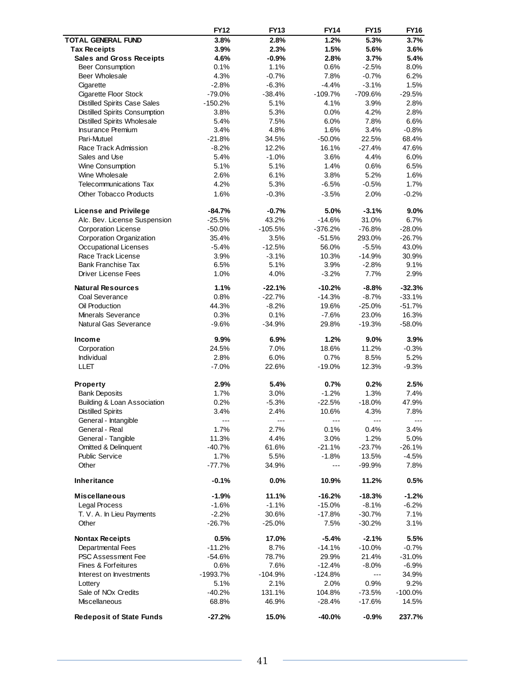|                                         | <b>FY12</b>         | <b>FY13</b>      | <b>FY14</b>       | <b>FY15</b>       | <b>FY16</b>           |
|-----------------------------------------|---------------------|------------------|-------------------|-------------------|-----------------------|
| <b>TOTAL GENERAL FUND</b>               | 3.8%                | 2.8%             | 1.2%              | 5.3%              | 3.7%                  |
| <b>Tax Receipts</b>                     | 3.9%                | 2.3%             | 1.5%              | 5.6%              | 3.6%                  |
| <b>Sales and Gross Receipts</b>         | 4.6%                | $-0.9%$          | 2.8%              | 3.7%              | 5.4%                  |
| <b>Beer Consumption</b>                 | 0.1%                | 1.1%             | 0.6%              | $-2.5%$           | 8.0%                  |
| Beer Wholesale                          | 4.3%                | $-0.7%$          | 7.8%              | $-0.7%$           | 6.2%                  |
| Cigarette                               | $-2.8%$             | $-6.3%$          | $-4.4%$           | $-3.1%$           | 1.5%                  |
| Cigarette Floor Stock                   | $-79.0%$            | $-38.4%$         | $-109.7%$         | -709.6%           | $-29.5%$              |
| <b>Distilled Spirits Case Sales</b>     | -150.2%             | 5.1%             | 4.1%              | 3.9%              | 2.8%                  |
| Distilled Spirits Consumption           | 3.8%                | 5.3%             | 0.0%              | 4.2%              | 2.8%                  |
| <b>Distilled Spirits Wholesale</b>      | 5.4%                | 7.5%             | 6.0%              | 7.8%              | 6.6%                  |
| <b>Insurance Premium</b><br>Pari-Mutuel | 3.4%                | 4.8%             | 1.6%              | 3.4%              | $-0.8%$               |
| Race Track Admission                    | $-21.8%$<br>$-8.2%$ | 34.5%            | $-50.0%$<br>16.1% | 22.5%<br>$-27.4%$ | 68.4%<br>47.6%        |
| Sales and Use                           | 5.4%                | 12.2%<br>$-1.0%$ | 3.6%              | 4.4%              | 6.0%                  |
| Wine Consumption                        | 5.1%                | 5.1%             | 1.4%              | 0.6%              | 6.5%                  |
| Wine Wholesale                          | 2.6%                | 6.1%             | 3.8%              | 5.2%              | 1.6%                  |
| <b>Telecommunications Tax</b>           | 4.2%                | 5.3%             | $-6.5%$           | $-0.5%$           | 1.7%                  |
|                                         |                     |                  |                   |                   |                       |
| <b>Other Tobacco Products</b>           | 1.6%                | $-0.3%$          | $-3.5%$           | 2.0%              | $-0.2%$               |
| <b>License and Privilege</b>            | $-84.7%$            | $-0.7%$          | 5.0%              | $-3.1%$           | $9.0\%$               |
| Alc. Bev. License Suspension            | $-25.5%$            | 43.2%            | $-14.6%$          | 31.0%             | 6.7%                  |
| Corporation License                     | $-50.0%$            | $-105.5%$        | $-376.2%$         | $-76.8%$          | $-28.0%$              |
| Corporation Organization                | 35.4%               | 3.5%             | $-51.5%$          | 293.0%            | $-26.7%$              |
| Occupational Licenses                   | $-5.4%$             | $-12.5%$         | 56.0%             | $-5.5%$           | 43.0%                 |
| Race Track License                      | 3.9%                | $-3.1%$          | 10.3%             | $-14.9%$          | 30.9%                 |
| <b>Bank Franchise Tax</b>               | 6.5%                | 5.1%             | 3.9%              | $-2.8%$           | 9.1%                  |
| <b>Driver License Fees</b>              | 1.0%                | 4.0%             | $-3.2%$           | 7.7%              | 2.9%                  |
| <b>Natural Resources</b>                | 1.1%                | $-22.1%$         | $-10.2%$          | $-8.8%$           | $-32.3%$              |
| Coal Severance                          | 0.8%                | $-22.7%$         | $-14.3%$          | $-8.7%$           | $-33.1%$              |
| Oil Production                          | 44.3%               | $-8.2%$          | 19.6%             | $-25.0%$          | $-51.7%$              |
| Minerals Severance                      | 0.3%                | 0.1%             | $-7.6%$           | 23.0%             | 16.3%                 |
| Natural Gas Severance                   | $-9.6%$             | $-34.9%$         | 29.8%             | $-19.3%$          | $-58.0%$              |
| Income                                  | $9.9\%$             | 6.9%             | 1.2%              | 9.0%              | 3.9%                  |
| Corporation                             | 24.5%               | 7.0%             | 18.6%             | 11.2%             | $-0.3%$               |
| Individual                              | 2.8%                | 6.0%             | 0.7%              | 8.5%              | 5.2%                  |
| LLET                                    | $-7.0%$             | 22.6%            | $-19.0%$          | 12.3%             | $-9.3%$               |
|                                         |                     |                  |                   |                   |                       |
| Property                                | 2.9%                | 5.4%             | 0.7%              | 0.2%              | 2.5%                  |
| <b>Bank Deposits</b>                    | 1.7%                | 3.0%             | $-1.2%$           | 1.3%              | 7.4%                  |
| <b>Building &amp; Loan Association</b>  | 0.2%                | $-5.3%$          | $-22.5%$          | $-18.0%$          | 47.9%                 |
| <b>Distilled Spirits</b>                | 3.4%                | 2.4%             | 10.6%             | 4.3%              | 7.8%                  |
| General - Intangible<br>General - Real  | $--$<br>1.7%        | ---<br>2.7%      | ---<br>0.1%       | $- - -$           | $\sim$ $\sim$<br>3.4% |
| General - Tangible                      | 11.3%               | 4.4%             | 3.0%              | 0.4%<br>1.2%      | 5.0%                  |
| Omitted & Delinquent                    | $-40.7%$            | 61.6%            | $-21.1%$          | $-23.7%$          | $-26.1%$              |
| <b>Public Service</b>                   | 1.7%                | 5.5%             | $-1.8%$           | 13.5%             | $-4.5%$               |
| Other                                   | $-77.7%$            | 34.9%            | $---$             | $-99.9%$          | 7.8%                  |
|                                         |                     |                  |                   |                   |                       |
| <b>Inheritance</b>                      | $-0.1%$             | 0.0%             | 10.9%             | 11.2%             | 0.5%                  |
| <b>Miscellaneous</b>                    | $-1.9%$             | 11.1%            | $-16.2%$          | -18.3%            | $-1.2%$               |
| Legal Process                           | $-1.6%$             | $-1.1%$          | $-15.0%$          | $-8.1%$           | $-6.2%$               |
| T. V. A. In Lieu Payments               | $-2.2%$             | 30.6%            | $-17.8%$          | $-30.7%$          | 7.1%                  |
| Other                                   | $-26.7%$            | $-25.0%$         | 7.5%              | $-30.2%$          | 3.1%                  |
| <b>Nontax Receipts</b>                  | 0.5%                | 17.0%            | $-5.4%$           | $-2.1%$           | 5.5%                  |
| Departmental Fees                       | $-11.2%$            | 8.7%             | $-14.1%$          | $-10.0%$          | $-0.7%$               |
| <b>PSC Assessment Fee</b>               | $-54.6%$            | 78.7%            | 29.9%             | 21.4%             | $-31.0%$              |
| Fines & Forfeitures                     | 0.6%                | 7.6%             | $-12.4%$          | $-8.0%$           | $-6.9%$               |
| Interest on Investments                 | -1993.7%            | $-104.9%$        | $-124.8%$         | $---$             | 34.9%                 |
| Lottery                                 | 5.1%                | 2.1%             | 2.0%              | 0.9%              | 9.2%                  |
| Sale of NO <sub>x</sub> Credits         | $-40.2%$            | 131.1%           | 104.8%            | $-73.5%$          | $-100.0\%$            |
| <b>Miscellaneous</b>                    | 68.8%               | 46.9%            | $-28.4%$          | $-17.6%$          | 14.5%                 |
| <b>Redeposit of State Funds</b>         | $-27.2%$            | 15.0%            | $-40.0%$          | $-0.9%$           | 237.7%                |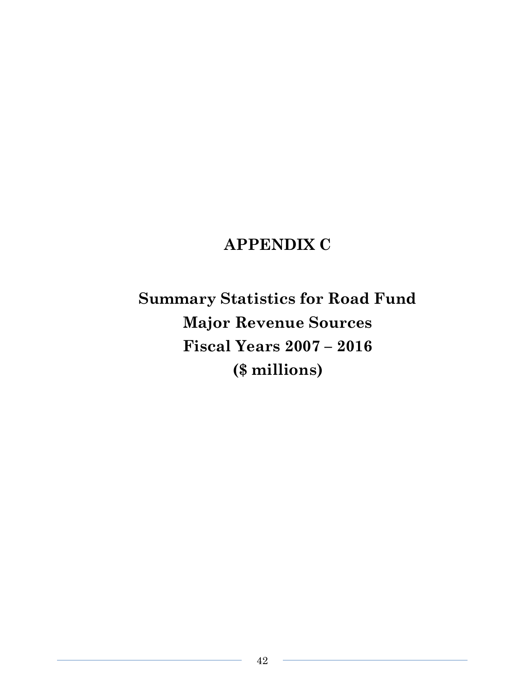# **APPENDIX C**

**Summary Statistics for Road Fund Major Revenue Sources Fiscal Years 2007 – 2016 (\$ millions)**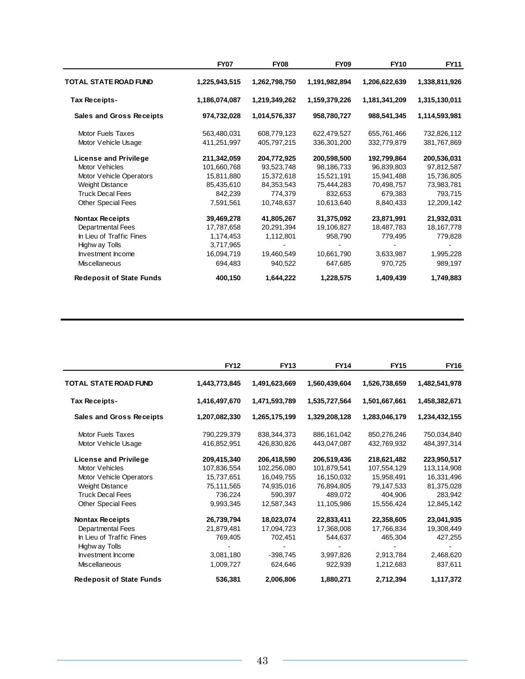|                                 | <b>FY07</b>   | <b>FY08</b>   | <b>FY09</b>   | <b>FY10</b>   | <b>FY11</b>   |
|---------------------------------|---------------|---------------|---------------|---------------|---------------|
| TOTAL STATE ROAD FUND           | 1,225,943,515 | 1,262,798,750 | 1,191,982,894 | 1,206,622,639 | 1,338,811,926 |
| Tax Receipts-                   | 1,186,074,087 | 1,219,349,262 | 1,159,379,226 | 1,181,341,209 | 1,315,130,011 |
| <b>Sales and Gross Receipts</b> | 974,732,028   | 1,014,576,337 | 958,780,727   | 988,541,345   | 1,114,593,981 |
| Motor Fuels Taxes               | 563,480,031   | 608,779,123   | 622,479,527   | 655,761,466   | 732,826,112   |
| Motor Vehicle Usage             | 411,251,997   | 405,797,215   | 336,301,200   | 332,779,879   | 381,767,869   |
| License and Privilege           | 211,342,059   | 204,772,925   | 200,598,500   | 192,799,864   | 200,536,031   |
| Motor Vehicles                  | 101,660,768   | 93,523,748    | 98,186,733    | 96,839,803    | 97,812,587    |
| Motor Vehicle Operators         | 15,811,880    | 15,372,618    | 15,521,191    | 15,941,488    | 15,736,805    |
| <b>Weight Distance</b>          | 85,435,610    | 84,353,543    | 75,444,283    | 70,498,757    | 73,983,781    |
| <b>Truck Decal Fees</b>         | 842,239       | 774,379       | 832,653       | 679,383       | 793,715       |
| <b>Other Special Fees</b>       | 7,591,561     | 10,748,637    | 10,613,640    | 8,840,433     | 12,209,142    |
| <b>Nontax Receipts</b>          | 39,469,278    | 41,805,267    | 31,375,092    | 23,871,991    | 21,932,031    |
| Departmental Fees               | 17,787,658    | 20,291,394    | 19,106,827    | 18,487,783    | 18, 167, 778  |
| In Lieu of Traffic Fines        | 1,174,453     | 1,112,801     | 958,790       | 779,495       | 779,828       |
| Highw ay Tolls                  | 3,717,965     |               |               |               |               |
| Investment Income               | 16,094,719    | 19,460,549    | 10,661,790    | 3,633,987     | 1,995,228     |
| <b>Miscellaneous</b>            | 694,483       | 940,522       | 647,685       | 970,725       | 989,197       |
| <b>Redeposit of State Funds</b> | 400,150       | 1,644,222     | 1,228,575     | 1,409,439     | 1,749,883     |

|                                 | <b>FY12</b>   | <b>FY13</b>   | <b>FY14</b>   | <b>FY15</b>   | <b>FY16</b>   |
|---------------------------------|---------------|---------------|---------------|---------------|---------------|
| <b>TOTAL STATE ROAD FUND</b>    | 1,443,773,845 | 1,491,623,669 | 1,560,439,604 | 1,526,738,659 | 1,482,541,978 |
| Tax Receipts-                   | 1,416,497,670 | 1,471,593,789 | 1,535,727,564 | 1,501,667,661 | 1,458,382,671 |
| <b>Sales and Gross Receipts</b> | 1,207,082,330 | 1,265,175,199 | 1,329,208,128 | 1,283,046,179 | 1,234,432,155 |
| Motor Fuels Taxes               | 790,229,379   | 838, 344, 373 | 886,161,042   | 850,276,246   | 750,034,840   |
| Motor Vehicle Usage             | 416,852,951   | 426,830,826   | 443,047,087   | 432,769,932   | 484,397,314   |
| <b>License and Privilege</b>    | 209,415,340   | 206,418,590   | 206,519,436   | 218,621,482   | 223,950,517   |
| Motor Vehicles                  | 107,836,554   | 102,256,080   | 101,879,541   | 107,554,129   | 113,114,908   |
| Motor Vehicle Operators         | 15,737,651    | 16,049,755    | 16,150,032    | 15,958,491    | 16,331,496    |
| <b>Weight Distance</b>          | 75,111,565    | 74,935,016    | 76,894,805    | 79,147,533    | 81,375,028    |
| <b>Truck Decal Fees</b>         | 736,224       | 590,397       | 489,072       | 404,906       | 283,942       |
| <b>Other Special Fees</b>       | 9,993,345     | 12,587,343    | 11,105,986    | 15.556.424    | 12,845,142    |
| <b>Nontax Receipts</b>          | 26,739,794    | 18,023,074    | 22,833,411    | 22,358,605    | 23,041,935    |
| Departmental Fees               | 21,879,481    | 17,094,723    | 17,368,008    | 17,766,834    | 19,308,449    |
| In Lieu of Traffic Fines        | 769,405       | 702.451       | 544.637       | 465,304       | 427,255       |
| Highw ay Tolls                  |               |               |               |               |               |
| Investment Income               | 3,081,180     | $-398,745$    | 3,997,826     | 2,913,784     | 2,468,620     |
| <b>Miscellaneous</b>            | 1,009,727     | 624,646       | 922,939       | 1,212,683     | 837,611       |
| <b>Redeposit of State Funds</b> | 536,381       | 2,006,806     | 1,880,271     | 2,712,394     | 1,117,372     |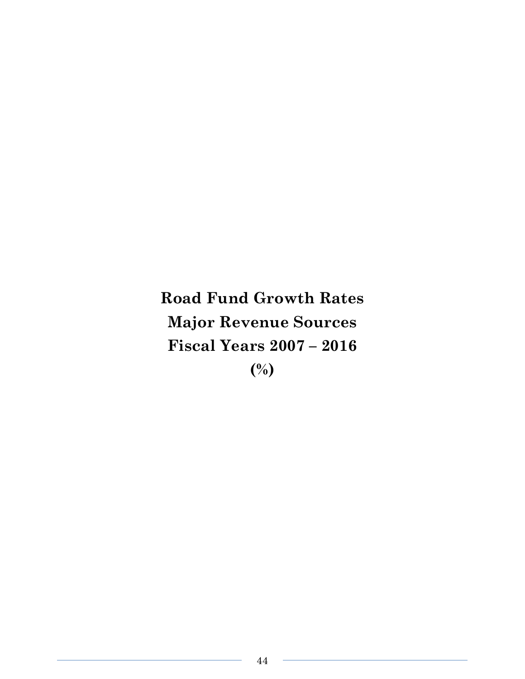**Road Fund Growth Rates Major Revenue Sources Fiscal Years 2007 – 2016 (%)**